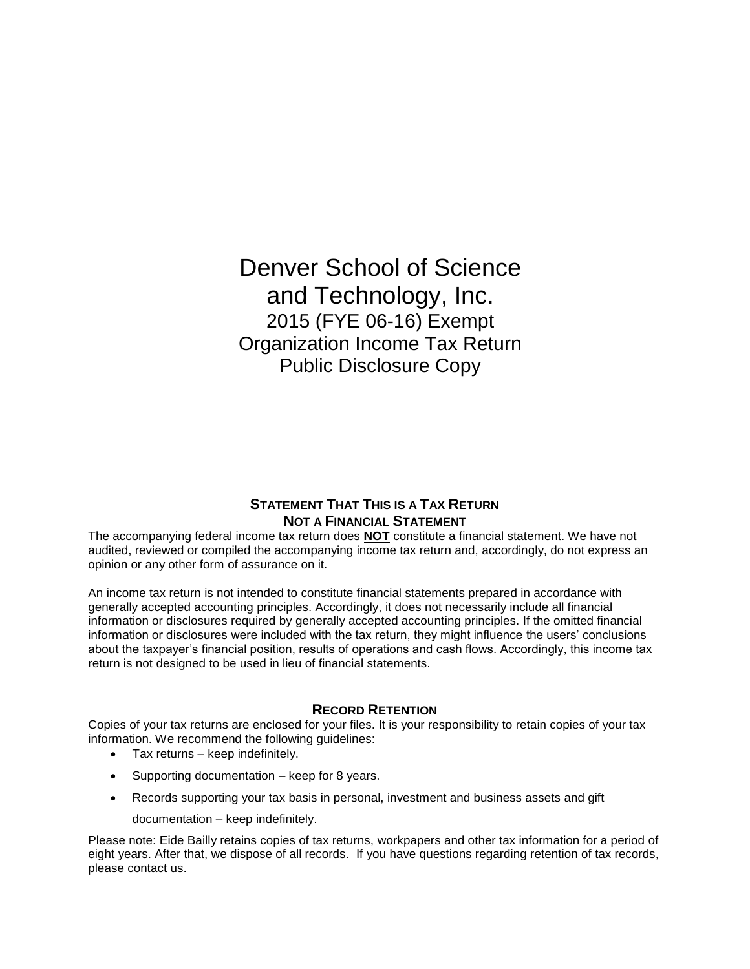Denver School of Science and Technology, Inc. 2015 (FYE 06-16) Exempt Organization Income Tax Return Public Disclosure Copy

## **STATEMENT THAT THIS IS A TAX RETURN NOT A FINANCIAL STATEMENT**

The accompanying federal income tax return does **NOT** constitute a financial statement. We have not audited, reviewed or compiled the accompanying income tax return and, accordingly, do not express an opinion or any other form of assurance on it.

An income tax return is not intended to constitute financial statements prepared in accordance with generally accepted accounting principles. Accordingly, it does not necessarily include all financial information or disclosures required by generally accepted accounting principles. If the omitted financial information or disclosures were included with the tax return, they might influence the users' conclusions about the taxpayer's financial position, results of operations and cash flows. Accordingly, this income tax return is not designed to be used in lieu of financial statements.

### **RECORD RETENTION**

Copies of your tax returns are enclosed for your files. It is your responsibility to retain copies of your tax information. We recommend the following guidelines:

- Tax returns keep indefinitely.
- Supporting documentation keep for 8 years.
- Records supporting your tax basis in personal, investment and business assets and gift
	- documentation keep indefinitely.

Please note: Eide Bailly retains copies of tax returns, workpapers and other tax information for a period of eight years. After that, we dispose of all records. If you have questions regarding retention of tax records, please contact us.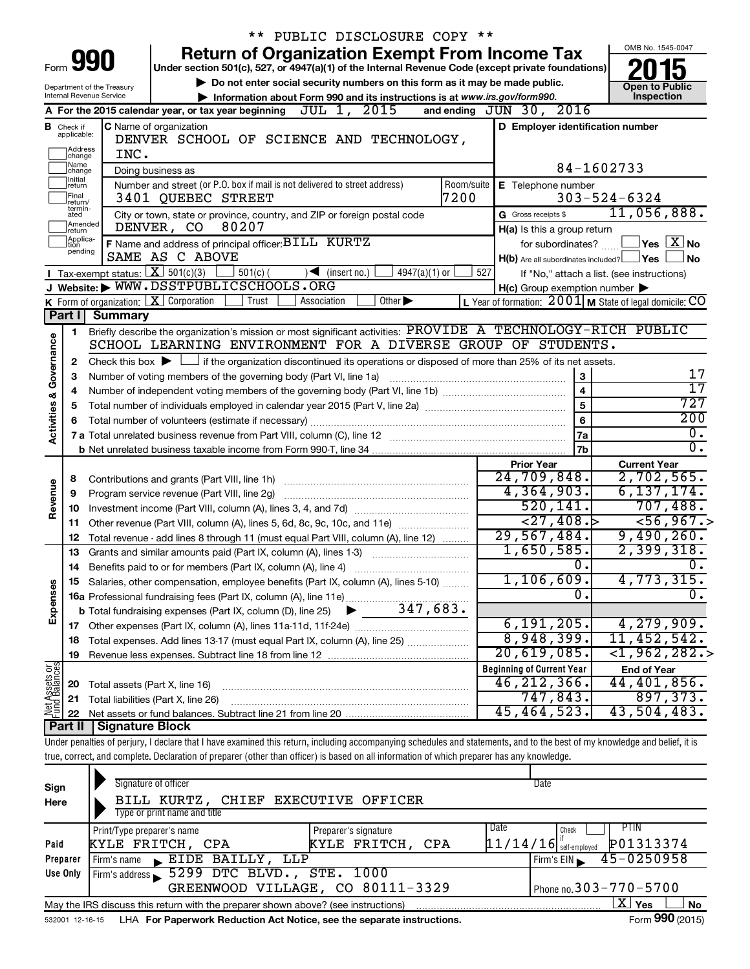|                                |                    |                            |                                                                            | ** PUBLIC DISCLOSURE COPY **                                                                                                                                               |      |                                                     |                                                         |
|--------------------------------|--------------------|----------------------------|----------------------------------------------------------------------------|----------------------------------------------------------------------------------------------------------------------------------------------------------------------------|------|-----------------------------------------------------|---------------------------------------------------------|
|                                |                    |                            |                                                                            | <b>Return of Organization Exempt From Income Tax</b>                                                                                                                       |      |                                                     | OMB No. 1545-0047                                       |
|                                |                    | Form <b>990</b>            |                                                                            | Under section 501(c), 527, or 4947(a)(1) of the Internal Revenue Code (except private foundations)                                                                         |      |                                                     |                                                         |
|                                |                    | Department of the Treasury |                                                                            | Do not enter social security numbers on this form as it may be made public.                                                                                                |      |                                                     | <b>Open to Public</b>                                   |
|                                |                    | Internal Revenue Service   |                                                                            | Information about Form 990 and its instructions is at www.irs.gov/form990.                                                                                                 |      |                                                     | Inspection                                              |
|                                |                    |                            | A For the 2015 calendar year, or tax year beginning                        | JUL 1, 2015                                                                                                                                                                |      | and ending JUN 30, 2016                             |                                                         |
|                                | <b>B</b> Check if  |                            | C Name of organization                                                     |                                                                                                                                                                            |      | D Employer identification number                    |                                                         |
|                                | applicable:        |                            |                                                                            | DENVER SCHOOL OF SCIENCE AND TECHNOLOGY,                                                                                                                                   |      |                                                     |                                                         |
|                                | Address<br>change  | INC.                       |                                                                            |                                                                                                                                                                            |      |                                                     |                                                         |
|                                | ]Name<br>]change   |                            | Doing business as                                                          | 84-1602733                                                                                                                                                                 |      |                                                     |                                                         |
|                                | Ilnitial<br>return |                            | Number and street (or P.O. box if mail is not delivered to street address) | E Telephone number                                                                                                                                                         |      |                                                     |                                                         |
|                                | Final<br>return/   |                            | 3401 OUEBEC STREET                                                         |                                                                                                                                                                            | 7200 |                                                     | $303 - 524 - 6324$                                      |
|                                | termin-<br>ated    |                            |                                                                            | City or town, state or province, country, and ZIP or foreign postal code                                                                                                   |      | G Gross receipts \$                                 | 11,056,888.                                             |
|                                | Amended<br>Ireturn |                            | 80207<br>DENVER, CO                                                        |                                                                                                                                                                            |      | H(a) Is this a group return                         |                                                         |
|                                | Applica-<br>tion   |                            | F Name and address of principal officer: BILL KURTZ                        |                                                                                                                                                                            |      | for subordinates?                                   | $\sqrt{}$ Yes $\sqrt{ \ \overline{\mathrm{X}}\ }$ No    |
|                                | pending            |                            | SAME AS C ABOVE                                                            |                                                                                                                                                                            |      | $H(b)$ Are all subordinates included? $\Box$ Yes    | No                                                      |
|                                |                    |                            | <b>I</b> Tax-exempt status: $X \overline{X}$ 501(c)(3)<br>$501(c)$ (       | $\sqrt{\bullet}$ (insert no.)<br>$4947(a)(1)$ or                                                                                                                           | 527  |                                                     | If "No," attach a list. (see instructions)              |
|                                |                    |                            | J Website: WWW.DSSTPUBLICSCHOOLS.ORG                                       |                                                                                                                                                                            |      | $H(c)$ Group exemption number $\blacktriangleright$ |                                                         |
|                                |                    |                            | K Form of organization: $X$ Corporation<br>Trust                           | Association<br>Other $\blacktriangleright$                                                                                                                                 |      |                                                     | L Year of formation: 2001 M State of legal domicile: CO |
|                                | Part I             | <b>Summary</b>             |                                                                            |                                                                                                                                                                            |      |                                                     |                                                         |
|                                | 1                  |                            |                                                                            | Briefly describe the organization's mission or most significant activities: PROVIDE A TECHNOLOGY-RICH PUBLIC                                                               |      |                                                     |                                                         |
| Governance                     |                    |                            |                                                                            | SCHOOL LEARNING ENVIRONMENT FOR A DIVERSE GROUP OF STUDENTS.                                                                                                               |      |                                                     |                                                         |
|                                | 2                  |                            |                                                                            | Check this box $\blacktriangleright$ $\Box$ if the organization discontinued its operations or disposed of more than 25% of its net assets.                                |      |                                                     |                                                         |
|                                | 3                  |                            | Number of voting members of the governing body (Part VI, line 1a)          |                                                                                                                                                                            |      | 3                                                   | 17                                                      |
|                                |                    |                            |                                                                            |                                                                                                                                                                            |      | $\overline{\mathbf{4}}$                             | $\overline{17}$                                         |
| <b>Activities &amp;</b>        | 5                  |                            |                                                                            |                                                                                                                                                                            |      | 5                                                   | 727                                                     |
|                                | 6                  |                            |                                                                            |                                                                                                                                                                            |      | 6                                                   | 200                                                     |
|                                |                    |                            |                                                                            |                                                                                                                                                                            |      | 7a                                                  | $0$ .                                                   |
|                                |                    |                            |                                                                            |                                                                                                                                                                            |      | 7b                                                  | $\overline{0}$ .                                        |
|                                |                    |                            |                                                                            |                                                                                                                                                                            |      | <b>Prior Year</b>                                   | <b>Current Year</b>                                     |
|                                | 8                  |                            |                                                                            |                                                                                                                                                                            |      | 24,709,848.<br>4,364,903.                           | 2,702,565.<br>6, 137, 174.                              |
| Revenue                        | 9                  |                            | Program service revenue (Part VIII, line 2g)                               |                                                                                                                                                                            |      | 520, 141.                                           | 707,488.                                                |
|                                | 10                 |                            |                                                                            |                                                                                                                                                                            |      | $\leftarrow$ 27,408.                                | 56,967.                                                 |
|                                | 11                 |                            |                                                                            | Other revenue (Part VIII, column (A), lines 5, 6d, 8c, 9c, 10c, and 11e)                                                                                                   |      | 29,567,484.                                         | 9,490,260.                                              |
|                                | 12                 |                            |                                                                            | Total revenue - add lines 8 through 11 (must equal Part VIII, column (A), line 12)                                                                                         |      | 1,650,585.                                          | 2,399,318.                                              |
|                                | 13                 |                            |                                                                            | Grants and similar amounts paid (Part IX, column (A), lines 1-3)                                                                                                           |      | $\overline{0}$ .                                    | $\overline{0}$ .                                        |
|                                |                    |                            |                                                                            | Salaries, other compensation, employee benefits (Part IX, column (A), lines 5-10)                                                                                          |      | 1,106,609.                                          | 4,773,315.                                              |
| Expenses                       |                    |                            | 16a Professional fundraising fees (Part IX, column (A), line 11e)          |                                                                                                                                                                            |      | О.                                                  | $\overline{0}$ .                                        |
|                                |                    |                            | <b>b</b> Total fundraising expenses (Part IX, column (D), line 25)         | 347,683.                                                                                                                                                                   |      |                                                     |                                                         |
|                                |                    |                            |                                                                            |                                                                                                                                                                            |      | 6, 191, 205.                                        | 4, 279, 909.                                            |
|                                |                    |                            |                                                                            | 18 Total expenses. Add lines 13-17 (must equal Part IX, column (A), line 25)                                                                                               |      | 8,948,399.                                          | 11,452,542.                                             |
|                                | 19                 |                            |                                                                            |                                                                                                                                                                            |      | 20,619,085.                                         | $<$ 1,962,282.>                                         |
|                                |                    |                            |                                                                            |                                                                                                                                                                            |      | <b>Beginning of Current Year</b>                    | <b>End of Year</b>                                      |
| Net Assets or<br>Fund Balances | 20                 |                            | Total assets (Part X, line 16)                                             |                                                                                                                                                                            |      | 46, 212, 366.                                       | 44,401,856.                                             |
|                                | 21                 |                            | Total liabilities (Part X, line 26)                                        |                                                                                                                                                                            |      | 747,843.                                            | 897, 373.                                               |
|                                | 22                 |                            |                                                                            |                                                                                                                                                                            |      | 45,464,523.                                         | 43,504,483.                                             |
|                                | Part II            | <b>Signature Block</b>     |                                                                            |                                                                                                                                                                            |      |                                                     |                                                         |
|                                |                    |                            |                                                                            | Under penalties of perjury, I declare that I have examined this return, including accompanying schedules and statements, and to the best of my knowledge and belief, it is |      |                                                     |                                                         |
|                                |                    |                            |                                                                            | true, correct, and complete. Declaration of preparer (other than officer) is based on all information of which preparer has any knowledge.                                 |      |                                                     |                                                         |
|                                |                    |                            |                                                                            |                                                                                                                                                                            |      |                                                     |                                                         |
| Sign                           |                    |                            | Signature of officer                                                       |                                                                                                                                                                            |      | Date                                                |                                                         |
| Here                           |                    |                            | BILL KURTZ,<br><b>CHIEF</b>                                                | EXECUTIVE<br>OFFICER                                                                                                                                                       |      |                                                     |                                                         |
|                                |                    |                            | Type or print name and title                                               |                                                                                                                                                                            |      |                                                     |                                                         |
|                                |                    | Print/Type preparer's name |                                                                            | Preparer's signature                                                                                                                                                       |      | Date<br>Check                                       | PTIN                                                    |
| Paid                           |                    | KYLE FRITCH,               | CPA                                                                        | KYLE FRITCH,                                                                                                                                                               | CPA  | $11/14/16$ self-employed                            | P01313374                                               |
|                                | Preparer           | Firm's name                | $\blacktriangleright$ EIDE BAILLY,                                         | LLP                                                                                                                                                                        |      | Firm's EIN                                          | 45-0250958                                              |
|                                | Use Only           |                            | Firm's address 5299 DTC BLVD., STE.                                        | 1000                                                                                                                                                                       |      |                                                     |                                                         |
|                                |                    |                            |                                                                            | GREENWOOD VILLAGE CO 80111-3329                                                                                                                                            |      |                                                     | Phone no $303 - 770 - 5700$                             |

532001 12-16-15 LHA For Paperwork Reduction Act Notice, see the separate instructions. Form 990 (2015) May the IRS discuss this return with the preparer shown above? (see instructions)

GREENWOOD VILLAGE, CO 80111-3329

Phone no.  $303 - 770 - 5700$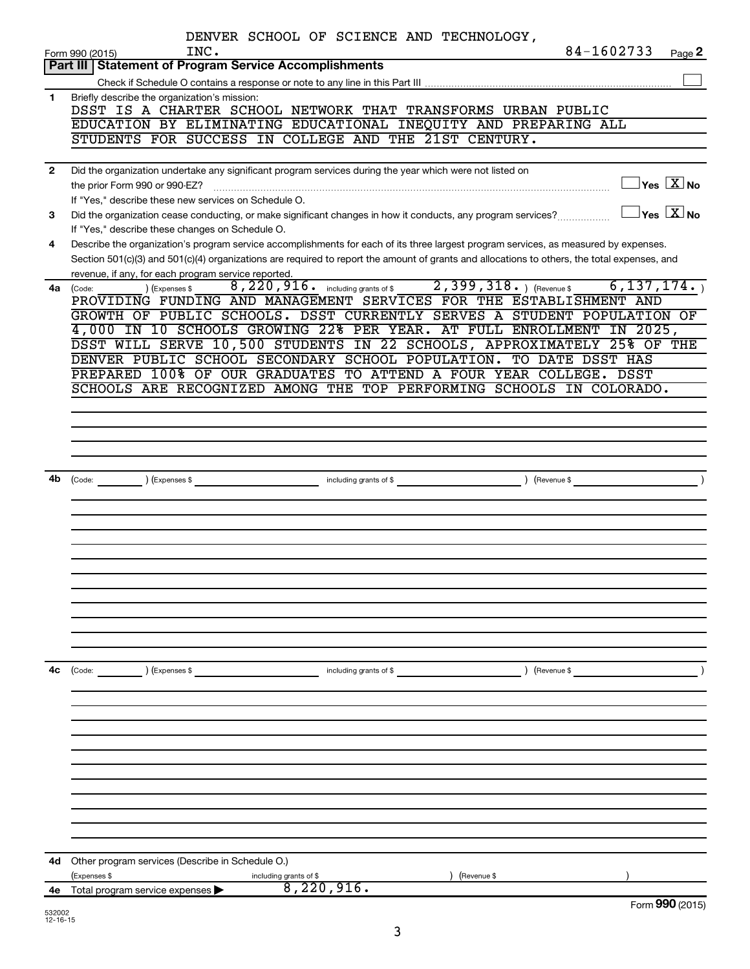|              | DENVER SCHOOL OF SCIENCE AND TECHNOLOGY,                                                                                                                        |                                                                  |
|--------------|-----------------------------------------------------------------------------------------------------------------------------------------------------------------|------------------------------------------------------------------|
|              | 84-1602733<br>INC.<br>Form 990 (2015)                                                                                                                           | Page 2                                                           |
|              | <b>Part III   Statement of Program Service Accomplishments</b>                                                                                                  |                                                                  |
|              |                                                                                                                                                                 |                                                                  |
| 1            | Briefly describe the organization's mission:<br>DSST IS A CHARTER SCHOOL NETWORK THAT TRANSFORMS URBAN PUBLIC                                                   |                                                                  |
|              | EDUCATION BY ELIMINATING EDUCATIONAL INEQUITY AND PREPARING ALL                                                                                                 |                                                                  |
|              | STUDENTS FOR SUCCESS IN COLLEGE AND THE 21ST CENTURY.                                                                                                           |                                                                  |
|              |                                                                                                                                                                 |                                                                  |
| $\mathbf{2}$ | Did the organization undertake any significant program services during the year which were not listed on                                                        |                                                                  |
|              | the prior Form 990 or 990-EZ?                                                                                                                                   | $\Box$ Yes $[\overline{X}]$ No                                   |
|              | If "Yes," describe these new services on Schedule O.                                                                                                            | $\Box$ Yes $\overline{\begin{array}{c} \text{X} \end{array}}$ No |
| 3            | Did the organization cease conducting, or make significant changes in how it conducts, any program services?<br>If "Yes," describe these changes on Schedule O. |                                                                  |
| 4            | Describe the organization's program service accomplishments for each of its three largest program services, as measured by expenses.                            |                                                                  |
|              | Section 501(c)(3) and 501(c)(4) organizations are required to report the amount of grants and allocations to others, the total expenses, and                    |                                                                  |
|              | revenue, if any, for each program service reported.                                                                                                             |                                                                  |
| 4a           | 8, 220, 916. including grants of \$2, 399, 318. ) (Revenue \$<br>(Expenses \$<br>(Code:                                                                         | 6, 137, 174.                                                     |
|              | PROVIDING FUNDING AND MANAGEMENT SERVICES FOR THE ESTABLISHMENT AND                                                                                             |                                                                  |
|              | GROWTH OF PUBLIC SCHOOLS. DSST CURRENTLY SERVES A STUDENT POPULATION OF<br>4,000 IN 10 SCHOOLS GROWING 22% PER YEAR. AT FULL ENROLLMENT IN 2025,                |                                                                  |
|              | DSST WILL SERVE 10,500 STUDENTS IN 22 SCHOOLS, APPROXIMATELY 25% OF THE                                                                                         |                                                                  |
|              | DENVER PUBLIC SCHOOL SECONDARY SCHOOL POPULATION. TO DATE DSST HAS                                                                                              |                                                                  |
|              | PREPARED 100% OF OUR GRADUATES TO ATTEND A FOUR YEAR COLLEGE. DSST                                                                                              |                                                                  |
|              | SCHOOLS ARE RECOGNIZED AMONG THE TOP PERFORMING SCHOOLS IN COLORADO.                                                                                            |                                                                  |
|              |                                                                                                                                                                 |                                                                  |
|              |                                                                                                                                                                 |                                                                  |
|              |                                                                                                                                                                 |                                                                  |
|              |                                                                                                                                                                 |                                                                  |
| 4b           | including grants of \$<br>$\sqrt{3}$ (Revenue \$<br>$\left(\text{Code:} \right) \left(\text{Expenses } \$\right)$                                               | $\overline{\phantom{a}}$                                         |
|              |                                                                                                                                                                 |                                                                  |
|              |                                                                                                                                                                 |                                                                  |
|              |                                                                                                                                                                 |                                                                  |
|              |                                                                                                                                                                 |                                                                  |
|              |                                                                                                                                                                 |                                                                  |
|              |                                                                                                                                                                 |                                                                  |
|              |                                                                                                                                                                 |                                                                  |
|              |                                                                                                                                                                 |                                                                  |
|              |                                                                                                                                                                 |                                                                  |
|              |                                                                                                                                                                 |                                                                  |
|              |                                                                                                                                                                 |                                                                  |
| 4c           | (Code: ) (Expenses \$<br>) (Revenue \$<br>including grants of \$                                                                                                |                                                                  |
|              |                                                                                                                                                                 |                                                                  |
|              |                                                                                                                                                                 |                                                                  |
|              |                                                                                                                                                                 |                                                                  |
|              |                                                                                                                                                                 |                                                                  |
|              |                                                                                                                                                                 |                                                                  |
|              |                                                                                                                                                                 |                                                                  |
|              |                                                                                                                                                                 |                                                                  |
|              |                                                                                                                                                                 |                                                                  |
|              |                                                                                                                                                                 |                                                                  |
|              |                                                                                                                                                                 |                                                                  |
|              |                                                                                                                                                                 |                                                                  |
| 4d           | Other program services (Describe in Schedule O.)<br>(Expenses \$<br>(Revenue \$                                                                                 |                                                                  |
| 4е           | including grants of \$<br>8,220,916.<br>Total program service expenses                                                                                          |                                                                  |
|              |                                                                                                                                                                 | Form 990 (2015)                                                  |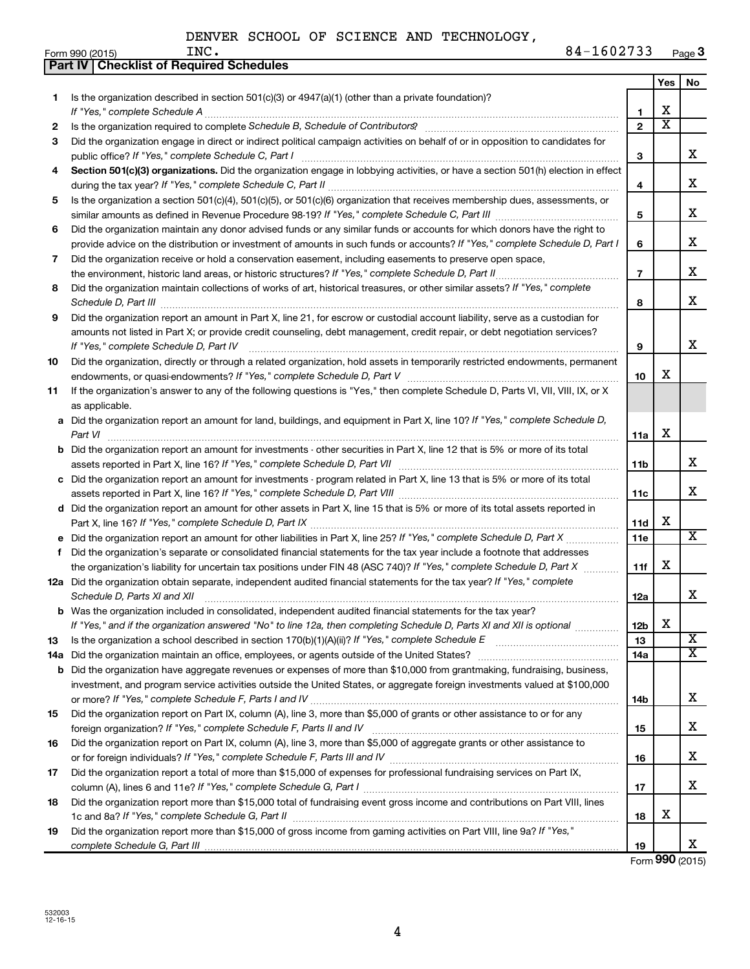|     | Part IV   Checklist of Required Schedules                                                                                                                                                                                                                                                                                                                            |                 |                         |                         |
|-----|----------------------------------------------------------------------------------------------------------------------------------------------------------------------------------------------------------------------------------------------------------------------------------------------------------------------------------------------------------------------|-----------------|-------------------------|-------------------------|
|     |                                                                                                                                                                                                                                                                                                                                                                      |                 | Yes                     | No                      |
| 1   | Is the organization described in section $501(c)(3)$ or $4947(a)(1)$ (other than a private foundation)?                                                                                                                                                                                                                                                              |                 |                         |                         |
|     |                                                                                                                                                                                                                                                                                                                                                                      | 1               | х                       |                         |
| 2   |                                                                                                                                                                                                                                                                                                                                                                      | $\overline{2}$  | $\overline{\textbf{x}}$ |                         |
| 3   | Did the organization engage in direct or indirect political campaign activities on behalf of or in opposition to candidates for                                                                                                                                                                                                                                      |                 |                         |                         |
|     |                                                                                                                                                                                                                                                                                                                                                                      | 3               |                         | x                       |
| 4   | Section 501(c)(3) organizations. Did the organization engage in lobbying activities, or have a section 501(h) election in effect                                                                                                                                                                                                                                     |                 |                         |                         |
|     |                                                                                                                                                                                                                                                                                                                                                                      | 4               |                         | x                       |
| 5   | Is the organization a section 501(c)(4), 501(c)(5), or 501(c)(6) organization that receives membership dues, assessments, or                                                                                                                                                                                                                                         |                 |                         |                         |
|     |                                                                                                                                                                                                                                                                                                                                                                      | 5               |                         | x                       |
| 6   | Did the organization maintain any donor advised funds or any similar funds or accounts for which donors have the right to                                                                                                                                                                                                                                            |                 |                         |                         |
|     | provide advice on the distribution or investment of amounts in such funds or accounts? If "Yes," complete Schedule D, Part I                                                                                                                                                                                                                                         | 6               |                         | x                       |
| 7   | Did the organization receive or hold a conservation easement, including easements to preserve open space,                                                                                                                                                                                                                                                            |                 |                         |                         |
|     | the environment, historic land areas, or historic structures? If "Yes," complete Schedule D, Part II                                                                                                                                                                                                                                                                 | $\overline{7}$  |                         | х                       |
| 8   | Did the organization maintain collections of works of art, historical treasures, or other similar assets? If "Yes," complete                                                                                                                                                                                                                                         |                 |                         |                         |
|     |                                                                                                                                                                                                                                                                                                                                                                      | 8               |                         | x                       |
| 9   | Schedule D, Part III <b>Marting Construction Construction</b> Construction Construction Construction Construction Construction Construction Construction Construction Construction Construction Construction Construction Construct<br>Did the organization report an amount in Part X, line 21, for escrow or custodial account liability, serve as a custodian for |                 |                         |                         |
|     | amounts not listed in Part X; or provide credit counseling, debt management, credit repair, or debt negotiation services?                                                                                                                                                                                                                                            |                 |                         |                         |
|     | If "Yes." complete Schedule D, Part IV                                                                                                                                                                                                                                                                                                                               | 9               |                         | x                       |
| 10  | Did the organization, directly or through a related organization, hold assets in temporarily restricted endowments, permanent                                                                                                                                                                                                                                        |                 |                         |                         |
|     |                                                                                                                                                                                                                                                                                                                                                                      | 10              | x                       |                         |
| 11  | If the organization's answer to any of the following questions is "Yes," then complete Schedule D, Parts VI, VII, VIII, IX, or X                                                                                                                                                                                                                                     |                 |                         |                         |
|     | as applicable.                                                                                                                                                                                                                                                                                                                                                       |                 |                         |                         |
|     | a Did the organization report an amount for land, buildings, and equipment in Part X, line 10? If "Yes," complete Schedule D,                                                                                                                                                                                                                                        |                 |                         |                         |
|     | Part VI                                                                                                                                                                                                                                                                                                                                                              | 11a             | X                       |                         |
|     | <b>b</b> Did the organization report an amount for investments - other securities in Part X, line 12 that is 5% or more of its total                                                                                                                                                                                                                                 |                 |                         |                         |
|     |                                                                                                                                                                                                                                                                                                                                                                      | 11 <sub>b</sub> |                         | х                       |
|     |                                                                                                                                                                                                                                                                                                                                                                      |                 |                         |                         |
|     | c Did the organization report an amount for investments - program related in Part X, line 13 that is 5% or more of its total                                                                                                                                                                                                                                         |                 |                         | x                       |
|     |                                                                                                                                                                                                                                                                                                                                                                      | 11c             |                         |                         |
|     | d Did the organization report an amount for other assets in Part X, line 15 that is 5% or more of its total assets reported in                                                                                                                                                                                                                                       |                 | х                       |                         |
|     |                                                                                                                                                                                                                                                                                                                                                                      | 11d             |                         | $\overline{\mathbf{X}}$ |
|     | Did the organization report an amount for other liabilities in Part X, line 25? If "Yes," complete Schedule D, Part X                                                                                                                                                                                                                                                | 11e             |                         |                         |
| f   | Did the organization's separate or consolidated financial statements for the tax year include a footnote that addresses                                                                                                                                                                                                                                              |                 | X                       |                         |
|     | the organization's liability for uncertain tax positions under FIN 48 (ASC 740)? If "Yes," complete Schedule D, Part X                                                                                                                                                                                                                                               | 11f             |                         |                         |
|     | 12a Did the organization obtain separate, independent audited financial statements for the tax year? If "Yes," complete                                                                                                                                                                                                                                              |                 |                         | x                       |
|     | Schedule D, Parts XI and XII                                                                                                                                                                                                                                                                                                                                         | 12a             |                         |                         |
| b   | Was the organization included in consolidated, independent audited financial statements for the tax year?                                                                                                                                                                                                                                                            |                 | х                       |                         |
|     | If "Yes," and if the organization answered "No" to line 12a, then completing Schedule D, Parts XI and XII is optional                                                                                                                                                                                                                                                | 12 <sub>b</sub> |                         | х                       |
| 13  |                                                                                                                                                                                                                                                                                                                                                                      | 13<br>14a       |                         | $\overline{\mathbf{x}}$ |
| 14a | Did the organization maintain an office, employees, or agents outside of the United States?                                                                                                                                                                                                                                                                          |                 |                         |                         |
| b   | Did the organization have aggregate revenues or expenses of more than \$10,000 from grantmaking, fundraising, business,                                                                                                                                                                                                                                              |                 |                         |                         |
|     | investment, and program service activities outside the United States, or aggregate foreign investments valued at \$100,000                                                                                                                                                                                                                                           |                 |                         | x                       |
|     |                                                                                                                                                                                                                                                                                                                                                                      | 14 <sub>b</sub> |                         |                         |
| 15  | Did the organization report on Part IX, column (A), line 3, more than \$5,000 of grants or other assistance to or for any                                                                                                                                                                                                                                            |                 |                         | x                       |
|     |                                                                                                                                                                                                                                                                                                                                                                      | 15              |                         |                         |
| 16  | Did the organization report on Part IX, column (A), line 3, more than \$5,000 of aggregate grants or other assistance to                                                                                                                                                                                                                                             |                 |                         | x                       |
|     |                                                                                                                                                                                                                                                                                                                                                                      | 16              |                         |                         |
| 17  | Did the organization report a total of more than \$15,000 of expenses for professional fundraising services on Part IX,                                                                                                                                                                                                                                              |                 |                         |                         |
|     |                                                                                                                                                                                                                                                                                                                                                                      | 17              |                         | x                       |
| 18  | Did the organization report more than \$15,000 total of fundraising event gross income and contributions on Part VIII, lines                                                                                                                                                                                                                                         |                 | х                       |                         |
|     |                                                                                                                                                                                                                                                                                                                                                                      | 18              |                         |                         |
| 19  | Did the organization report more than \$15,000 of gross income from gaming activities on Part VIII, line 9a? If "Yes,"                                                                                                                                                                                                                                               |                 |                         |                         |
|     |                                                                                                                                                                                                                                                                                                                                                                      | 19              |                         | x.                      |

Form **990** (2015)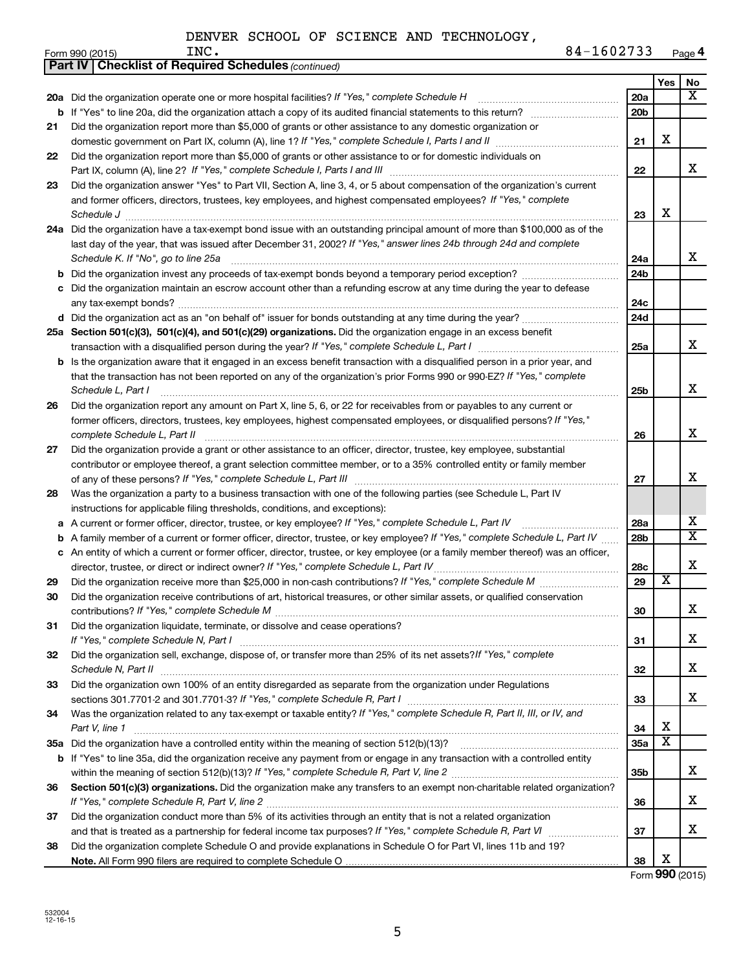|    | <b>Part IV   Checklist of Required Schedules (continued)</b>                                                                        |                 |                         |                         |
|----|-------------------------------------------------------------------------------------------------------------------------------------|-----------------|-------------------------|-------------------------|
|    |                                                                                                                                     |                 | Yes                     | No                      |
|    | 20a Did the organization operate one or more hospital facilities? If "Yes," complete Schedule H                                     | 20a             |                         | x                       |
|    |                                                                                                                                     | 20 <sub>b</sub> |                         |                         |
| 21 | Did the organization report more than \$5,000 of grants or other assistance to any domestic organization or                         |                 |                         |                         |
|    |                                                                                                                                     | 21              | X                       |                         |
| 22 | Did the organization report more than \$5,000 of grants or other assistance to or for domestic individuals on                       |                 |                         |                         |
|    |                                                                                                                                     | 22              |                         | x                       |
| 23 | Did the organization answer "Yes" to Part VII, Section A, line 3, 4, or 5 about compensation of the organization's current          |                 |                         |                         |
|    | and former officers, directors, trustees, key employees, and highest compensated employees? If "Yes," complete                      |                 |                         |                         |
|    | Schedule J <b>Execute Schedule J Execute Schedule J</b>                                                                             | 23              | X                       |                         |
|    | 24a Did the organization have a tax-exempt bond issue with an outstanding principal amount of more than \$100,000 as of the         |                 |                         |                         |
|    | last day of the year, that was issued after December 31, 2002? If "Yes," answer lines 24b through 24d and complete                  |                 |                         |                         |
|    | Schedule K. If "No", go to line 25a                                                                                                 | 24a             |                         | x                       |
| b  |                                                                                                                                     | 24 <sub>b</sub> |                         |                         |
|    | c Did the organization maintain an escrow account other than a refunding escrow at any time during the year to defease              |                 |                         |                         |
|    |                                                                                                                                     | 24c             |                         |                         |
|    |                                                                                                                                     | 24d             |                         |                         |
|    | 25a Section 501(c)(3), 501(c)(4), and 501(c)(29) organizations. Did the organization engage in an excess benefit                    |                 |                         |                         |
|    |                                                                                                                                     | 25a             |                         | x                       |
|    | <b>b</b> Is the organization aware that it engaged in an excess benefit transaction with a disqualified person in a prior year, and |                 |                         |                         |
|    | that the transaction has not been reported on any of the organization's prior Forms 990 or 990-EZ? If "Yes," complete               |                 |                         |                         |
|    | Schedule L, Part I                                                                                                                  | 25b             |                         | х                       |
| 26 | Did the organization report any amount on Part X, line 5, 6, or 22 for receivables from or payables to any current or               |                 |                         |                         |
|    | former officers, directors, trustees, key employees, highest compensated employees, or disqualified persons? If "Yes,"              |                 |                         |                         |
|    | complete Schedule L, Part II                                                                                                        | 26              |                         | х                       |
| 27 | Did the organization provide a grant or other assistance to an officer, director, trustee, key employee, substantial                |                 |                         |                         |
|    | contributor or employee thereof, a grant selection committee member, or to a 35% controlled entity or family member                 |                 |                         |                         |
|    |                                                                                                                                     | 27              |                         | х                       |
| 28 | Was the organization a party to a business transaction with one of the following parties (see Schedule L, Part IV                   |                 |                         |                         |
|    | instructions for applicable filing thresholds, conditions, and exceptions):                                                         |                 |                         |                         |
| а  | A current or former officer, director, trustee, or key employee? If "Yes," complete Schedule L, Part IV                             | 28a             |                         | х                       |
| b  | A family member of a current or former officer, director, trustee, or key employee? If "Yes," complete Schedule L, Part IV          | 28b             |                         | $\overline{\textbf{X}}$ |
|    | c An entity of which a current or former officer, director, trustee, or key employee (or a family member thereof) was an officer,   |                 |                         |                         |
|    | director, trustee, or direct or indirect owner? If "Yes," complete Schedule L, Part IV                                              | 28c             |                         | х                       |
| 29 |                                                                                                                                     | 29              | $\overline{\mathbf{x}}$ |                         |
| 30 | Did the organization receive contributions of art, historical treasures, or other similar assets, or qualified conservation         |                 |                         |                         |
|    |                                                                                                                                     | 30              |                         | ▵                       |
| 31 | Did the organization liquidate, terminate, or dissolve and cease operations?                                                        |                 |                         |                         |
|    |                                                                                                                                     | 31              |                         | x                       |
| 32 | Did the organization sell, exchange, dispose of, or transfer more than 25% of its net assets? If "Yes," complete                    |                 |                         |                         |
|    | Schedule N, Part II                                                                                                                 | 32              |                         | x                       |
| 33 | Did the organization own 100% of an entity disregarded as separate from the organization under Regulations                          |                 |                         |                         |
|    |                                                                                                                                     | 33              |                         | x                       |
| 34 | Was the organization related to any tax-exempt or taxable entity? If "Yes," complete Schedule R, Part II, III, or IV, and           |                 |                         |                         |
|    | Part V, line 1                                                                                                                      | 34              | х                       |                         |
|    |                                                                                                                                     | 35a             | $\overline{\mathbf{X}}$ |                         |
|    | b If "Yes" to line 35a, did the organization receive any payment from or engage in any transaction with a controlled entity         |                 |                         |                         |
|    |                                                                                                                                     | 35b             |                         | x                       |
| 36 | Section 501(c)(3) organizations. Did the organization make any transfers to an exempt non-charitable related organization?          |                 |                         |                         |
|    |                                                                                                                                     | 36              |                         | x                       |
| 37 | Did the organization conduct more than 5% of its activities through an entity that is not a related organization                    |                 |                         |                         |
|    |                                                                                                                                     | 37              |                         | x                       |
| 38 | Did the organization complete Schedule O and provide explanations in Schedule O for Part VI, lines 11b and 19?                      |                 |                         |                         |
|    |                                                                                                                                     | 38              | х                       |                         |

Form **990** (2015)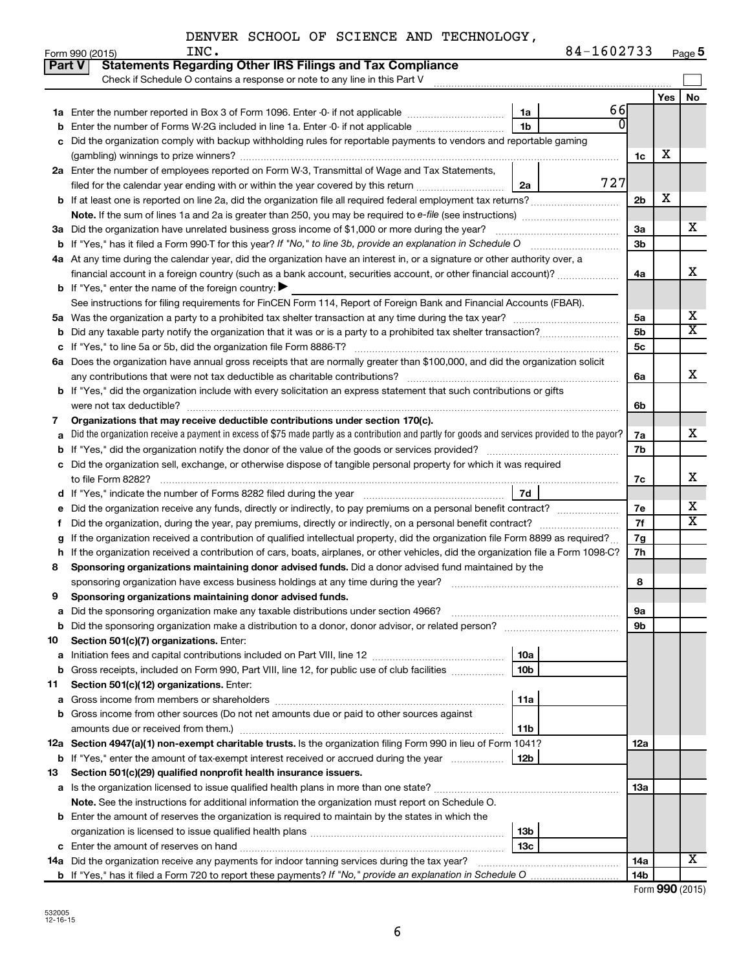| $-1602733$<br>Page 5 |
|----------------------|
|----------------------|

|        | 84-1602733<br>INC.<br>Form 990 (2015)                                                                                                           |                 |     | Page 5                  |
|--------|-------------------------------------------------------------------------------------------------------------------------------------------------|-----------------|-----|-------------------------|
| Part V | <b>Statements Regarding Other IRS Filings and Tax Compliance</b>                                                                                |                 |     |                         |
|        | Check if Schedule O contains a response or note to any line in this Part V                                                                      |                 |     |                         |
|        |                                                                                                                                                 |                 | Yes | No                      |
| ٦а     | 66<br>Enter the number reported in Box 3 of Form 1096. Enter -0- if not applicable<br>1a                                                        |                 |     |                         |
| b      | $\Omega$<br>1 <sub>b</sub><br>Enter the number of Forms W-2G included in line 1a. Enter -0- if not applicable                                   |                 |     |                         |
| c      | Did the organization comply with backup withholding rules for reportable payments to vendors and reportable gaming                              |                 |     |                         |
|        |                                                                                                                                                 | 1c              | х   |                         |
|        | 2a Enter the number of employees reported on Form W-3, Transmittal of Wage and Tax Statements,                                                  |                 |     |                         |
|        | 727<br>filed for the calendar year ending with or within the year covered by this return<br>2a                                                  |                 |     |                         |
|        |                                                                                                                                                 | 2 <sub>b</sub>  | х   |                         |
|        |                                                                                                                                                 |                 |     |                         |
|        | 3a Did the organization have unrelated business gross income of \$1,000 or more during the year?                                                | 3a              |     | x                       |
|        | <b>b</b> If "Yes," has it filed a Form 990-T for this year? If "No," to line 3b, provide an explanation in Schedule O                           | 3b              |     |                         |
|        | 4a At any time during the calendar year, did the organization have an interest in, or a signature or other authority over, a                    |                 |     |                         |
|        | financial account in a foreign country (such as a bank account, securities account, or other financial account)?                                | 4a              |     | X                       |
|        | <b>b</b> If "Yes," enter the name of the foreign country: $\blacktriangleright$                                                                 |                 |     |                         |
|        | See instructions for filing requirements for FinCEN Form 114, Report of Foreign Bank and Financial Accounts (FBAR).                             |                 |     |                         |
|        |                                                                                                                                                 | 5a              |     | x                       |
| b      |                                                                                                                                                 | 5b              |     | $\overline{\mathtt{x}}$ |
| с      |                                                                                                                                                 | 5c              |     |                         |
|        | 6a Does the organization have annual gross receipts that are normally greater than \$100,000, and did the organization solicit                  |                 |     |                         |
|        |                                                                                                                                                 | 6a              |     | x                       |
|        | <b>b</b> If "Yes," did the organization include with every solicitation an express statement that such contributions or gifts                   |                 |     |                         |
|        |                                                                                                                                                 | 6b              |     |                         |
| 7      | Organizations that may receive deductible contributions under section 170(c).                                                                   |                 |     |                         |
| a      | Did the organization receive a payment in excess of \$75 made partly as a contribution and partly for goods and services provided to the payor? | 7a              |     | x                       |
| b      | If "Yes," did the organization notify the donor of the value of the goods or services provided?                                                 | 7b              |     |                         |
| с      | Did the organization sell, exchange, or otherwise dispose of tangible personal property for which it was required                               |                 |     |                         |
|        |                                                                                                                                                 | 7c              |     | х                       |
| d      | <b>7d</b>                                                                                                                                       |                 |     |                         |
| е      | Did the organization receive any funds, directly or indirectly, to pay premiums on a personal benefit contract?                                 | 7e              |     | x                       |
| f      | Did the organization, during the year, pay premiums, directly or indirectly, on a personal benefit contract?                                    | 7f              |     | $\overline{\mathbf{X}}$ |
|        | If the organization received a contribution of qualified intellectual property, did the organization file Form 8899 as required?                | 7g              |     |                         |
| h      | If the organization received a contribution of cars, boats, airplanes, or other vehicles, did the organization file a Form 1098-C?              | 7h              |     |                         |
| 8      | Sponsoring organizations maintaining donor advised funds. Did a donor advised fund maintained by the                                            |                 |     |                         |
|        | sponsoring organization have excess business holdings at any time during the year?                                                              | 8               |     |                         |
|        | Sponsoring organizations maintaining donor advised funds.                                                                                       |                 |     |                         |
| a      | Did the sponsoring organization make any taxable distributions under section 4966?                                                              | 9а              |     |                         |
| b      | Did the sponsoring organization make a distribution to a donor, donor advisor, or related person?                                               | 9b              |     |                         |
| 10     | Section 501(c)(7) organizations. Enter:                                                                                                         |                 |     |                         |
| а      | 10a                                                                                                                                             |                 |     |                         |
| b      | 10 <sub>b</sub><br>Gross receipts, included on Form 990, Part VIII, line 12, for public use of club facilities                                  |                 |     |                         |
| 11     | Section 501(c)(12) organizations. Enter:                                                                                                        |                 |     |                         |
| a      | 11a                                                                                                                                             |                 |     |                         |
| b      | Gross income from other sources (Do not net amounts due or paid to other sources against                                                        |                 |     |                         |
|        | 11 <sub>b</sub><br>amounts due or received from them.)                                                                                          |                 |     |                         |
|        | 12a Section 4947(a)(1) non-exempt charitable trusts. Is the organization filing Form 990 in lieu of Form 1041?                                  | 12a             |     |                         |
|        | 12b<br><b>b</b> If "Yes," enter the amount of tax-exempt interest received or accrued during the year                                           |                 |     |                         |
| 13     | Section 501(c)(29) qualified nonprofit health insurance issuers.                                                                                |                 |     |                         |
|        | a Is the organization licensed to issue qualified health plans in more than one state?                                                          | 13a             |     |                         |
|        | Note. See the instructions for additional information the organization must report on Schedule O.                                               |                 |     |                         |
|        | <b>b</b> Enter the amount of reserves the organization is required to maintain by the states in which the                                       |                 |     |                         |
|        | 13 <sub>b</sub>                                                                                                                                 |                 |     |                         |
|        | 13 <sub>c</sub>                                                                                                                                 |                 |     |                         |
|        | 14a Did the organization receive any payments for indoor tanning services during the tax year?                                                  | 14a             |     | $\overline{\mathbf{X}}$ |
|        |                                                                                                                                                 | 14 <sub>b</sub> |     |                         |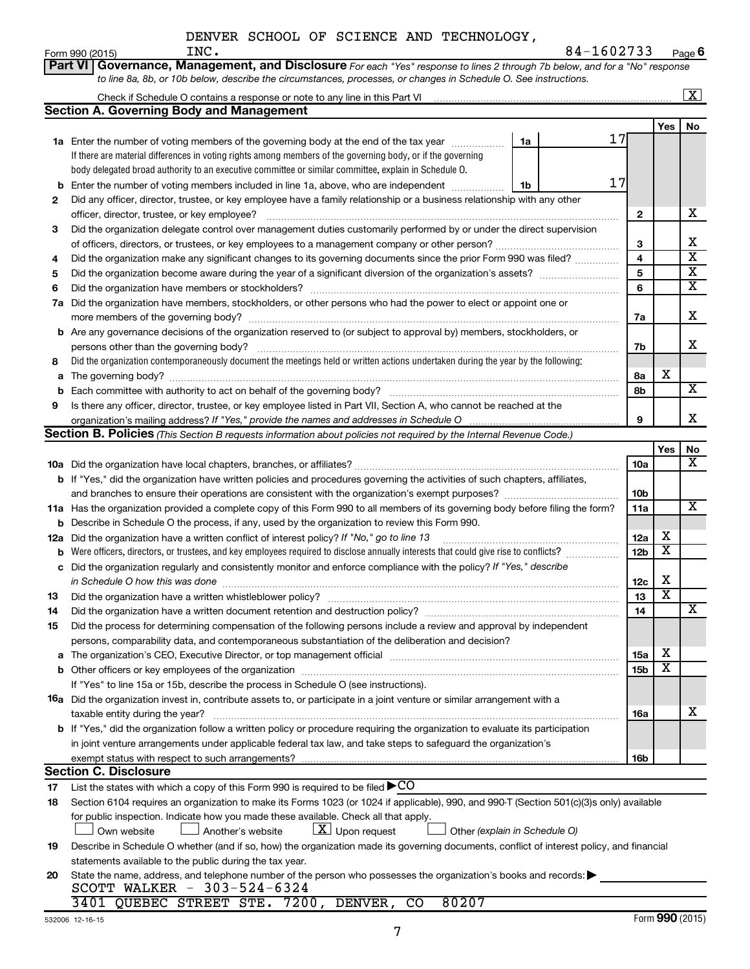| DENVER SCHOOL OF SCIENCE AND TECHNOLOGY, |
|------------------------------------------|
|------------------------------------------|

|     | INC.<br>Form 990 (2015)                                                                                                                                                                                                        |    | 84-1602733 |                 |                         | Page 6                  |
|-----|--------------------------------------------------------------------------------------------------------------------------------------------------------------------------------------------------------------------------------|----|------------|-----------------|-------------------------|-------------------------|
|     | Governance, Management, and Disclosure For each "Yes" response to lines 2 through 7b below, and for a "No" response<br><b>Part VI</b>                                                                                          |    |            |                 |                         |                         |
|     | to line 8a, 8b, or 10b below, describe the circumstances, processes, or changes in Schedule O. See instructions.                                                                                                               |    |            |                 |                         |                         |
|     |                                                                                                                                                                                                                                |    |            |                 |                         | $\boxed{\text{X}}$      |
|     | Section A. Governing Body and Management                                                                                                                                                                                       |    |            |                 |                         |                         |
|     |                                                                                                                                                                                                                                |    |            |                 | Yes                     | No                      |
|     | 1a Enter the number of voting members of the governing body at the end of the tax year                                                                                                                                         | 1a | 17         |                 |                         |                         |
|     | If there are material differences in voting rights among members of the governing body, or if the governing                                                                                                                    |    |            |                 |                         |                         |
|     | body delegated broad authority to an executive committee or similar committee, explain in Schedule O.                                                                                                                          |    |            |                 |                         |                         |
| b   | Enter the number of voting members included in line 1a, above, who are independent                                                                                                                                             | 1b | 17         |                 |                         |                         |
| 2   | Did any officer, director, trustee, or key employee have a family relationship or a business relationship with any other                                                                                                       |    |            |                 |                         |                         |
|     | officer, director, trustee, or key employee?                                                                                                                                                                                   |    |            | $\mathbf{2}$    |                         | х                       |
| 3   | Did the organization delegate control over management duties customarily performed by or under the direct supervision                                                                                                          |    |            |                 |                         |                         |
|     |                                                                                                                                                                                                                                |    |            | 3               |                         | X                       |
| 4   | Did the organization make any significant changes to its governing documents since the prior Form 990 was filed?                                                                                                               |    |            | 4               |                         | $\overline{\textbf{X}}$ |
| 5   |                                                                                                                                                                                                                                |    |            | 5               |                         | $\overline{\textbf{X}}$ |
| 6   |                                                                                                                                                                                                                                |    |            | 6               |                         | $\overline{\textbf{x}}$ |
| 7a  | Did the organization have members, stockholders, or other persons who had the power to elect or appoint one or                                                                                                                 |    |            |                 |                         |                         |
|     | more members of the governing body?                                                                                                                                                                                            |    |            | 7a              |                         | X                       |
|     | <b>b</b> Are any governance decisions of the organization reserved to (or subject to approval by) members, stockholders, or                                                                                                    |    |            |                 |                         |                         |
|     | persons other than the governing body?                                                                                                                                                                                         |    |            | 7b              |                         | x                       |
| 8   | Did the organization contemporaneously document the meetings held or written actions undertaken during the year by the following:                                                                                              |    |            |                 |                         |                         |
| а   | The governing body?                                                                                                                                                                                                            |    |            | 8а              | X                       |                         |
| b   |                                                                                                                                                                                                                                |    |            | 8b              |                         | $\overline{\mathbf{X}}$ |
| 9   | Is there any officer, director, trustee, or key employee listed in Part VII, Section A, who cannot be reached at the                                                                                                           |    |            |                 |                         |                         |
|     |                                                                                                                                                                                                                                |    |            | 9               |                         | х                       |
|     | Section B. Policies (This Section B requests information about policies not required by the Internal Revenue Code.)                                                                                                            |    |            |                 |                         |                         |
|     |                                                                                                                                                                                                                                |    |            |                 | Yes                     | No                      |
|     |                                                                                                                                                                                                                                |    |            | 10a             |                         | x                       |
|     | <b>b</b> If "Yes," did the organization have written policies and procedures governing the activities of such chapters, affiliates,                                                                                            |    |            |                 |                         |                         |
|     | and branches to ensure their operations are consistent with the organization's exempt purposes? www.www.www.www.                                                                                                               |    |            | 10b             |                         |                         |
|     | 11a Has the organization provided a complete copy of this Form 990 to all members of its governing body before filing the form?                                                                                                |    |            | 11a             |                         | x                       |
|     | <b>b</b> Describe in Schedule O the process, if any, used by the organization to review this Form 990.                                                                                                                         |    |            |                 |                         |                         |
| 12a | Did the organization have a written conflict of interest policy? If "No," go to line 13                                                                                                                                        |    |            | 12a             | х                       |                         |
| b   | Were officers, directors, or trustees, and key employees required to disclose annually interests that could give rise to conflicts?                                                                                            |    |            | 12 <sub>b</sub> | X                       |                         |
| с   | Did the organization regularly and consistently monitor and enforce compliance with the policy? If "Yes," describe                                                                                                             |    |            |                 |                         |                         |
|     |                                                                                                                                                                                                                                |    |            | 12c             | х                       |                         |
| 13  | Did the organization have a written whistleblower policy?                                                                                                                                                                      |    |            | 13              | $\overline{\texttt{x}}$ |                         |
| 14  | Did the organization have a written document retention and destruction policy? [11] manufaction manufaction in                                                                                                                 |    |            | 14              |                         | X                       |
| 15  | Did the process for determining compensation of the following persons include a review and approval by independent                                                                                                             |    |            |                 |                         |                         |
|     | persons, comparability data, and contemporaneous substantiation of the deliberation and decision?                                                                                                                              |    |            |                 |                         |                         |
| а   | The organization's CEO, Executive Director, or top management official manufactured content of the organization's CEO, Executive Director, or top management official manufactured content of the state of the state of the st |    |            | <b>15a</b>      | х<br>X                  |                         |
| b   |                                                                                                                                                                                                                                |    |            | 15 <sub>b</sub> |                         |                         |
|     | If "Yes" to line 15a or 15b, describe the process in Schedule O (see instructions).                                                                                                                                            |    |            |                 |                         |                         |
|     | <b>16a</b> Did the organization invest in, contribute assets to, or participate in a joint venture or similar arrangement with a                                                                                               |    |            |                 |                         | х                       |
|     | taxable entity during the year?                                                                                                                                                                                                |    |            | 16a             |                         |                         |
|     | b If "Yes," did the organization follow a written policy or procedure requiring the organization to evaluate its participation                                                                                                 |    |            |                 |                         |                         |
|     | in joint venture arrangements under applicable federal tax law, and take steps to safeguard the organization's                                                                                                                 |    |            |                 |                         |                         |
|     | exempt status with respect to such arrangements?<br><b>Section C. Disclosure</b>                                                                                                                                               |    |            | 16b             |                         |                         |
|     | List the states with which a copy of this Form 990 is required to be filed $\blacktriangleright$ CO                                                                                                                            |    |            |                 |                         |                         |
| 17  |                                                                                                                                                                                                                                |    |            |                 |                         |                         |
| 18  | Section 6104 requires an organization to make its Forms 1023 (or 1024 if applicable), 990, and 990-T (Section 501(c)(3)s only) available                                                                                       |    |            |                 |                         |                         |
|     | for public inspection. Indicate how you made these available. Check all that apply.<br>$\lfloor \underline{X} \rfloor$ Upon request<br>Another's website<br>Other (explain in Schedule O)<br>Own website                       |    |            |                 |                         |                         |
|     | Describe in Schedule O whether (and if so, how) the organization made its governing documents, conflict of interest policy, and financial                                                                                      |    |            |                 |                         |                         |
| 19  | statements available to the public during the tax year.                                                                                                                                                                        |    |            |                 |                         |                         |
| 20  | State the name, address, and telephone number of the person who possesses the organization's books and records:                                                                                                                |    |            |                 |                         |                         |
|     | SCOTT WALKER - 303-524-6324                                                                                                                                                                                                    |    |            |                 |                         |                         |
|     | 80207<br>3401 QUEBEC STREET STE. 7200, DENVER, CO                                                                                                                                                                              |    |            |                 |                         |                         |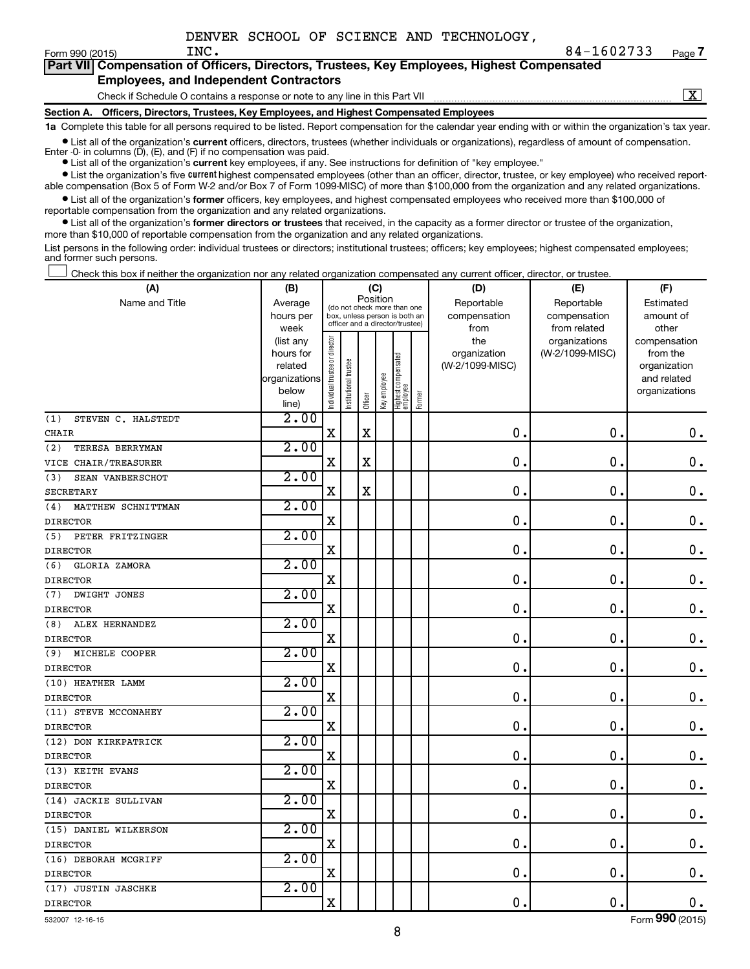| Part VII Compensation of Officers, Directors, Trustees, Key Employees, Highest Compensated |
|--------------------------------------------------------------------------------------------|
| <b>Employees, and Independent Contractors</b>                                              |

Check if Schedule O contains a response or note to any line in this Part VII

 $\boxed{\text{X}}$ 

**Section A. Officers, Directors, Trustees, Key Employees, and Highest Compensated Employees 1a**  Complete this table for all persons required to be listed. Report compensation for the calendar year ending with or within the organization's tax year.

**•** List all of the organization's current officers, directors, trustees (whether individuals or organizations), regardless of amount of compensation.

Enter -0- in columns  $(D)$ ,  $(E)$ , and  $(F)$  if no compensation was paid.

**•** List all of the organization's **current** key employees, if any. See instructions for definition of "key employee."

**•** List the organization's five current highest compensated employees (other than an officer, director, trustee, or key employee) who received reportable compensation (Box 5 of Form W-2 and/or Box 7 of Form 1099-MISC) of more than \$100,000 from the organization and any related organizations.

**•** List all of the organization's former officers, key employees, and highest compensated employees who received more than \$100,000 of reportable compensation from the organization and any related organizations.

**•** List all of the organization's former directors or trustees that received, in the capacity as a former director or trustee of the organization, more than \$10,000 of reportable compensation from the organization and any related organizations.

List persons in the following order: individual trustees or directors; institutional trustees; officers; key employees; highest compensated employees; and former such persons.

Check this box if neither the organization nor any related organization compensated any current officer, director, or trustee.  $\Box$ 

| (A)                         | (B)                    |                                |                                                                  |             | (C)          |                                 |        | (D)             | (E)             | (F)                          |
|-----------------------------|------------------------|--------------------------------|------------------------------------------------------------------|-------------|--------------|---------------------------------|--------|-----------------|-----------------|------------------------------|
| Name and Title              | Average                |                                | (do not check more than one                                      | Position    |              |                                 |        | Reportable      | Reportable      | Estimated                    |
|                             | hours per              |                                | box, unless person is both an<br>officer and a director/trustee) |             |              |                                 |        | compensation    | compensation    | amount of                    |
|                             | week                   |                                |                                                                  |             |              |                                 |        | from            | from related    | other                        |
|                             | (list any              |                                |                                                                  |             |              |                                 |        | the             | organizations   | compensation                 |
|                             | hours for              |                                |                                                                  |             |              |                                 |        | organization    | (W-2/1099-MISC) | from the                     |
|                             | related                |                                |                                                                  |             |              |                                 |        | (W-2/1099-MISC) |                 | organization                 |
|                             | organizations<br>below |                                |                                                                  |             |              |                                 |        |                 |                 | and related<br>organizations |
|                             | line)                  | Individual trustee or director | Institutional trustee                                            | Officer     | Key employee | Highest compensated<br>employee | Former |                 |                 |                              |
| STEVEN C. HALSTEDT<br>(1)   | 2.00                   |                                |                                                                  |             |              |                                 |        |                 |                 |                              |
| <b>CHAIR</b>                |                        | $\mathbf X$                    |                                                                  | $\mathbf x$ |              |                                 |        | $\mathbf 0$ .   | $\mathbf 0$ .   | $\mathbf 0$ .                |
| (2)<br>TERESA BERRYMAN      | 2.00                   |                                |                                                                  |             |              |                                 |        |                 |                 |                              |
| VICE CHAIR/TREASURER        |                        | $\mathbf X$                    |                                                                  | $\mathbf X$ |              |                                 |        | 0.              | $\mathbf 0$ .   | $\mathbf 0$ .                |
| (3)<br>SEAN VANBERSCHOT     | 2.00                   |                                |                                                                  |             |              |                                 |        |                 |                 |                              |
| <b>SECRETARY</b>            |                        | $\mathbf x$                    |                                                                  | $\mathbf X$ |              |                                 |        | $\mathbf 0$     | $\mathbf 0$ .   | $\mathbf 0$ .                |
| MATTHEW SCHNITTMAN<br>(4)   | 2.00                   |                                |                                                                  |             |              |                                 |        |                 |                 |                              |
| <b>DIRECTOR</b>             |                        | $\mathbf X$                    |                                                                  |             |              |                                 |        | 0.              | $\mathbf 0$ .   | $\mathbf 0$ .                |
| (5)<br>PETER FRITZINGER     | 2.00                   |                                |                                                                  |             |              |                                 |        |                 |                 |                              |
| <b>DIRECTOR</b>             |                        | $\mathbf X$                    |                                                                  |             |              |                                 |        | 0.              | $\mathbf 0$ .   | $\mathbf 0$ .                |
| (6)<br><b>GLORIA ZAMORA</b> | 2.00                   |                                |                                                                  |             |              |                                 |        |                 |                 |                              |
| <b>DIRECTOR</b>             |                        | $\mathbf X$                    |                                                                  |             |              |                                 |        | $\mathbf 0$     | $\mathbf 0$ .   | $\mathbf 0$ .                |
| DWIGHT JONES<br>(7)         | 2.00                   |                                |                                                                  |             |              |                                 |        |                 |                 |                              |
| <b>DIRECTOR</b>             |                        | $\mathbf X$                    |                                                                  |             |              |                                 |        | $\mathbf 0$     | $\mathbf 0$ .   | 0.                           |
| ALEX HERNANDEZ<br>(8)       | 2.00                   |                                |                                                                  |             |              |                                 |        |                 |                 |                              |
| <b>DIRECTOR</b>             |                        | $\mathbf X$                    |                                                                  |             |              |                                 |        | $\mathbf 0$     | $\mathbf 0$ .   | $\mathbf 0$ .                |
| (9)<br>MICHELE COOPER       | 2.00                   |                                |                                                                  |             |              |                                 |        |                 |                 |                              |
| <b>DIRECTOR</b>             |                        | $\mathbf X$                    |                                                                  |             |              |                                 |        | $\mathbf{0}$ .  | $\mathbf 0$ .   | $\mathbf 0$ .                |
| (10) HEATHER LAMM           | 2.00                   |                                |                                                                  |             |              |                                 |        |                 |                 |                              |
| <b>DIRECTOR</b>             |                        | X                              |                                                                  |             |              |                                 |        | 0               | 0.              | $\mathbf 0$ .                |
| (11) STEVE MCCONAHEY        | 2.00                   |                                |                                                                  |             |              |                                 |        |                 |                 |                              |
| <b>DIRECTOR</b>             |                        | X                              |                                                                  |             |              |                                 |        | $\mathbf{0}$    | $\mathbf 0$     | $0$ .                        |
| (12) DON KIRKPATRICK        | 2.00                   |                                |                                                                  |             |              |                                 |        |                 |                 |                              |
| <b>DIRECTOR</b>             |                        | X                              |                                                                  |             |              |                                 |        | 0               | $\mathbf 0$ .   | $\mathbf 0$ .                |
| (13) KEITH EVANS            | 2.00                   |                                |                                                                  |             |              |                                 |        |                 |                 |                              |
| <b>DIRECTOR</b>             |                        | $\mathbf X$                    |                                                                  |             |              |                                 |        | $\mathbf 0$     | $\mathbf 0$ .   | $\mathbf 0$ .                |
| (14) JACKIE SULLIVAN        | 2.00                   |                                |                                                                  |             |              |                                 |        |                 |                 |                              |
| <b>DIRECTOR</b>             |                        | X                              |                                                                  |             |              |                                 |        | $\mathbf 0$     | $\mathbf 0$ .   | $\mathbf 0$ .                |
| (15) DANIEL WILKERSON       | 2.00                   |                                |                                                                  |             |              |                                 |        |                 |                 |                              |
| <b>DIRECTOR</b>             |                        | X                              |                                                                  |             |              |                                 |        | $\mathbf 0$     | $\mathbf 0$ .   | $\mathbf 0$ .                |
| (16) DEBORAH MCGRIFF        | 2.00                   |                                |                                                                  |             |              |                                 |        |                 |                 |                              |
| <b>DIRECTOR</b>             |                        | X                              |                                                                  |             |              |                                 |        | 0               | 0.              | 0.                           |
| (17) JUSTIN JASCHKE         | 2.00                   |                                |                                                                  |             |              |                                 |        |                 |                 |                              |
| <b>DIRECTOR</b>             |                        | X                              |                                                                  |             |              |                                 |        | $\mathbf 0$     | $\mathbf 0$ .   | $0$ .                        |

532007 12-16-15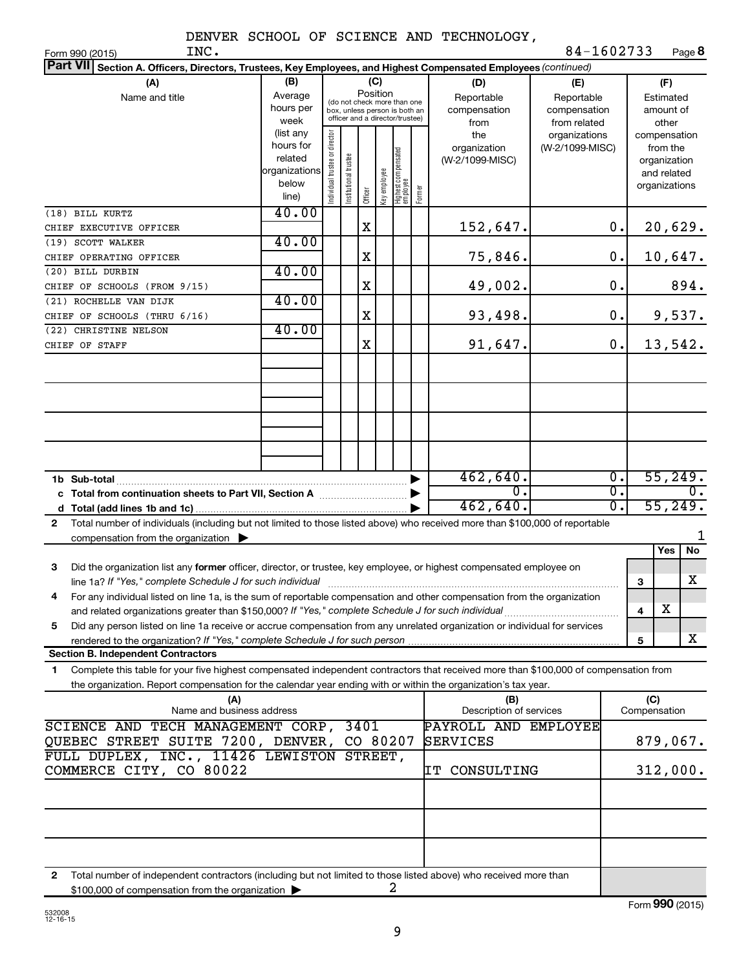|  |  |  |  |  | DENVER SCHOOL OF SCIENCE AND TECHNOLOGY, |
|--|--|--|--|--|------------------------------------------|
|--|--|--|--|--|------------------------------------------|

| INC.<br>Form 990 (2015)                                                                                                                      |               |                               |                                                              |         |              |                                  |                  |                         | 84-1602733      |              |                  | Page 8  |
|----------------------------------------------------------------------------------------------------------------------------------------------|---------------|-------------------------------|--------------------------------------------------------------|---------|--------------|----------------------------------|------------------|-------------------------|-----------------|--------------|------------------|---------|
| <b>Part VII</b><br>Section A. Officers, Directors, Trustees, Key Employees, and Highest Compensated Employees (continued)                    |               |                               |                                                              |         |              |                                  |                  |                         |                 |              |                  |         |
| (A)                                                                                                                                          | (B)           |                               |                                                              | (C)     |              |                                  |                  | (D)                     | (E)             |              | (F)              |         |
| Name and title                                                                                                                               | Average       |                               |                                                              |         | Position     |                                  |                  | Reportable              | Reportable      |              | Estimated        |         |
|                                                                                                                                              | hours per     |                               | (do not check more than one<br>box, unless person is both an |         |              |                                  |                  | compensation            | compensation    |              | amount of        |         |
|                                                                                                                                              | week          |                               | officer and a director/trustee)                              |         |              |                                  |                  | from                    | from related    |              | other            |         |
|                                                                                                                                              | (list any     |                               |                                                              |         |              |                                  |                  | the                     | organizations   |              | compensation     |         |
|                                                                                                                                              | hours for     |                               |                                                              |         |              |                                  |                  | organization            | (W-2/1099-MISC) |              | from the         |         |
|                                                                                                                                              | related       |                               |                                                              |         |              |                                  |                  | (W-2/1099-MISC)         |                 |              | organization     |         |
|                                                                                                                                              | organizations |                               |                                                              |         |              |                                  |                  |                         |                 |              | and related      |         |
|                                                                                                                                              | below         | ndividual trustee or director | Institutional trustee                                        |         |              |                                  |                  |                         |                 |              | organizations    |         |
|                                                                                                                                              | line)         |                               |                                                              | Officer | Key employee | Highest compensated<br> employee | Former           |                         |                 |              |                  |         |
| (18) BILL KURTZ                                                                                                                              | 40.00         |                               |                                                              |         |              |                                  |                  |                         |                 |              |                  |         |
| CHIEF EXECUTIVE OFFICER                                                                                                                      |               |                               |                                                              | X       |              |                                  |                  | 152,647.                | $\mathbf 0$ .   |              |                  | 20,629. |
| (19) SCOTT WALKER                                                                                                                            | 40.00         |                               |                                                              |         |              |                                  |                  |                         |                 |              |                  |         |
| CHIEF OPERATING OFFICER                                                                                                                      |               |                               |                                                              | Χ       |              |                                  |                  | 75,846.                 | $\mathbf 0$ .   |              |                  | 10,647. |
| (20) BILL DURBIN                                                                                                                             | 40.00         |                               |                                                              |         |              |                                  |                  |                         |                 |              |                  |         |
|                                                                                                                                              |               |                               |                                                              | Χ       |              |                                  |                  | 49,002.                 | 0.              |              |                  | 894.    |
| CHIEF OF SCHOOLS (FROM 9/15)                                                                                                                 |               |                               |                                                              |         |              |                                  |                  |                         |                 |              |                  |         |
| (21) ROCHELLE VAN DIJK                                                                                                                       | 40.00         |                               |                                                              |         |              |                                  |                  |                         |                 |              |                  |         |
| CHIEF OF SCHOOLS (THRU 6/16)                                                                                                                 |               |                               |                                                              | Χ       |              |                                  |                  | 93,498.                 | 0.              |              |                  | 9,537.  |
| (22) CHRISTINE NELSON                                                                                                                        | 40.00         |                               |                                                              |         |              |                                  |                  |                         |                 |              |                  |         |
| CHIEF OF STAFF                                                                                                                               |               |                               |                                                              | X       |              |                                  |                  | 91,647.                 | 0.              |              |                  | 13,542. |
|                                                                                                                                              |               |                               |                                                              |         |              |                                  |                  |                         |                 |              |                  |         |
|                                                                                                                                              |               |                               |                                                              |         |              |                                  |                  |                         |                 |              |                  |         |
|                                                                                                                                              |               |                               |                                                              |         |              |                                  |                  |                         |                 |              |                  |         |
|                                                                                                                                              |               |                               |                                                              |         |              |                                  |                  |                         |                 |              |                  |         |
|                                                                                                                                              |               |                               |                                                              |         |              |                                  |                  |                         |                 |              |                  |         |
|                                                                                                                                              |               |                               |                                                              |         |              |                                  |                  |                         |                 |              |                  |         |
|                                                                                                                                              |               |                               |                                                              |         |              |                                  |                  |                         |                 |              |                  |         |
|                                                                                                                                              |               |                               |                                                              |         |              |                                  |                  |                         |                 |              |                  |         |
|                                                                                                                                              |               |                               |                                                              |         |              |                                  |                  |                         |                 |              |                  |         |
| 462,640.<br>1b Sub-total                                                                                                                     |               |                               |                                                              |         |              |                                  |                  | σ.                      |                 |              | 55,249.          |         |
| $\overline{0}$ .<br>c Total from continuation sheets to Part VII, Section A manuscreen by                                                    |               |                               |                                                              |         |              |                                  |                  | $\overline{0}$ .        |                 |              | $\overline{0}$ . |         |
| 462,640.                                                                                                                                     |               |                               |                                                              |         |              |                                  | $\overline{0}$ . |                         |                 | 55,249.      |                  |         |
| Total number of individuals (including but not limited to those listed above) who received more than \$100,000 of reportable<br>$\mathbf{2}$ |               |                               |                                                              |         |              |                                  |                  |                         |                 |              |                  |         |
| compensation from the organization $\blacktriangleright$                                                                                     |               |                               |                                                              |         |              |                                  |                  |                         |                 |              |                  | 1       |
|                                                                                                                                              |               |                               |                                                              |         |              |                                  |                  |                         |                 |              | Yes              | No      |
| 3<br>Did the organization list any former officer, director, or trustee, key employee, or highest compensated employee on                    |               |                               |                                                              |         |              |                                  |                  |                         |                 |              |                  |         |
|                                                                                                                                              |               |                               |                                                              |         |              |                                  |                  |                         |                 |              |                  | X       |
|                                                                                                                                              |               |                               |                                                              |         |              |                                  |                  |                         |                 | 3            |                  |         |
| For any individual listed on line 1a, is the sum of reportable compensation and other compensation from the organization                     |               |                               |                                                              |         |              |                                  |                  |                         |                 |              |                  |         |
| and related organizations greater than \$150,000? If "Yes," complete Schedule J for such individual                                          |               |                               |                                                              |         |              |                                  |                  |                         |                 | 4            | х                |         |
| Did any person listed on line 1a receive or accrue compensation from any unrelated organization or individual for services<br>5.             |               |                               |                                                              |         |              |                                  |                  |                         |                 |              |                  |         |
| rendered to the organization? If "Yes," complete Schedule J for such person.                                                                 |               |                               |                                                              |         |              |                                  |                  |                         |                 | 5            |                  | X       |
| <b>Section B. Independent Contractors</b>                                                                                                    |               |                               |                                                              |         |              |                                  |                  |                         |                 |              |                  |         |
| Complete this table for your five highest compensated independent contractors that received more than \$100,000 of compensation from<br>1.   |               |                               |                                                              |         |              |                                  |                  |                         |                 |              |                  |         |
| the organization. Report compensation for the calendar year ending with or within the organization's tax year.                               |               |                               |                                                              |         |              |                                  |                  |                         |                 |              |                  |         |
| (A)                                                                                                                                          |               |                               |                                                              |         |              |                                  |                  | (B)                     |                 | (C)          |                  |         |
| Name and business address                                                                                                                    |               |                               |                                                              |         |              |                                  |                  | Description of services |                 | Compensation |                  |         |
| SCIENCE AND TECH MANAGEMENT CORP,                                                                                                            |               |                               | 3401                                                         |         |              |                                  |                  | PAYROLL AND EMPLOYEE    |                 |              |                  |         |
| QUEBEC STREET SUITE 7200, DENVER, CO 80207                                                                                                   |               |                               |                                                              |         |              |                                  |                  | SERVICES                |                 |              | 879,067.         |         |
| FULL DUPLEX, INC., 11426 LEWISTON STREET,                                                                                                    |               |                               |                                                              |         |              |                                  |                  |                         |                 |              |                  |         |
|                                                                                                                                              |               |                               |                                                              |         |              |                                  |                  |                         |                 |              |                  |         |
| COMMERCE CITY, CO 80022                                                                                                                      |               |                               |                                                              |         |              |                                  |                  | IT CONSULTING           |                 |              | 312,000.         |         |
|                                                                                                                                              |               |                               |                                                              |         |              |                                  |                  |                         |                 |              |                  |         |
|                                                                                                                                              |               |                               |                                                              |         |              |                                  |                  |                         |                 |              |                  |         |
|                                                                                                                                              |               |                               |                                                              |         |              |                                  |                  |                         |                 |              |                  |         |
|                                                                                                                                              |               |                               |                                                              |         |              |                                  |                  |                         |                 |              |                  |         |
|                                                                                                                                              |               |                               |                                                              |         |              |                                  |                  |                         |                 |              |                  |         |
|                                                                                                                                              |               |                               |                                                              |         |              |                                  |                  |                         |                 |              |                  |         |
| Total number of independent contractors (including but not limited to those listed above) who received more than<br>2                        |               |                               |                                                              |         |              |                                  |                  |                         |                 |              |                  |         |
| \$100,000 of compensation from the organization                                                                                              |               |                               |                                                              |         |              | 2                                |                  |                         |                 |              |                  |         |

\$100,000 of compensation from the organization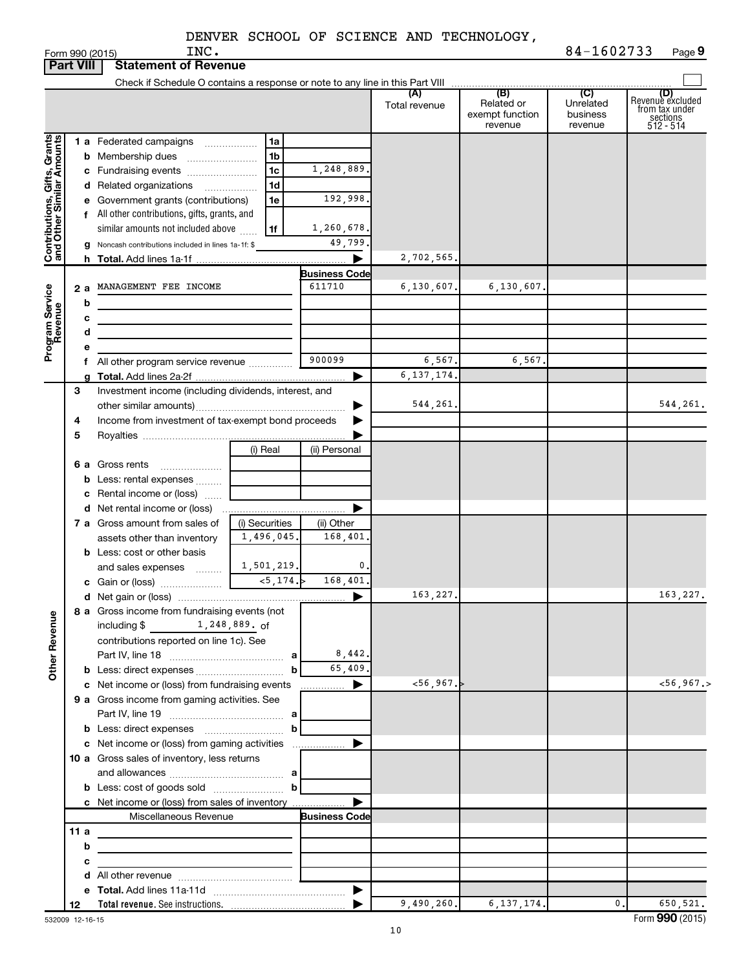Form 990 (2015)  $INC$  .  $2015$ **9**

|                                                           | <b>Part VIII</b> | <b>Statement of Revenue</b>                                   |                                         |                                |                      |                                                 |                                         |                                                                    |
|-----------------------------------------------------------|------------------|---------------------------------------------------------------|-----------------------------------------|--------------------------------|----------------------|-------------------------------------------------|-----------------------------------------|--------------------------------------------------------------------|
|                                                           |                  |                                                               |                                         |                                |                      |                                                 |                                         |                                                                    |
|                                                           |                  |                                                               |                                         |                                | (A)<br>Total revenue | (B)<br>Related or<br>exempt function<br>revenue | (C)<br>Unrelated<br>business<br>revenue | (D)<br>Revenue excluded<br>from tax under<br>sections<br>512 - 514 |
|                                                           |                  | 1 a Federated campaigns                                       | 1a                                      |                                |                      |                                                 |                                         |                                                                    |
|                                                           |                  | <b>b</b> Membership dues                                      | 1 <sub>b</sub>                          |                                |                      |                                                 |                                         |                                                                    |
|                                                           |                  | c Fundraising events                                          | 1 <sub>c</sub>                          | 1,248,889.                     |                      |                                                 |                                         |                                                                    |
|                                                           |                  | d Related organizations                                       | 1d                                      |                                |                      |                                                 |                                         |                                                                    |
|                                                           |                  | e Government grants (contributions)                           | 1e                                      | 192,998.                       |                      |                                                 |                                         |                                                                    |
|                                                           |                  | f All other contributions, gifts, grants, and                 |                                         |                                |                      |                                                 |                                         |                                                                    |
|                                                           |                  | similar amounts not included above                            | 1f                                      | 1,260,678.                     |                      |                                                 |                                         |                                                                    |
| Contributions, Gifts, Grants<br>and Other Similar Amounts |                  | g Noncash contributions included in lines 1a-1f: \$           |                                         | 49,799                         |                      |                                                 |                                         |                                                                    |
|                                                           |                  |                                                               |                                         |                                | 2,702,565.           |                                                 |                                         |                                                                    |
|                                                           |                  | MANAGEMENT FEE INCOME                                         |                                         | <b>Business Code</b><br>611710 | 6, 130, 607.         | 6,130,607.                                      |                                         |                                                                    |
| Program Service<br>Revenue                                | 2a               |                                                               |                                         |                                |                      |                                                 |                                         |                                                                    |
|                                                           | b<br>с           |                                                               |                                         |                                |                      |                                                 |                                         |                                                                    |
|                                                           | d                | <u> 1980 - Jan Barbara (j. 1980)</u>                          |                                         |                                |                      |                                                 |                                         |                                                                    |
|                                                           |                  |                                                               |                                         |                                |                      |                                                 |                                         |                                                                    |
|                                                           |                  | f All other program service revenue                           |                                         | 900099                         | 6,567.               | 6,567.                                          |                                         |                                                                    |
|                                                           |                  |                                                               |                                         |                                | 6, 137, 174.         |                                                 |                                         |                                                                    |
|                                                           | 3                | Investment income (including dividends, interest, and         |                                         |                                |                      |                                                 |                                         |                                                                    |
|                                                           |                  |                                                               |                                         |                                | 544,261.             |                                                 |                                         | 544,261.                                                           |
|                                                           | 4                | Income from investment of tax-exempt bond proceeds            |                                         |                                |                      |                                                 |                                         |                                                                    |
|                                                           | 5                |                                                               |                                         |                                |                      |                                                 |                                         |                                                                    |
|                                                           |                  |                                                               | (i) Real                                | (ii) Personal                  |                      |                                                 |                                         |                                                                    |
|                                                           |                  | 6 a Gross rents                                               |                                         |                                |                      |                                                 |                                         |                                                                    |
|                                                           |                  | <b>b</b> Less: rental expenses                                |                                         |                                |                      |                                                 |                                         |                                                                    |
|                                                           |                  | c Rental income or (loss)                                     |                                         |                                |                      |                                                 |                                         |                                                                    |
|                                                           |                  |                                                               |                                         |                                |                      |                                                 |                                         |                                                                    |
|                                                           |                  | 7 a Gross amount from sales of<br>assets other than inventory | (i) Securities<br>1,496,045.            | (ii) Other<br>168,401          |                      |                                                 |                                         |                                                                    |
|                                                           |                  | <b>b</b> Less: cost or other basis                            |                                         |                                |                      |                                                 |                                         |                                                                    |
|                                                           |                  | and sales expenses  L                                         | 1,501,219.                              | 0.                             |                      |                                                 |                                         |                                                                    |
|                                                           |                  |                                                               |                                         | 168,401,                       |                      |                                                 |                                         |                                                                    |
|                                                           |                  |                                                               |                                         |                                | 163,227.             |                                                 |                                         | 163,227.                                                           |
|                                                           |                  | 8 a Gross income from fundraising events (not                 |                                         |                                |                      |                                                 |                                         |                                                                    |
| <b>Other Revenue</b>                                      |                  | 1,248,889.of<br>including $$$                                 |                                         |                                |                      |                                                 |                                         |                                                                    |
|                                                           |                  | contributions reported on line 1c). See                       |                                         |                                |                      |                                                 |                                         |                                                                    |
|                                                           |                  |                                                               |                                         | 8,442.                         |                      |                                                 |                                         |                                                                    |
|                                                           |                  |                                                               | $\mathbf b$                             | 65,409.                        |                      |                                                 |                                         |                                                                    |
|                                                           |                  | c Net income or (loss) from fundraising events                |                                         | ▶<br>.                         | <56,967.             |                                                 |                                         | $<$ 56, 967.>                                                      |
|                                                           |                  | 9 a Gross income from gaming activities. See                  |                                         |                                |                      |                                                 |                                         |                                                                    |
|                                                           |                  |                                                               | $\mathbf b$                             |                                |                      |                                                 |                                         |                                                                    |
|                                                           |                  |                                                               |                                         |                                |                      |                                                 |                                         |                                                                    |
|                                                           |                  | 10 a Gross sales of inventory, less returns                   |                                         |                                |                      |                                                 |                                         |                                                                    |
|                                                           |                  |                                                               |                                         |                                |                      |                                                 |                                         |                                                                    |
|                                                           |                  |                                                               |                                         |                                |                      |                                                 |                                         |                                                                    |
|                                                           |                  | c Net income or (loss) from sales of inventory                |                                         |                                |                      |                                                 |                                         |                                                                    |
|                                                           |                  | Miscellaneous Revenue                                         |                                         | <b>Business Code</b>           |                      |                                                 |                                         |                                                                    |
|                                                           | 11 $a$           | the control of the control of the control of the control of   |                                         |                                |                      |                                                 |                                         |                                                                    |
|                                                           | b                |                                                               |                                         |                                |                      |                                                 |                                         |                                                                    |
|                                                           | с                |                                                               | <u> 1989 - Johann Barbara, martin a</u> |                                |                      |                                                 |                                         |                                                                    |
|                                                           |                  |                                                               |                                         |                                |                      |                                                 |                                         |                                                                    |
|                                                           |                  |                                                               |                                         |                                |                      |                                                 |                                         |                                                                    |
|                                                           | 12               |                                                               |                                         |                                | 9,490,260.           | 6, 137, 174.                                    | 0.                                      | 650,521.                                                           |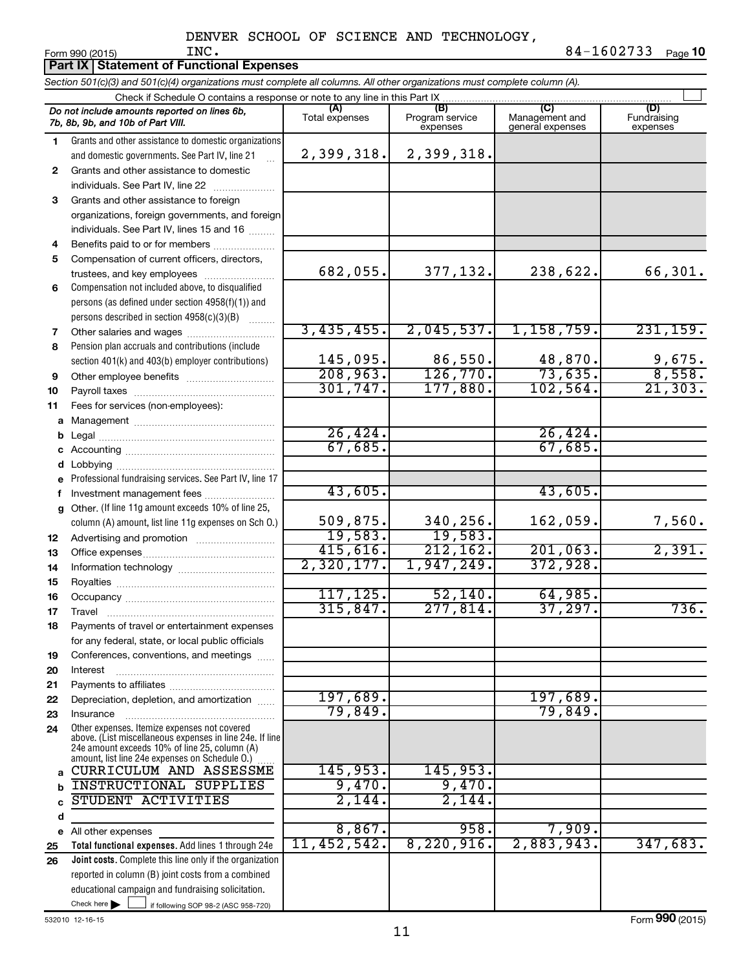|              | Part IX   Statement of Functional Expenses                                                                                                                                                                  |                       |                                    |                                    |                                |  |  |  |
|--------------|-------------------------------------------------------------------------------------------------------------------------------------------------------------------------------------------------------------|-----------------------|------------------------------------|------------------------------------|--------------------------------|--|--|--|
|              | Section 501(c)(3) and 501(c)(4) organizations must complete all columns. All other organizations must complete column (A).                                                                                  |                       |                                    |                                    |                                |  |  |  |
|              | Check if Schedule O contains a response or note to any line in this Part IX.                                                                                                                                |                       |                                    |                                    |                                |  |  |  |
|              | Do not include amounts reported on lines 6b,<br>7b, 8b, 9b, and 10b of Part VIII.                                                                                                                           | (A)<br>Total expenses | (B)<br>Program service<br>expenses | Management and<br>general expenses | (D)<br>Fundraising<br>expenses |  |  |  |
| 1.           | Grants and other assistance to domestic organizations                                                                                                                                                       |                       |                                    |                                    |                                |  |  |  |
|              | and domestic governments. See Part IV, line 21                                                                                                                                                              | 2,399,318.            | 2,399,318.                         |                                    |                                |  |  |  |
| $\mathbf{2}$ | Grants and other assistance to domestic                                                                                                                                                                     |                       |                                    |                                    |                                |  |  |  |
|              | individuals. See Part IV, line 22                                                                                                                                                                           |                       |                                    |                                    |                                |  |  |  |
| 3            | Grants and other assistance to foreign                                                                                                                                                                      |                       |                                    |                                    |                                |  |  |  |
|              | organizations, foreign governments, and foreign                                                                                                                                                             |                       |                                    |                                    |                                |  |  |  |
|              | individuals. See Part IV, lines 15 and 16                                                                                                                                                                   |                       |                                    |                                    |                                |  |  |  |
| 4            | Benefits paid to or for members                                                                                                                                                                             |                       |                                    |                                    |                                |  |  |  |
| 5            | Compensation of current officers, directors,                                                                                                                                                                |                       |                                    |                                    |                                |  |  |  |
|              | trustees, and key employees                                                                                                                                                                                 | 682,055.              | 377,132.                           | 238,622.                           | 66,301.                        |  |  |  |
| 6            | Compensation not included above, to disqualified                                                                                                                                                            |                       |                                    |                                    |                                |  |  |  |
|              | persons (as defined under section 4958(f)(1)) and                                                                                                                                                           |                       |                                    |                                    |                                |  |  |  |
|              | persons described in section 4958(c)(3)(B)                                                                                                                                                                  |                       |                                    |                                    |                                |  |  |  |
| 7            |                                                                                                                                                                                                             | 3,435,455.            | 2,045,537.                         | 1,158,759.                         | 231, 159.                      |  |  |  |
| 8            | Pension plan accruals and contributions (include                                                                                                                                                            |                       |                                    |                                    |                                |  |  |  |
|              | section 401(k) and 403(b) employer contributions)                                                                                                                                                           | 145,095.              | 86,550.                            | $\frac{48,870}{73,635}$            | $\frac{9,675}{8,558}$          |  |  |  |
| 9            |                                                                                                                                                                                                             | 208,963.              | 126,770.                           |                                    |                                |  |  |  |
| 10           |                                                                                                                                                                                                             | 301, 747.             | 177,880.                           | 102, 564.                          | 21,303.                        |  |  |  |
| 11           | Fees for services (non-employees):                                                                                                                                                                          |                       |                                    |                                    |                                |  |  |  |
| a            |                                                                                                                                                                                                             |                       |                                    |                                    |                                |  |  |  |
| b            |                                                                                                                                                                                                             | 26,424.               |                                    | 26,424.                            |                                |  |  |  |
|              |                                                                                                                                                                                                             | 67,685.               |                                    | 67,685.                            |                                |  |  |  |
|              |                                                                                                                                                                                                             |                       |                                    |                                    |                                |  |  |  |
|              | Professional fundraising services. See Part IV, line 17                                                                                                                                                     |                       |                                    |                                    |                                |  |  |  |
|              | Investment management fees                                                                                                                                                                                  | 43,605.               |                                    | 43,605.                            |                                |  |  |  |
| g            | Other. (If line 11g amount exceeds 10% of line 25,                                                                                                                                                          | 509,875.              | 340,256.                           | 162,059.                           |                                |  |  |  |
|              | column (A) amount, list line 11g expenses on Sch O.)                                                                                                                                                        | 19,583.               | 19,583.                            |                                    | 7,560.                         |  |  |  |
| 12           |                                                                                                                                                                                                             | 415,616.              | 212, 162.                          | 201,063.                           | 2,391.                         |  |  |  |
| 13           |                                                                                                                                                                                                             | 2,320,177.            | 1,947,249.                         | 372,928.                           |                                |  |  |  |
| 14           |                                                                                                                                                                                                             |                       |                                    |                                    |                                |  |  |  |
| 15<br>16     |                                                                                                                                                                                                             | 117, 125.             | 52,140.                            | 64,985.                            |                                |  |  |  |
| 17           | Travel                                                                                                                                                                                                      | 315,847.              | 277,814.                           | 37,297.                            | 736.                           |  |  |  |
| 18           | Payments of travel or entertainment expenses                                                                                                                                                                |                       |                                    |                                    |                                |  |  |  |
|              | for any federal, state, or local public officials                                                                                                                                                           |                       |                                    |                                    |                                |  |  |  |
| 19           | Conferences, conventions, and meetings                                                                                                                                                                      |                       |                                    |                                    |                                |  |  |  |
| 20           | Interest                                                                                                                                                                                                    |                       |                                    |                                    |                                |  |  |  |
| 21           |                                                                                                                                                                                                             |                       |                                    |                                    |                                |  |  |  |
| 22           | Depreciation, depletion, and amortization                                                                                                                                                                   | 197,689.              |                                    | 197,689.                           |                                |  |  |  |
| 23           | Insurance                                                                                                                                                                                                   | 79,849.               |                                    | 79,849.                            |                                |  |  |  |
| 24           | Other expenses. Itemize expenses not covered<br>above. (List miscellaneous expenses in line 24e. If line<br>24e amount exceeds 10% of line 25, column (A)<br>amount, list line 24e expenses on Schedule O.) |                       |                                    |                                    |                                |  |  |  |
| a            | CURRICULUM AND ASSESSME                                                                                                                                                                                     | 145,953.              | 145,953.                           |                                    |                                |  |  |  |
|              | <b>INSTRUCTIONAL SUPPLIES</b>                                                                                                                                                                               | 9,470.                | 9,470.                             |                                    |                                |  |  |  |
|              | STUDENT ACTIVITIES                                                                                                                                                                                          | 2,144.                | 2,144.                             |                                    |                                |  |  |  |
| d            |                                                                                                                                                                                                             |                       |                                    |                                    |                                |  |  |  |
|              | e All other expenses                                                                                                                                                                                        | 8,867.                | 958.                               | 7,909.                             |                                |  |  |  |
| 25           | Total functional expenses. Add lines 1 through 24e                                                                                                                                                          | 11,452,542.           | 8,220,916.                         | 2,883,943.                         | 347,683.                       |  |  |  |
| 26           | Joint costs. Complete this line only if the organization                                                                                                                                                    |                       |                                    |                                    |                                |  |  |  |
|              | reported in column (B) joint costs from a combined                                                                                                                                                          |                       |                                    |                                    |                                |  |  |  |
|              | educational campaign and fundraising solicitation.<br>Check here $\blacktriangleright$                                                                                                                      |                       |                                    |                                    |                                |  |  |  |
|              | if following SOP 98-2 (ASC 958-720)                                                                                                                                                                         |                       |                                    |                                    |                                |  |  |  |

532010 12-16-15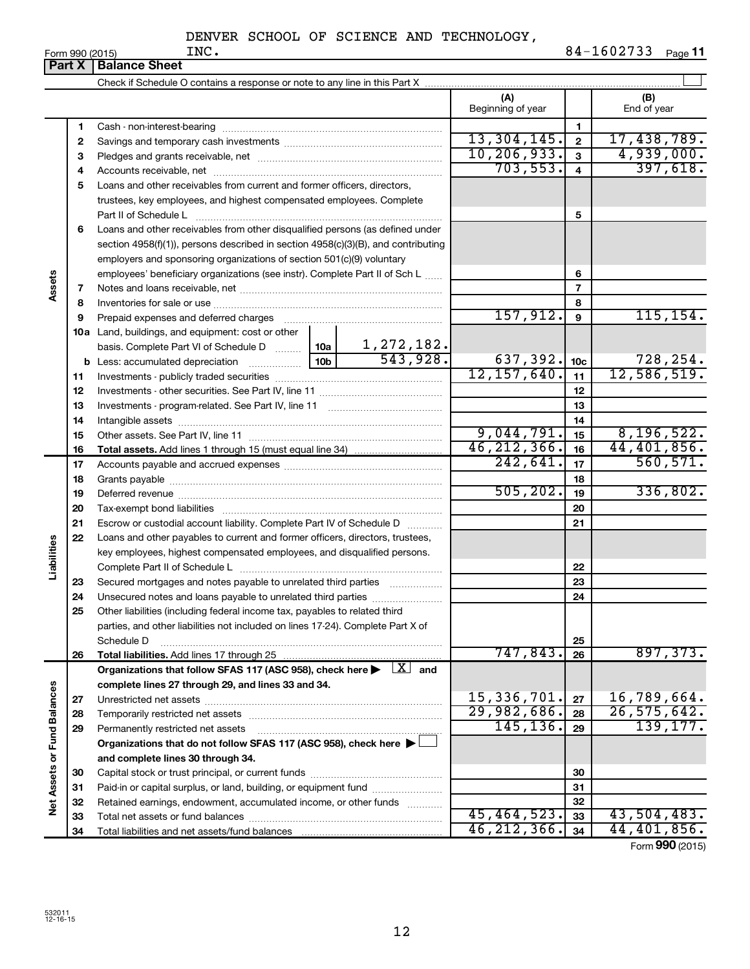**Form 990 (2015)**<br>**Part X Balance** 

|                             | нап х | <b>Balance Sheet</b>                                                                                                                                                                                                           |           |            |                   |                         |               |
|-----------------------------|-------|--------------------------------------------------------------------------------------------------------------------------------------------------------------------------------------------------------------------------------|-----------|------------|-------------------|-------------------------|---------------|
|                             |       |                                                                                                                                                                                                                                |           |            |                   |                         |               |
|                             |       |                                                                                                                                                                                                                                |           |            | (A)               |                         | (B)           |
|                             |       |                                                                                                                                                                                                                                |           |            | Beginning of year |                         | End of year   |
|                             | 1     |                                                                                                                                                                                                                                |           |            |                   | 1                       |               |
|                             | 2     |                                                                                                                                                                                                                                |           |            | 13,304,145.       | $\mathbf{2}$            | 17,438,789.   |
|                             | з     |                                                                                                                                                                                                                                |           |            | 10, 206, 933.     | $\mathbf{3}$            | 4,939,000.    |
|                             | 4     |                                                                                                                                                                                                                                |           |            | 703, 553.         | $\overline{\mathbf{4}}$ | 397,618.      |
|                             | 5     | Loans and other receivables from current and former officers, directors,                                                                                                                                                       |           |            |                   |                         |               |
|                             |       | trustees, key employees, and highest compensated employees. Complete                                                                                                                                                           |           |            |                   |                         |               |
|                             |       | Part II of Schedule L                                                                                                                                                                                                          |           |            |                   | 5                       |               |
|                             | 6     | Loans and other receivables from other disqualified persons (as defined under                                                                                                                                                  |           |            |                   |                         |               |
|                             |       | section $4958(f)(1)$ , persons described in section $4958(c)(3)(B)$ , and contributing                                                                                                                                         |           |            |                   |                         |               |
|                             |       | employers and sponsoring organizations of section 501(c)(9) voluntary                                                                                                                                                          |           |            |                   |                         |               |
|                             |       | employees' beneficiary organizations (see instr). Complete Part II of Sch L                                                                                                                                                    |           |            |                   | 6                       |               |
| Assets                      | 7     |                                                                                                                                                                                                                                |           |            |                   | $\overline{7}$          |               |
|                             | 8     |                                                                                                                                                                                                                                |           |            |                   | 8                       |               |
|                             | 9     | Prepaid expenses and deferred charges [11] matter continuum matter and referred charges [11] matter continuum matter continuum matter and continuum matter continuum matter continuum matter continuum matter continuum matter |           |            | 157,912.          | 9                       | 115, 154.     |
|                             |       | <b>10a</b> Land, buildings, and equipment: cost or other                                                                                                                                                                       |           |            |                   |                         |               |
|                             |       | basis. Complete Part VI of Schedule D $\frac{10a}{10a}$ 1, 272, 182.                                                                                                                                                           |           |            |                   |                         |               |
|                             |       |                                                                                                                                                                                                                                |           | 543,928.   | 637,392.          | 10 <sub>c</sub>         | 728,254.      |
|                             | 11    |                                                                                                                                                                                                                                |           |            | 12, 157, 640.     | 11                      | 12,586,519.   |
|                             | 12    |                                                                                                                                                                                                                                |           |            | 12                |                         |               |
|                             | 13    |                                                                                                                                                                                                                                |           | 13         |                   |                         |               |
|                             | 14    |                                                                                                                                                                                                                                |           |            |                   | 14                      |               |
|                             | 15    |                                                                                                                                                                                                                                |           |            | 9,044,791.        | 15                      | 8, 196, 522.  |
|                             | 16    |                                                                                                                                                                                                                                |           |            | 46, 212, 366.     | 16                      | 44,401,856.   |
|                             | 17    |                                                                                                                                                                                                                                | 242,641.  | 17         | 560, 571.         |                         |               |
|                             | 18    |                                                                                                                                                                                                                                |           | 18         |                   |                         |               |
|                             | 19    |                                                                                                                                                                                                                                | 505, 202. | 19         | 336,802.          |                         |               |
|                             | 20    |                                                                                                                                                                                                                                |           | 20         |                   |                         |               |
|                             | 21    | Escrow or custodial account liability. Complete Part IV of Schedule D                                                                                                                                                          |           | 21         |                   |                         |               |
|                             | 22    | Loans and other payables to current and former officers, directors, trustees,                                                                                                                                                  |           |            |                   |                         |               |
|                             |       | key employees, highest compensated employees, and disqualified persons.                                                                                                                                                        |           |            |                   |                         |               |
| Liabilities                 |       |                                                                                                                                                                                                                                |           |            |                   | 22                      |               |
|                             | 23    | Secured mortgages and notes payable to unrelated third parties                                                                                                                                                                 |           |            |                   | 23                      |               |
|                             | 24    | Unsecured notes and loans payable to unrelated third parties                                                                                                                                                                   |           |            |                   | 24                      |               |
|                             | 25    | Other liabilities (including federal income tax, payables to related third                                                                                                                                                     |           |            |                   |                         |               |
|                             |       | parties, and other liabilities not included on lines 17-24). Complete Part X of                                                                                                                                                |           |            |                   |                         |               |
|                             |       | Schedule D                                                                                                                                                                                                                     |           |            |                   | 25                      |               |
|                             | 26    | Total liabilities. Add lines 17 through 25                                                                                                                                                                                     |           | . <u>.</u> | 747,843.          | 26                      | 897,373.      |
|                             |       | Organizations that follow SFAS 117 (ASC 958), check here $\blacktriangleright \begin{array}{c} \boxed{X} \\ \end{array}$ and                                                                                                   |           |            |                   |                         |               |
|                             |       | complete lines 27 through 29, and lines 33 and 34.                                                                                                                                                                             |           |            |                   |                         |               |
|                             | 27    |                                                                                                                                                                                                                                |           |            | 15,336,701.       | 27                      | 16,789,664.   |
|                             | 28    |                                                                                                                                                                                                                                |           |            | 29,982,686.       | 28                      | 26, 575, 642. |
|                             | 29    | Permanently restricted net assets                                                                                                                                                                                              |           |            | 145, 136.         | 29                      | 139, 177.     |
|                             |       | Organizations that do not follow SFAS 117 (ASC 958), check here ▶ □                                                                                                                                                            |           |            |                   |                         |               |
| Net Assets or Fund Balances |       | and complete lines 30 through 34.                                                                                                                                                                                              |           |            |                   |                         |               |
|                             | 30    |                                                                                                                                                                                                                                |           |            |                   | 30                      |               |
|                             | 31    | Paid-in or capital surplus, or land, building, or equipment fund                                                                                                                                                               |           |            |                   | 31                      |               |
|                             | 32    | Retained earnings, endowment, accumulated income, or other funds                                                                                                                                                               |           |            |                   | 32                      |               |
|                             | 33    |                                                                                                                                                                                                                                |           |            | 45,464,523.       | 33                      | 43,504,483.   |
|                             | 34    |                                                                                                                                                                                                                                |           |            | 46, 212, 366.     | 34                      | 44,401,856.   |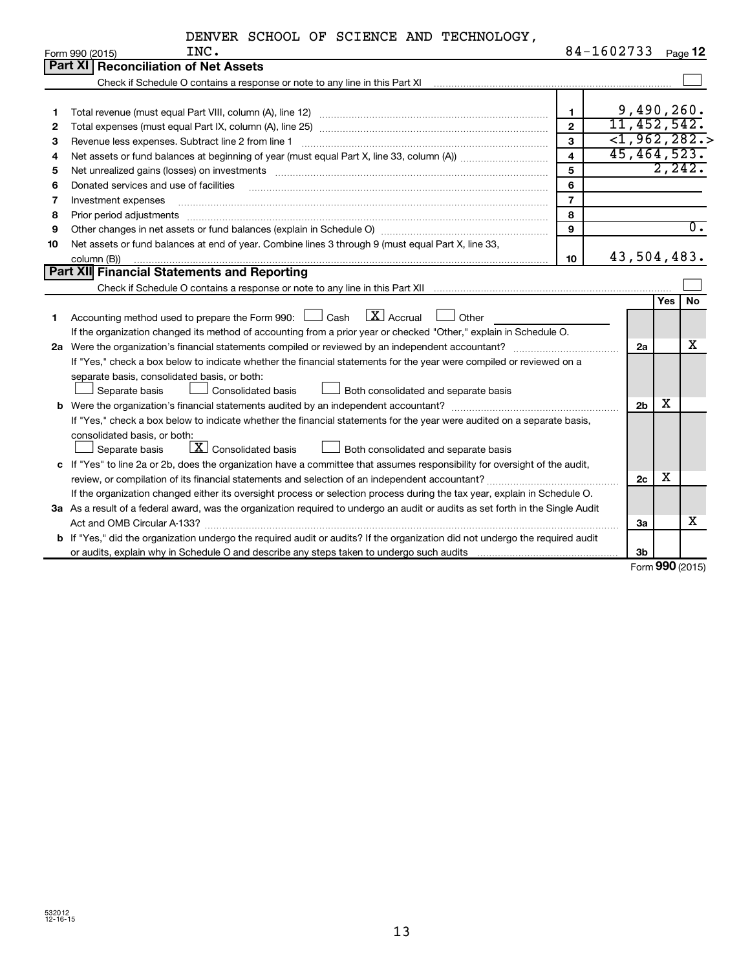|    | DENVER SCHOOL OF SCIENCE AND TECHNOLOGY,                                                                                        |                |                          |         |                  |
|----|---------------------------------------------------------------------------------------------------------------------------------|----------------|--------------------------|---------|------------------|
|    | INC.<br>Form 990 (2015)                                                                                                         |                | 84-1602733               |         | Page 12          |
|    | Part XI<br><b>Reconciliation of Net Assets</b>                                                                                  |                |                          |         |                  |
|    |                                                                                                                                 |                |                          |         |                  |
|    |                                                                                                                                 |                |                          |         |                  |
| 1  | Total revenue (must equal Part VIII, column (A), line 12)                                                                       | $\mathbf{1}$   | 9,490,260.               |         |                  |
| 2  |                                                                                                                                 | $\mathbf{2}$   | 11, 452, 542.            |         |                  |
| 3  | Revenue less expenses. Subtract line 2 from line 1                                                                              | $\mathbf{3}$   | $\overline{<}1,962,282.$ |         |                  |
| 4  |                                                                                                                                 | $\overline{4}$ | 45,464,523.              |         |                  |
| 5  |                                                                                                                                 | 5              |                          | 2, 242. |                  |
| 6  | Donated services and use of facilities                                                                                          | 6              |                          |         |                  |
| 7  | Investment expenses                                                                                                             | $\overline{7}$ |                          |         |                  |
| 8  | Prior period adjustments                                                                                                        | 8              |                          |         | $\overline{0}$ . |
| 9  | 9                                                                                                                               |                |                          |         |                  |
| 10 | Net assets or fund balances at end of year. Combine lines 3 through 9 (must equal Part X, line 33,                              |                |                          |         |                  |
|    | 43,504,483.<br>10<br>column (B))                                                                                                |                |                          |         |                  |
|    | Part XII Financial Statements and Reporting                                                                                     |                |                          |         |                  |
|    |                                                                                                                                 |                |                          |         |                  |
|    |                                                                                                                                 |                |                          | Yes l   | <b>No</b>        |
| 1. | $\boxed{\text{X}}$ Accrual<br>Accounting method used to prepare the Form 990: $\Box$ Cash<br>Other                              |                |                          |         |                  |
|    | If the organization changed its method of accounting from a prior year or checked "Other," explain in Schedule O.               |                |                          |         |                  |
|    |                                                                                                                                 |                | 2a                       |         | х                |
|    | If "Yes," check a box below to indicate whether the financial statements for the year were compiled or reviewed on a            |                |                          |         |                  |
|    | separate basis, consolidated basis, or both:                                                                                    |                |                          |         |                  |
|    | Separate basis<br><b>Consolidated basis</b><br>Both consolidated and separate basis                                             |                |                          |         |                  |
|    | <b>b</b> Were the organization's financial statements audited by an independent accountant?                                     |                | 2 <sub>b</sub>           | х       |                  |
|    | If "Yes," check a box below to indicate whether the financial statements for the year were audited on a separate basis,         |                |                          |         |                  |
|    | consolidated basis, or both:                                                                                                    |                |                          |         |                  |
|    | $\boxed{\textbf{X}}$ Consolidated basis<br>Both consolidated and separate basis<br>Separate basis                               |                |                          |         |                  |
|    | c If "Yes" to line 2a or 2b, does the organization have a committee that assumes responsibility for oversight of the audit,     |                |                          |         |                  |
|    |                                                                                                                                 |                | 2c                       | X       |                  |
|    | If the organization changed either its oversight process or selection process during the tax year, explain in Schedule O.       |                |                          |         |                  |
|    | 3a As a result of a federal award, was the organization required to undergo an audit or audits as set forth in the Single Audit |                |                          |         |                  |
|    |                                                                                                                                 |                | За                       |         | х                |
|    | b If "Yes," did the organization undergo the required audit or audits? If the organization did not undergo the required audit   |                |                          |         |                  |
|    |                                                                                                                                 |                | 3b                       |         |                  |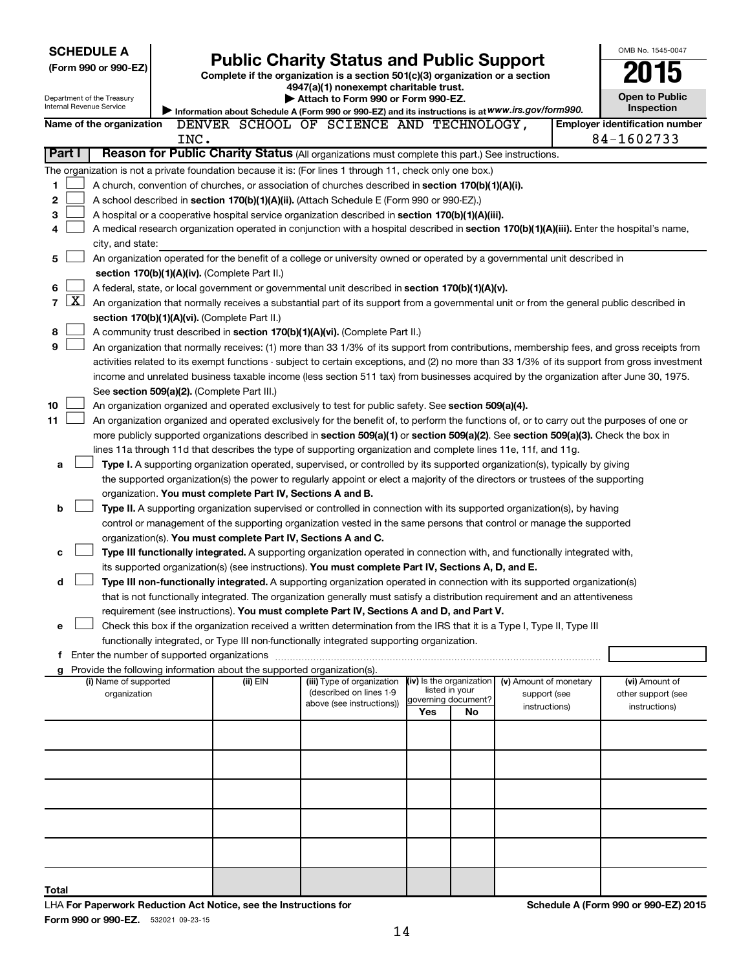| <b>SCHEDULE A</b>                                                                                                                                                                                                                                                                      |                                                                                                                                                                                                                                |                                                               |                                                                                                                                            |     |                           |                                        |  | OMB No. 1545-0047                                   |  |
|----------------------------------------------------------------------------------------------------------------------------------------------------------------------------------------------------------------------------------------------------------------------------------------|--------------------------------------------------------------------------------------------------------------------------------------------------------------------------------------------------------------------------------|---------------------------------------------------------------|--------------------------------------------------------------------------------------------------------------------------------------------|-----|---------------------------|----------------------------------------|--|-----------------------------------------------------|--|
| (Form 990 or 990-EZ)                                                                                                                                                                                                                                                                   |                                                                                                                                                                                                                                |                                                               | <b>Public Charity Status and Public Support</b><br>Complete if the organization is a section 501(c)(3) organization or a section           |     |                           |                                        |  |                                                     |  |
|                                                                                                                                                                                                                                                                                        |                                                                                                                                                                                                                                |                                                               | 4947(a)(1) nonexempt charitable trust.                                                                                                     |     |                           |                                        |  |                                                     |  |
| Department of the Treasury<br>Internal Revenue Service                                                                                                                                                                                                                                 |                                                                                                                                                                                                                                |                                                               | Attach to Form 990 or Form 990-EZ.                                                                                                         |     |                           |                                        |  | <b>Open to Public</b>                               |  |
|                                                                                                                                                                                                                                                                                        |                                                                                                                                                                                                                                |                                                               | Information about Schedule A (Form 990 or 990-EZ) and its instructions is at WWW.irs.gov/form990.                                          |     |                           |                                        |  | Inspection                                          |  |
| Name of the organization                                                                                                                                                                                                                                                               | INC.                                                                                                                                                                                                                           |                                                               | DENVER SCHOOL OF SCIENCE AND TECHNOLOGY,                                                                                                   |     |                           |                                        |  | <b>Employer identification number</b><br>84-1602733 |  |
| Part I                                                                                                                                                                                                                                                                                 |                                                                                                                                                                                                                                |                                                               | Reason for Public Charity Status (All organizations must complete this part.) See instructions.                                            |     |                           |                                        |  |                                                     |  |
| The organization is not a private foundation because it is: (For lines 1 through 11, check only one box.)                                                                                                                                                                              |                                                                                                                                                                                                                                |                                                               |                                                                                                                                            |     |                           |                                        |  |                                                     |  |
| 1                                                                                                                                                                                                                                                                                      |                                                                                                                                                                                                                                |                                                               | A church, convention of churches, or association of churches described in <b>section 170(b)(1)(A)(i).</b>                                  |     |                           |                                        |  |                                                     |  |
| 2                                                                                                                                                                                                                                                                                      |                                                                                                                                                                                                                                |                                                               | A school described in section 170(b)(1)(A)(ii). (Attach Schedule E (Form 990 or 990-EZ).)                                                  |     |                           |                                        |  |                                                     |  |
| 3                                                                                                                                                                                                                                                                                      |                                                                                                                                                                                                                                |                                                               | A hospital or a cooperative hospital service organization described in section 170(b)(1)(A)(iii).                                          |     |                           |                                        |  |                                                     |  |
| 4                                                                                                                                                                                                                                                                                      |                                                                                                                                                                                                                                |                                                               | A medical research organization operated in conjunction with a hospital described in section 170(b)(1)(A)(iii). Enter the hospital's name, |     |                           |                                        |  |                                                     |  |
| city, and state:                                                                                                                                                                                                                                                                       |                                                                                                                                                                                                                                |                                                               |                                                                                                                                            |     |                           |                                        |  |                                                     |  |
| 5                                                                                                                                                                                                                                                                                      |                                                                                                                                                                                                                                |                                                               | An organization operated for the benefit of a college or university owned or operated by a governmental unit described in                  |     |                           |                                        |  |                                                     |  |
|                                                                                                                                                                                                                                                                                        |                                                                                                                                                                                                                                | section 170(b)(1)(A)(iv). (Complete Part II.)                 |                                                                                                                                            |     |                           |                                        |  |                                                     |  |
| 6                                                                                                                                                                                                                                                                                      |                                                                                                                                                                                                                                |                                                               | A federal, state, or local government or governmental unit described in section 170(b)(1)(A)(v).                                           |     |                           |                                        |  |                                                     |  |
| $\mathbf{X}$<br>$\overline{7}$                                                                                                                                                                                                                                                         | An organization that normally receives a substantial part of its support from a governmental unit or from the general public described in                                                                                      |                                                               |                                                                                                                                            |     |                           |                                        |  |                                                     |  |
|                                                                                                                                                                                                                                                                                        |                                                                                                                                                                                                                                | section 170(b)(1)(A)(vi). (Complete Part II.)                 |                                                                                                                                            |     |                           |                                        |  |                                                     |  |
| 9                                                                                                                                                                                                                                                                                      | 8<br>A community trust described in section 170(b)(1)(A)(vi). (Complete Part II.)<br>An organization that normally receives: (1) more than 33 1/3% of its support from contributions, membership fees, and gross receipts from |                                                               |                                                                                                                                            |     |                           |                                        |  |                                                     |  |
|                                                                                                                                                                                                                                                                                        |                                                                                                                                                                                                                                |                                                               |                                                                                                                                            |     |                           |                                        |  |                                                     |  |
| activities related to its exempt functions - subject to certain exceptions, and (2) no more than 33 1/3% of its support from gross investment<br>income and unrelated business taxable income (less section 511 tax) from businesses acquired by the organization after June 30, 1975. |                                                                                                                                                                                                                                |                                                               |                                                                                                                                            |     |                           |                                        |  |                                                     |  |
| See section 509(a)(2). (Complete Part III.)                                                                                                                                                                                                                                            |                                                                                                                                                                                                                                |                                                               |                                                                                                                                            |     |                           |                                        |  |                                                     |  |
| 10                                                                                                                                                                                                                                                                                     |                                                                                                                                                                                                                                |                                                               | An organization organized and operated exclusively to test for public safety. See section 509(a)(4).                                       |     |                           |                                        |  |                                                     |  |
| 11                                                                                                                                                                                                                                                                                     | An organization organized and operated exclusively for the benefit of, to perform the functions of, or to carry out the purposes of one or                                                                                     |                                                               |                                                                                                                                            |     |                           |                                        |  |                                                     |  |
|                                                                                                                                                                                                                                                                                        | more publicly supported organizations described in section 509(a)(1) or section 509(a)(2). See section 509(a)(3). Check the box in                                                                                             |                                                               |                                                                                                                                            |     |                           |                                        |  |                                                     |  |
| lines 11a through 11d that describes the type of supporting organization and complete lines 11e, 11f, and 11g.                                                                                                                                                                         |                                                                                                                                                                                                                                |                                                               |                                                                                                                                            |     |                           |                                        |  |                                                     |  |
| a                                                                                                                                                                                                                                                                                      |                                                                                                                                                                                                                                |                                                               | Type I. A supporting organization operated, supervised, or controlled by its supported organization(s), typically by giving                |     |                           |                                        |  |                                                     |  |
|                                                                                                                                                                                                                                                                                        |                                                                                                                                                                                                                                |                                                               | the supported organization(s) the power to regularly appoint or elect a majority of the directors or trustees of the supporting            |     |                           |                                        |  |                                                     |  |
|                                                                                                                                                                                                                                                                                        |                                                                                                                                                                                                                                | organization. You must complete Part IV, Sections A and B.    |                                                                                                                                            |     |                           |                                        |  |                                                     |  |
| b                                                                                                                                                                                                                                                                                      |                                                                                                                                                                                                                                |                                                               | Type II. A supporting organization supervised or controlled in connection with its supported organization(s), by having                    |     |                           |                                        |  |                                                     |  |
|                                                                                                                                                                                                                                                                                        |                                                                                                                                                                                                                                |                                                               | control or management of the supporting organization vested in the same persons that control or manage the supported                       |     |                           |                                        |  |                                                     |  |
| с                                                                                                                                                                                                                                                                                      |                                                                                                                                                                                                                                | organization(s). You must complete Part IV, Sections A and C. | Type III functionally integrated. A supporting organization operated in connection with, and functionally integrated with,                 |     |                           |                                        |  |                                                     |  |
|                                                                                                                                                                                                                                                                                        |                                                                                                                                                                                                                                |                                                               | its supported organization(s) (see instructions). You must complete Part IV, Sections A, D, and E.                                         |     |                           |                                        |  |                                                     |  |
| d                                                                                                                                                                                                                                                                                      |                                                                                                                                                                                                                                |                                                               | Type III non-functionally integrated. A supporting organization operated in connection with its supported organization(s)                  |     |                           |                                        |  |                                                     |  |
|                                                                                                                                                                                                                                                                                        |                                                                                                                                                                                                                                |                                                               | that is not functionally integrated. The organization generally must satisfy a distribution requirement and an attentiveness               |     |                           |                                        |  |                                                     |  |
|                                                                                                                                                                                                                                                                                        |                                                                                                                                                                                                                                |                                                               | requirement (see instructions). You must complete Part IV, Sections A and D, and Part V.                                                   |     |                           |                                        |  |                                                     |  |
| е                                                                                                                                                                                                                                                                                      |                                                                                                                                                                                                                                |                                                               | Check this box if the organization received a written determination from the IRS that it is a Type I, Type II, Type III                    |     |                           |                                        |  |                                                     |  |
|                                                                                                                                                                                                                                                                                        |                                                                                                                                                                                                                                |                                                               | functionally integrated, or Type III non-functionally integrated supporting organization.                                                  |     |                           |                                        |  |                                                     |  |
|                                                                                                                                                                                                                                                                                        |                                                                                                                                                                                                                                |                                                               |                                                                                                                                            |     |                           |                                        |  |                                                     |  |
| g Provide the following information about the supported organization(s).                                                                                                                                                                                                               |                                                                                                                                                                                                                                |                                                               | (iii) Type of organization                                                                                                                 |     | (iv) Is the organization  |                                        |  | (vi) Amount of                                      |  |
| (i) Name of supported<br>organization                                                                                                                                                                                                                                                  |                                                                                                                                                                                                                                | (ii) EIN                                                      | (described on lines 1-9                                                                                                                    |     | listed in your            | (v) Amount of monetary<br>support (see |  | other support (see                                  |  |
|                                                                                                                                                                                                                                                                                        |                                                                                                                                                                                                                                |                                                               | above (see instructions))                                                                                                                  | Yes | governing document?<br>No | instructions)                          |  | instructions)                                       |  |
|                                                                                                                                                                                                                                                                                        |                                                                                                                                                                                                                                |                                                               |                                                                                                                                            |     |                           |                                        |  |                                                     |  |
|                                                                                                                                                                                                                                                                                        |                                                                                                                                                                                                                                |                                                               |                                                                                                                                            |     |                           |                                        |  |                                                     |  |
|                                                                                                                                                                                                                                                                                        |                                                                                                                                                                                                                                |                                                               |                                                                                                                                            |     |                           |                                        |  |                                                     |  |
|                                                                                                                                                                                                                                                                                        |                                                                                                                                                                                                                                |                                                               |                                                                                                                                            |     |                           |                                        |  |                                                     |  |
|                                                                                                                                                                                                                                                                                        |                                                                                                                                                                                                                                |                                                               |                                                                                                                                            |     |                           |                                        |  |                                                     |  |
|                                                                                                                                                                                                                                                                                        |                                                                                                                                                                                                                                |                                                               |                                                                                                                                            |     |                           |                                        |  |                                                     |  |
|                                                                                                                                                                                                                                                                                        |                                                                                                                                                                                                                                |                                                               |                                                                                                                                            |     |                           |                                        |  |                                                     |  |
|                                                                                                                                                                                                                                                                                        |                                                                                                                                                                                                                                |                                                               |                                                                                                                                            |     |                           |                                        |  |                                                     |  |
|                                                                                                                                                                                                                                                                                        |                                                                                                                                                                                                                                |                                                               |                                                                                                                                            |     |                           |                                        |  |                                                     |  |
|                                                                                                                                                                                                                                                                                        |                                                                                                                                                                                                                                |                                                               |                                                                                                                                            |     |                           |                                        |  |                                                     |  |
| Total                                                                                                                                                                                                                                                                                  |                                                                                                                                                                                                                                |                                                               |                                                                                                                                            |     |                           |                                        |  |                                                     |  |
|                                                                                                                                                                                                                                                                                        |                                                                                                                                                                                                                                |                                                               |                                                                                                                                            |     |                           |                                        |  |                                                     |  |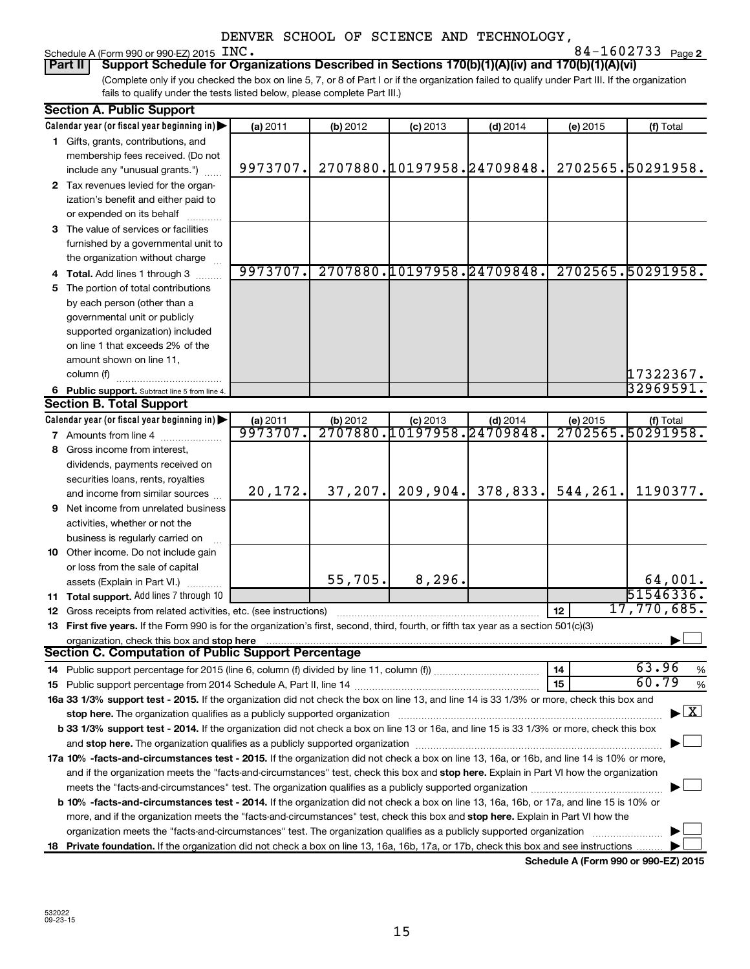## Schedule A (Form 990 or 990-EZ) 2015 INC.<br>**Part II** | Support Schedule for Orga

**2** INC. 84-1602733

(Complete only if you checked the box on line 5, 7, or 8 of Part I or if the organization failed to qualify under Part III. If the organization fails to qualify under the tests listed below, please complete Part III.) **Support Schedule for Organizations Described in Sections 170(b)(1)(A)(iv) and 170(b)(1)(A)(vi)** 

|    | <b>Section A. Public Support</b>                                                                                                                                                                                               |                      |          |                                                 |            |          |                                    |  |
|----|--------------------------------------------------------------------------------------------------------------------------------------------------------------------------------------------------------------------------------|----------------------|----------|-------------------------------------------------|------------|----------|------------------------------------|--|
|    | Calendar year (or fiscal year beginning in)                                                                                                                                                                                    | (a) 2011             | (b) 2012 | $(c)$ 2013                                      | $(d)$ 2014 | (e) 2015 | (f) Total                          |  |
|    | 1 Gifts, grants, contributions, and                                                                                                                                                                                            |                      |          |                                                 |            |          |                                    |  |
|    | membership fees received. (Do not                                                                                                                                                                                              |                      |          |                                                 |            |          |                                    |  |
|    | include any "unusual grants.")                                                                                                                                                                                                 | 9973707.             |          | 2707880.10197958.24709848.                      |            |          | 2702565.50291958.                  |  |
|    | 2 Tax revenues levied for the organ-                                                                                                                                                                                           |                      |          |                                                 |            |          |                                    |  |
|    | ization's benefit and either paid to                                                                                                                                                                                           |                      |          |                                                 |            |          |                                    |  |
|    | or expended on its behalf                                                                                                                                                                                                      |                      |          |                                                 |            |          |                                    |  |
|    | 3 The value of services or facilities                                                                                                                                                                                          |                      |          |                                                 |            |          |                                    |  |
|    | furnished by a governmental unit to                                                                                                                                                                                            |                      |          |                                                 |            |          |                                    |  |
|    | the organization without charge                                                                                                                                                                                                |                      |          |                                                 |            |          |                                    |  |
|    | 4 Total. Add lines 1 through 3                                                                                                                                                                                                 | 9973707.             |          | 2707880.10197958.24709848.                      |            |          | 2702565.50291958.                  |  |
|    | 5 The portion of total contributions                                                                                                                                                                                           |                      |          |                                                 |            |          |                                    |  |
|    | by each person (other than a                                                                                                                                                                                                   |                      |          |                                                 |            |          |                                    |  |
|    | governmental unit or publicly                                                                                                                                                                                                  |                      |          |                                                 |            |          |                                    |  |
|    | supported organization) included                                                                                                                                                                                               |                      |          |                                                 |            |          |                                    |  |
|    | on line 1 that exceeds 2% of the                                                                                                                                                                                               |                      |          |                                                 |            |          |                                    |  |
|    | amount shown on line 11,                                                                                                                                                                                                       |                      |          |                                                 |            |          |                                    |  |
|    |                                                                                                                                                                                                                                |                      |          |                                                 |            |          | 17322367.                          |  |
|    | column (f)                                                                                                                                                                                                                     |                      |          |                                                 |            |          | 32969591.                          |  |
|    | 6 Public support. Subtract line 5 from line 4.<br><b>Section B. Total Support</b>                                                                                                                                              |                      |          |                                                 |            |          |                                    |  |
|    |                                                                                                                                                                                                                                |                      |          |                                                 |            |          |                                    |  |
|    | Calendar year (or fiscal year beginning in)                                                                                                                                                                                    | (a) 2011<br>9973707. | (b) 2012 | $(c)$ 2013<br><u>2707880.10197958.24709848.</u> | $(d)$ 2014 | (e) 2015 | (f) Total<br>2702565.50291958.     |  |
|    | 7 Amounts from line 4                                                                                                                                                                                                          |                      |          |                                                 |            |          |                                    |  |
|    | 8 Gross income from interest,                                                                                                                                                                                                  |                      |          |                                                 |            |          |                                    |  |
|    | dividends, payments received on                                                                                                                                                                                                |                      |          |                                                 |            |          |                                    |  |
|    | securities loans, rents, royalties                                                                                                                                                                                             |                      |          |                                                 |            |          |                                    |  |
|    | and income from similar sources                                                                                                                                                                                                | 20, 172.             | 37, 207. | 209,904.                                        | 378,833.   | 544,261. | 1190377.                           |  |
|    | <b>9</b> Net income from unrelated business                                                                                                                                                                                    |                      |          |                                                 |            |          |                                    |  |
|    | activities, whether or not the                                                                                                                                                                                                 |                      |          |                                                 |            |          |                                    |  |
|    | business is regularly carried on                                                                                                                                                                                               |                      |          |                                                 |            |          |                                    |  |
|    | 10 Other income. Do not include gain                                                                                                                                                                                           |                      |          |                                                 |            |          |                                    |  |
|    | or loss from the sale of capital                                                                                                                                                                                               |                      |          |                                                 |            |          |                                    |  |
|    | assets (Explain in Part VI.)                                                                                                                                                                                                   |                      | 55,705.  | 8, 296.                                         |            |          | 64,001.                            |  |
|    | 11 Total support. Add lines 7 through 10                                                                                                                                                                                       |                      |          |                                                 |            |          | 51546336.                          |  |
|    | 12 Gross receipts from related activities, etc. (see instructions)                                                                                                                                                             |                      |          |                                                 |            | 12       | 17,770,685.                        |  |
|    | 13 First five years. If the Form 990 is for the organization's first, second, third, fourth, or fifth tax year as a section 501(c)(3)                                                                                          |                      |          |                                                 |            |          |                                    |  |
|    | organization, check this box and stop here                                                                                                                                                                                     |                      |          |                                                 |            |          |                                    |  |
|    | <b>Section C. Computation of Public Support Percentage</b>                                                                                                                                                                     |                      |          |                                                 |            |          |                                    |  |
|    |                                                                                                                                                                                                                                |                      |          |                                                 |            | 14       | 63.96<br>%                         |  |
|    |                                                                                                                                                                                                                                |                      |          |                                                 |            | 15       | 60.79<br>%                         |  |
|    | 16a 33 1/3% support test - 2015. If the organization did not check the box on line 13, and line 14 is 33 1/3% or more, check this box and                                                                                      |                      |          |                                                 |            |          |                                    |  |
|    | stop here. The organization qualifies as a publicly supported organization manufactured content and the organization of the state of the state of the state of the state of the state of the state of the state of the state o |                      |          |                                                 |            |          | $\blacktriangleright$ $\mathbf{X}$ |  |
|    | b 33 1/3% support test - 2014. If the organization did not check a box on line 13 or 16a, and line 15 is 33 1/3% or more, check this box                                                                                       |                      |          |                                                 |            |          |                                    |  |
|    |                                                                                                                                                                                                                                |                      |          |                                                 |            |          |                                    |  |
|    | 17a 10% -facts-and-circumstances test - 2015. If the organization did not check a box on line 13, 16a, or 16b, and line 14 is 10% or more,                                                                                     |                      |          |                                                 |            |          |                                    |  |
|    | and if the organization meets the "facts-and-circumstances" test, check this box and stop here. Explain in Part VI how the organization                                                                                        |                      |          |                                                 |            |          |                                    |  |
|    |                                                                                                                                                                                                                                |                      |          |                                                 |            |          |                                    |  |
|    | <b>b 10%</b> -facts-and-circumstances test - 2014. If the organization did not check a box on line 13, 16a, 16b, or 17a, and line 15 is 10% or                                                                                 |                      |          |                                                 |            |          |                                    |  |
|    | more, and if the organization meets the "facts-and-circumstances" test, check this box and stop here. Explain in Part VI how the                                                                                               |                      |          |                                                 |            |          |                                    |  |
|    | organization meets the "facts-and-circumstances" test. The organization qualifies as a publicly supported organization                                                                                                         |                      |          |                                                 |            |          |                                    |  |
|    |                                                                                                                                                                                                                                |                      |          |                                                 |            |          |                                    |  |
| 18 | Private foundation. If the organization did not check a box on line 13, 16a, 16b, 17a, or 17b, check this box and see instructions                                                                                             |                      |          |                                                 |            |          |                                    |  |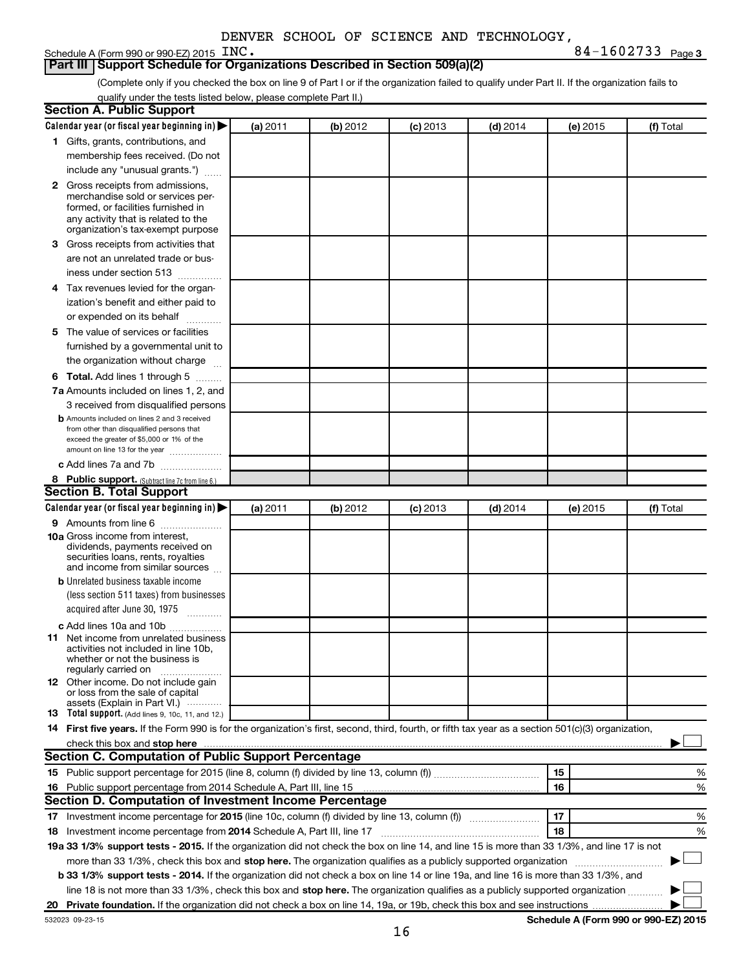### Schedule A (Form 990 or 990-EZ) 2015 INC.

**INC.** 84-1602733 Page 3

| Part III   Support Schedule for Organizations Described in Section 509(a)(2) |
|------------------------------------------------------------------------------|
|------------------------------------------------------------------------------|

(Complete only if you checked the box on line 9 of Part I or if the organization failed to qualify under Part II. If the organization fails to qualify under the tests listed below, please complete Part II.)

| <b>Section A. Public Support</b>                                                                                                                    |          |          |          |            |          |           |  |  |  |  |
|-----------------------------------------------------------------------------------------------------------------------------------------------------|----------|----------|----------|------------|----------|-----------|--|--|--|--|
| Calendar year (or fiscal year beginning in)                                                                                                         | (a) 2011 | (b) 2012 | (c) 2013 | $(d)$ 2014 | (e) 2015 | (f) Total |  |  |  |  |
| 1 Gifts, grants, contributions, and                                                                                                                 |          |          |          |            |          |           |  |  |  |  |
| membership fees received. (Do not                                                                                                                   |          |          |          |            |          |           |  |  |  |  |
| include any "unusual grants.")                                                                                                                      |          |          |          |            |          |           |  |  |  |  |
| 2 Gross receipts from admissions,                                                                                                                   |          |          |          |            |          |           |  |  |  |  |
| merchandise sold or services per-                                                                                                                   |          |          |          |            |          |           |  |  |  |  |
| formed, or facilities furnished in                                                                                                                  |          |          |          |            |          |           |  |  |  |  |
| any activity that is related to the<br>organization's tax-exempt purpose                                                                            |          |          |          |            |          |           |  |  |  |  |
| 3 Gross receipts from activities that                                                                                                               |          |          |          |            |          |           |  |  |  |  |
| are not an unrelated trade or bus-                                                                                                                  |          |          |          |            |          |           |  |  |  |  |
| iness under section 513                                                                                                                             |          |          |          |            |          |           |  |  |  |  |
| 4 Tax revenues levied for the organ-                                                                                                                |          |          |          |            |          |           |  |  |  |  |
| ization's benefit and either paid to                                                                                                                |          |          |          |            |          |           |  |  |  |  |
| or expended on its behalf                                                                                                                           |          |          |          |            |          |           |  |  |  |  |
| 5 The value of services or facilities                                                                                                               |          |          |          |            |          |           |  |  |  |  |
| furnished by a governmental unit to                                                                                                                 |          |          |          |            |          |           |  |  |  |  |
| the organization without charge                                                                                                                     |          |          |          |            |          |           |  |  |  |  |
|                                                                                                                                                     |          |          |          |            |          |           |  |  |  |  |
| <b>6 Total.</b> Add lines 1 through 5<br>7a Amounts included on lines 1, 2, and                                                                     |          |          |          |            |          |           |  |  |  |  |
| 3 received from disqualified persons                                                                                                                |          |          |          |            |          |           |  |  |  |  |
| <b>b</b> Amounts included on lines 2 and 3 received                                                                                                 |          |          |          |            |          |           |  |  |  |  |
| from other than disqualified persons that                                                                                                           |          |          |          |            |          |           |  |  |  |  |
| exceed the greater of \$5,000 or 1% of the                                                                                                          |          |          |          |            |          |           |  |  |  |  |
| amount on line 13 for the year                                                                                                                      |          |          |          |            |          |           |  |  |  |  |
| c Add lines 7a and 7b                                                                                                                               |          |          |          |            |          |           |  |  |  |  |
| 8 Public support. (Subtract line 7c from line 6.)<br><b>Section B. Total Support</b>                                                                |          |          |          |            |          |           |  |  |  |  |
|                                                                                                                                                     |          |          |          |            |          |           |  |  |  |  |
| Calendar year (or fiscal year beginning in)                                                                                                         | (a) 2011 | (b) 2012 | (c) 2013 | $(d)$ 2014 | (e) 2015 | (f) Total |  |  |  |  |
| 9 Amounts from line 6                                                                                                                               |          |          |          |            |          |           |  |  |  |  |
| <b>10a</b> Gross income from interest,<br>dividends, payments received on                                                                           |          |          |          |            |          |           |  |  |  |  |
| securities loans, rents, royalties                                                                                                                  |          |          |          |            |          |           |  |  |  |  |
| and income from similar sources                                                                                                                     |          |          |          |            |          |           |  |  |  |  |
| <b>b</b> Unrelated business taxable income                                                                                                          |          |          |          |            |          |           |  |  |  |  |
| (less section 511 taxes) from businesses                                                                                                            |          |          |          |            |          |           |  |  |  |  |
| acquired after June 30, 1975<br>$\frac{1}{2}$                                                                                                       |          |          |          |            |          |           |  |  |  |  |
| c Add lines 10a and 10b                                                                                                                             |          |          |          |            |          |           |  |  |  |  |
| 11 Net income from unrelated business                                                                                                               |          |          |          |            |          |           |  |  |  |  |
| activities not included in line 10b.<br>whether or not the business is                                                                              |          |          |          |            |          |           |  |  |  |  |
| regularly carried on                                                                                                                                |          |          |          |            |          |           |  |  |  |  |
| <b>12</b> Other income. Do not include gain                                                                                                         |          |          |          |            |          |           |  |  |  |  |
| or loss from the sale of capital<br>assets (Explain in Part VI.)                                                                                    |          |          |          |            |          |           |  |  |  |  |
| <b>13</b> Total support. (Add lines 9, 10c, 11, and 12.)                                                                                            |          |          |          |            |          |           |  |  |  |  |
| 14 First five years. If the Form 990 is for the organization's first, second, third, fourth, or fifth tax year as a section 501(c)(3) organization, |          |          |          |            |          |           |  |  |  |  |
|                                                                                                                                                     |          |          |          |            |          |           |  |  |  |  |
| Section C. Computation of Public Support Percentage                                                                                                 |          |          |          |            |          |           |  |  |  |  |
|                                                                                                                                                     |          |          |          |            | 15       | %         |  |  |  |  |
| 16 Public support percentage from 2014 Schedule A, Part III, line 15                                                                                |          |          |          |            | 16       | %         |  |  |  |  |
| Section D. Computation of Investment Income Percentage                                                                                              |          |          |          |            |          |           |  |  |  |  |
|                                                                                                                                                     |          |          |          |            | 17       | %         |  |  |  |  |
| 18 Investment income percentage from 2014 Schedule A, Part III, line 17                                                                             |          |          |          |            | 18       | %         |  |  |  |  |
| 19a 33 1/3% support tests - 2015. If the organization did not check the box on line 14, and line 15 is more than 33 1/3%, and line 17 is not        |          |          |          |            |          |           |  |  |  |  |
| more than 33 1/3%, check this box and stop here. The organization qualifies as a publicly supported organization                                    |          |          |          |            |          |           |  |  |  |  |
| b 33 1/3% support tests - 2014. If the organization did not check a box on line 14 or line 19a, and line 16 is more than 33 1/3%, and               |          |          |          |            |          |           |  |  |  |  |
| line 18 is not more than 33 1/3%, check this box and stop here. The organization qualifies as a publicly supported organization                     |          |          |          |            |          |           |  |  |  |  |
|                                                                                                                                                     |          |          |          |            |          |           |  |  |  |  |
|                                                                                                                                                     |          |          |          |            |          |           |  |  |  |  |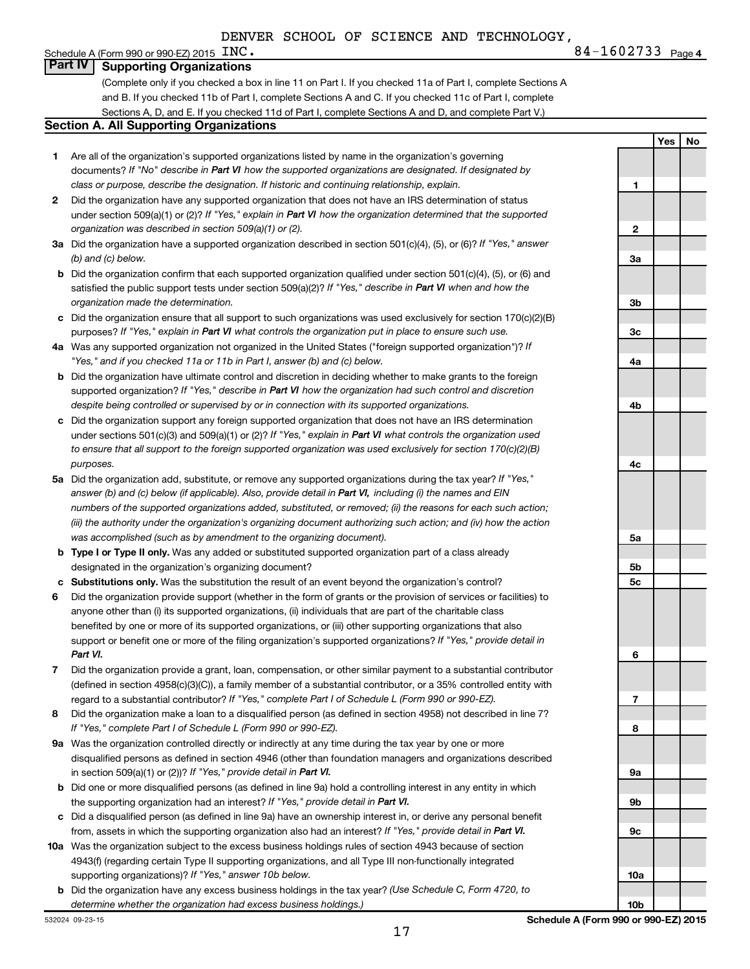**Yes No**

#### Schedule A (Form 990 or 990-EZ) 2015  $\text{INC.}$ **Part IV Supporting Organizations**

(Complete only if you checked a box in line 11 on Part I. If you checked 11a of Part I, complete Sections A and B. If you checked 11b of Part I, complete Sections A and C. If you checked 11c of Part I, complete Sections A, D, and E. If you checked 11d of Part I, complete Sections A and D, and complete Part V.)

#### **Section A. All Supporting Organizations**

- **1** Are all of the organization's supported organizations listed by name in the organization's governing documents? If "No" describe in Part VI how the supported organizations are designated. If designated by *class or purpose, describe the designation. If historic and continuing relationship, explain.*
- **2** Did the organization have any supported organization that does not have an IRS determination of status under section 509(a)(1) or (2)? If "Yes," explain in Part VI how the organization determined that the supported *organization was described in section 509(a)(1) or (2).*
- **3a** Did the organization have a supported organization described in section 501(c)(4), (5), or (6)? If "Yes," answer *(b) and (c) below.*
- **b** Did the organization confirm that each supported organization qualified under section 501(c)(4), (5), or (6) and satisfied the public support tests under section 509(a)(2)? If "Yes," describe in Part VI when and how the *organization made the determination.*
- **c** Did the organization ensure that all support to such organizations was used exclusively for section 170(c)(2)(B) purposes? If "Yes," explain in Part VI what controls the organization put in place to ensure such use.
- **4 a** *If* Was any supported organization not organized in the United States ("foreign supported organization")? *"Yes," and if you checked 11a or 11b in Part I, answer (b) and (c) below.*
- **b** Did the organization have ultimate control and discretion in deciding whether to make grants to the foreign supported organization? If "Yes," describe in Part VI how the organization had such control and discretion *despite being controlled or supervised by or in connection with its supported organizations.*
- **c** Did the organization support any foreign supported organization that does not have an IRS determination under sections 501(c)(3) and 509(a)(1) or (2)? If "Yes," explain in Part VI what controls the organization used *to ensure that all support to the foreign supported organization was used exclusively for section 170(c)(2)(B) purposes.*
- **5a** Did the organization add, substitute, or remove any supported organizations during the tax year? If "Yes," answer (b) and (c) below (if applicable). Also, provide detail in Part VI, including (i) the names and EIN *numbers of the supported organizations added, substituted, or removed; (ii) the reasons for each such action; (iii) the authority under the organization's organizing document authorizing such action; and (iv) how the action was accomplished (such as by amendment to the organizing document).*
- **b Type I or Type II only.** Was any added or substituted supported organization part of a class already designated in the organization's organizing document?
- **c Substitutions only.**  Was the substitution the result of an event beyond the organization's control?
- **6** Did the organization provide support (whether in the form of grants or the provision of services or facilities) to support or benefit one or more of the filing organization's supported organizations? If "Yes," provide detail in anyone other than (i) its supported organizations, (ii) individuals that are part of the charitable class benefited by one or more of its supported organizations, or (iii) other supporting organizations that also *Part VI.*
- **7** Did the organization provide a grant, loan, compensation, or other similar payment to a substantial contributor regard to a substantial contributor? If "Yes," complete Part I of Schedule L (Form 990 or 990-EZ). (defined in section 4958(c)(3)(C)), a family member of a substantial contributor, or a 35% controlled entity with
- **8** Did the organization make a loan to a disqualified person (as defined in section 4958) not described in line 7? *If "Yes," complete Part I of Schedule L (Form 990 or 990-EZ).*
- **9 a** Was the organization controlled directly or indirectly at any time during the tax year by one or more in section 509(a)(1) or (2))? If "Yes," provide detail in Part VI. disqualified persons as defined in section 4946 (other than foundation managers and organizations described
- **b** Did one or more disqualified persons (as defined in line 9a) hold a controlling interest in any entity in which the supporting organization had an interest? If "Yes," provide detail in Part VI.
- **c** Did a disqualified person (as defined in line 9a) have an ownership interest in, or derive any personal benefit from, assets in which the supporting organization also had an interest? If "Yes," provide detail in Part VI.
- **10 a** Was the organization subject to the excess business holdings rules of section 4943 because of section supporting organizations)? If "Yes," answer 10b below. 4943(f) (regarding certain Type II supporting organizations, and all Type III non-functionally integrated
- **b** Did the organization have any excess business holdings in the tax year? (Use Schedule C, Form 4720, to *determine whether the organization had excess business holdings.)*

**1 2 3a 3b 3c 4a 4b 4c 5a 5b 5c 6 7 8 9a 9b 9c**

**Schedule A (Form 990 or 990-EZ) 2015**

**10a**

**10b**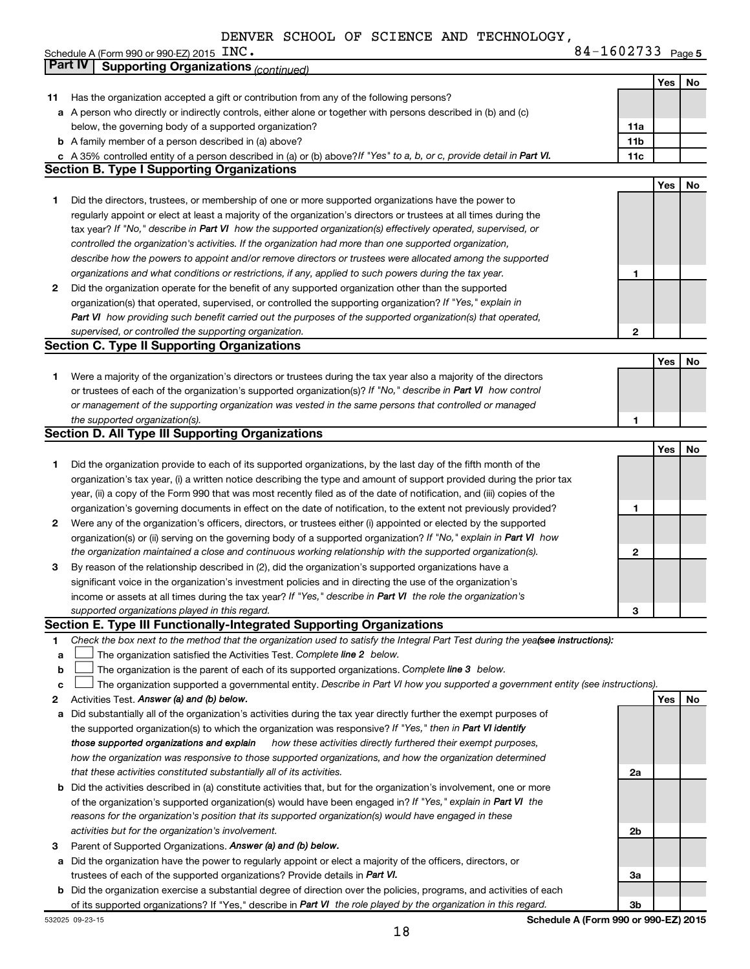Schedule A (Form 990 or 990-EZ) 2015  $\overline{INC}$ .

|    | Part IV<br><b>Supporting Organizations (continued)</b>                                                                          |                 |     |    |
|----|---------------------------------------------------------------------------------------------------------------------------------|-----------------|-----|----|
|    |                                                                                                                                 |                 | Yes | No |
| 11 | Has the organization accepted a gift or contribution from any of the following persons?                                         |                 |     |    |
|    | a A person who directly or indirectly controls, either alone or together with persons described in (b) and (c)                  |                 |     |    |
|    | below, the governing body of a supported organization?                                                                          | 11a             |     |    |
|    | <b>b</b> A family member of a person described in (a) above?                                                                    | 11 <sub>b</sub> |     |    |
|    | c A 35% controlled entity of a person described in (a) or (b) above? If "Yes" to a, b, or c, provide detail in Part VI.         | 11c             |     |    |
|    | <b>Section B. Type I Supporting Organizations</b>                                                                               |                 |     |    |
|    |                                                                                                                                 |                 | Yes | No |
| 1. | Did the directors, trustees, or membership of one or more supported organizations have the power to                             |                 |     |    |
|    | regularly appoint or elect at least a majority of the organization's directors or trustees at all times during the              |                 |     |    |
|    | tax year? If "No," describe in Part VI how the supported organization(s) effectively operated, supervised, or                   |                 |     |    |
|    | controlled the organization's activities. If the organization had more than one supported organization,                         |                 |     |    |
|    | describe how the powers to appoint and/or remove directors or trustees were allocated among the supported                       |                 |     |    |
|    | organizations and what conditions or restrictions, if any, applied to such powers during the tax year.                          | 1               |     |    |
| 2  | Did the organization operate for the benefit of any supported organization other than the supported                             |                 |     |    |
|    | organization(s) that operated, supervised, or controlled the supporting organization? If "Yes," explain in                      |                 |     |    |
|    | Part VI how providing such benefit carried out the purposes of the supported organization(s) that operated,                     |                 |     |    |
|    | supervised, or controlled the supporting organization.                                                                          | 2               |     |    |
|    | <b>Section C. Type II Supporting Organizations</b>                                                                              |                 |     |    |
|    |                                                                                                                                 |                 | Yes | No |
| 1. | Were a majority of the organization's directors or trustees during the tax year also a majority of the directors                |                 |     |    |
|    | or trustees of each of the organization's supported organization(s)? If "No," describe in Part VI how control                   |                 |     |    |
|    | or management of the supporting organization was vested in the same persons that controlled or managed                          |                 |     |    |
|    | the supported organization(s).                                                                                                  | 1               |     |    |
|    | <b>Section D. All Type III Supporting Organizations</b>                                                                         |                 |     |    |
|    |                                                                                                                                 |                 | Yes | No |
|    |                                                                                                                                 |                 |     |    |
| 1  | Did the organization provide to each of its supported organizations, by the last day of the fifth month of the                  |                 |     |    |
|    | organization's tax year, (i) a written notice describing the type and amount of support provided during the prior tax           |                 |     |    |
|    | year, (ii) a copy of the Form 990 that was most recently filed as of the date of notification, and (iii) copies of the          |                 |     |    |
|    | organization's governing documents in effect on the date of notification, to the extent not previously provided?                | 1               |     |    |
| 2  | Were any of the organization's officers, directors, or trustees either (i) appointed or elected by the supported                |                 |     |    |
|    | organization(s) or (ii) serving on the governing body of a supported organization? If "No," explain in Part VI how              |                 |     |    |
|    | the organization maintained a close and continuous working relationship with the supported organization(s).                     | $\mathbf{2}$    |     |    |
| 3  | By reason of the relationship described in (2), did the organization's supported organizations have a                           |                 |     |    |
|    | significant voice in the organization's investment policies and in directing the use of the organization's                      |                 |     |    |
|    | income or assets at all times during the tax year? If "Yes," describe in Part VI the role the organization's                    |                 |     |    |
|    | supported organizations played in this regard.                                                                                  | з               |     |    |
|    | Section E. Type III Functionally-Integrated Supporting Organizations                                                            |                 |     |    |
| 1  | Check the box next to the method that the organization used to satisfy the Integral Part Test during the yeafsee instructions): |                 |     |    |
| a  | The organization satisfied the Activities Test. Complete line 2 below.                                                          |                 |     |    |
| b  | The organization is the parent of each of its supported organizations. Complete line 3 below.                                   |                 |     |    |
| с  | The organization supported a governmental entity. Describe in Part VI how you supported a government entity (see instructions). |                 |     |    |
| 2  | Activities Test. Answer (a) and (b) below.                                                                                      |                 | Yes | No |
| а  | Did substantially all of the organization's activities during the tax year directly further the exempt purposes of              |                 |     |    |
|    | the supported organization(s) to which the organization was responsive? If "Yes," then in Part VI identify                      |                 |     |    |
|    | how these activities directly furthered their exempt purposes,<br>those supported organizations and explain                     |                 |     |    |
|    | how the organization was responsive to those supported organizations, and how the organization determined                       |                 |     |    |
|    | that these activities constituted substantially all of its activities.                                                          | 2a              |     |    |
|    | b Did the activities described in (a) constitute activities that, but for the organization's involvement, one or more           |                 |     |    |
|    | of the organization's supported organization(s) would have been engaged in? If "Yes," explain in Part VI the                    |                 |     |    |
|    | reasons for the organization's position that its supported organization(s) would have engaged in these                          |                 |     |    |
|    | activities but for the organization's involvement.                                                                              | 2b              |     |    |
| з  | Parent of Supported Organizations. Answer (a) and (b) below.                                                                    |                 |     |    |
| а  | Did the organization have the power to regularly appoint or elect a majority of the officers, directors, or                     |                 |     |    |
|    | trustees of each of the supported organizations? Provide details in Part VI.                                                    | За              |     |    |
|    | <b>b</b> Did the organization exercise a substantial degree of direction over the policies, programs, and activities of each    |                 |     |    |
|    | of its supported organizations? If "Yes," describe in Part VI the role played by the organization in this regard.               | 3b              |     |    |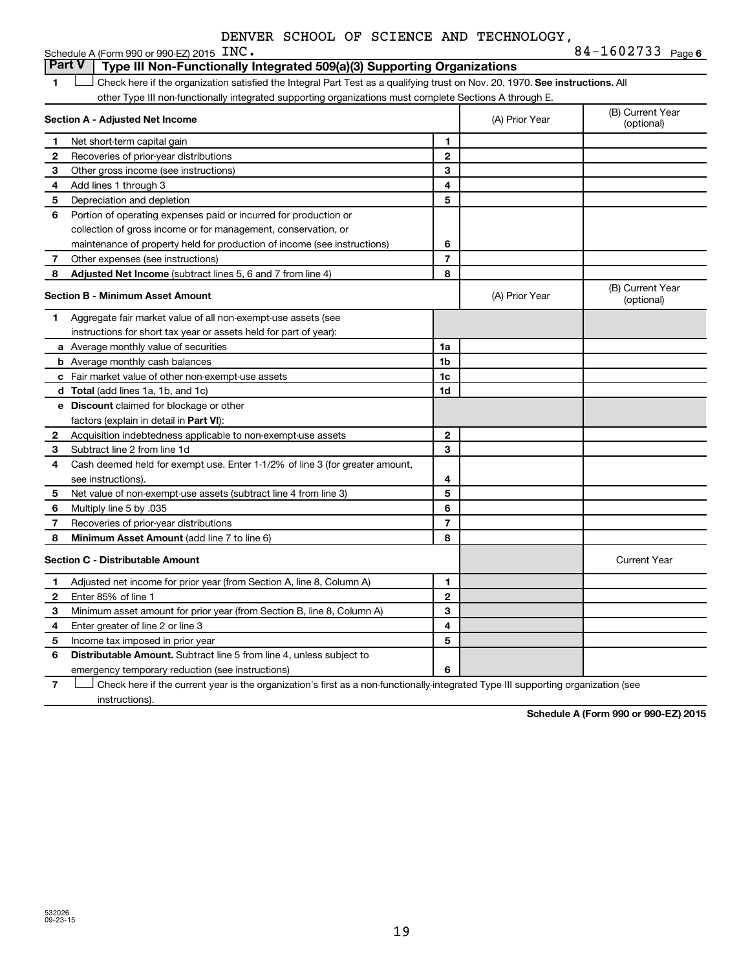| DENVER SCHOOL OF SCIENCE AND TECHNOLOGY, |  |  |  |  |  |  |
|------------------------------------------|--|--|--|--|--|--|
|------------------------------------------|--|--|--|--|--|--|

|               | Schedule A (Form 990 or 990-EZ) 2015 $\text{INC}$ .                                                                           | 84-1602733 Page 6 |                |                                |
|---------------|-------------------------------------------------------------------------------------------------------------------------------|-------------------|----------------|--------------------------------|
| <b>Part V</b> | Type III Non-Functionally Integrated 509(a)(3) Supporting Organizations                                                       |                   |                |                                |
| 1             | Check here if the organization satisfied the Integral Part Test as a qualifying trust on Nov. 20, 1970. See instructions. All |                   |                |                                |
|               | other Type III non-functionally integrated supporting organizations must complete Sections A through E.                       |                   |                |                                |
|               | Section A - Adjusted Net Income                                                                                               |                   | (A) Prior Year | (B) Current Year<br>(optional) |
| 1             | Net short-term capital gain                                                                                                   | 1                 |                |                                |
| 2             | Recoveries of prior-year distributions                                                                                        | $\mathbf{2}$      |                |                                |
| з             | Other gross income (see instructions)                                                                                         | 3                 |                |                                |
| 4             | Add lines 1 through 3                                                                                                         | 4                 |                |                                |
| 5             | Depreciation and depletion                                                                                                    | 5                 |                |                                |
| 6             | Portion of operating expenses paid or incurred for production or                                                              |                   |                |                                |
|               | collection of gross income or for management, conservation, or                                                                |                   |                |                                |
|               | maintenance of property held for production of income (see instructions)                                                      | 6                 |                |                                |
| 7             | Other expenses (see instructions)                                                                                             | $\overline{7}$    |                |                                |
| 8             | Adjusted Net Income (subtract lines 5, 6 and 7 from line 4)                                                                   | 8                 |                |                                |
|               | <b>Section B - Minimum Asset Amount</b>                                                                                       |                   | (A) Prior Year | (B) Current Year<br>(optional) |
| 1.            | Aggregate fair market value of all non-exempt-use assets (see                                                                 |                   |                |                                |
|               | instructions for short tax year or assets held for part of year):                                                             |                   |                |                                |
|               | <b>a</b> Average monthly value of securities                                                                                  | 1a                |                |                                |
|               | <b>b</b> Average monthly cash balances                                                                                        | 1 <sub>b</sub>    |                |                                |
|               | c Fair market value of other non-exempt-use assets                                                                            | 1c                |                |                                |
|               | d Total (add lines 1a, 1b, and 1c)                                                                                            | 1d                |                |                                |
|               | e Discount claimed for blockage or other                                                                                      |                   |                |                                |
|               | factors (explain in detail in <b>Part VI</b> ):                                                                               |                   |                |                                |
| 2             | Acquisition indebtedness applicable to non-exempt-use assets                                                                  | $\mathbf{2}$      |                |                                |
| 3             | Subtract line 2 from line 1d                                                                                                  | 3                 |                |                                |
| 4             | Cash deemed held for exempt use. Enter 1-1/2% of line 3 (for greater amount,                                                  |                   |                |                                |
|               | see instructions)                                                                                                             | 4                 |                |                                |
| 5             | Net value of non-exempt-use assets (subtract line 4 from line 3)                                                              | 5                 |                |                                |
| 6             | Multiply line 5 by .035                                                                                                       | 6                 |                |                                |
| 7             | Recoveries of prior-year distributions                                                                                        | $\overline{7}$    |                |                                |
| 8             | Minimum Asset Amount (add line 7 to line 6)                                                                                   | 8                 |                |                                |
|               | <b>Section C - Distributable Amount</b>                                                                                       |                   |                | <b>Current Year</b>            |
| 1             | Adjusted net income for prior year (from Section A, line 8, Column A)                                                         | 1                 |                |                                |
| 2             | Enter 85% of line 1                                                                                                           | $\mathbf{2}$      |                |                                |
| з             | Minimum asset amount for prior year (from Section B, line 8, Column A)                                                        | 3                 |                |                                |
| 4             | Enter greater of line 2 or line 3                                                                                             | 4                 |                |                                |
| 5             | Income tax imposed in prior year                                                                                              | 5                 |                |                                |
| 6             | <b>Distributable Amount.</b> Subtract line 5 from line 4, unless subject to                                                   |                   |                |                                |
|               | emergency temporary reduction (see instructions)                                                                              | 6                 |                |                                |

**7** Check here if the current year is the organization's first as a non-functionally-integrated Type III supporting organization (see † instructions).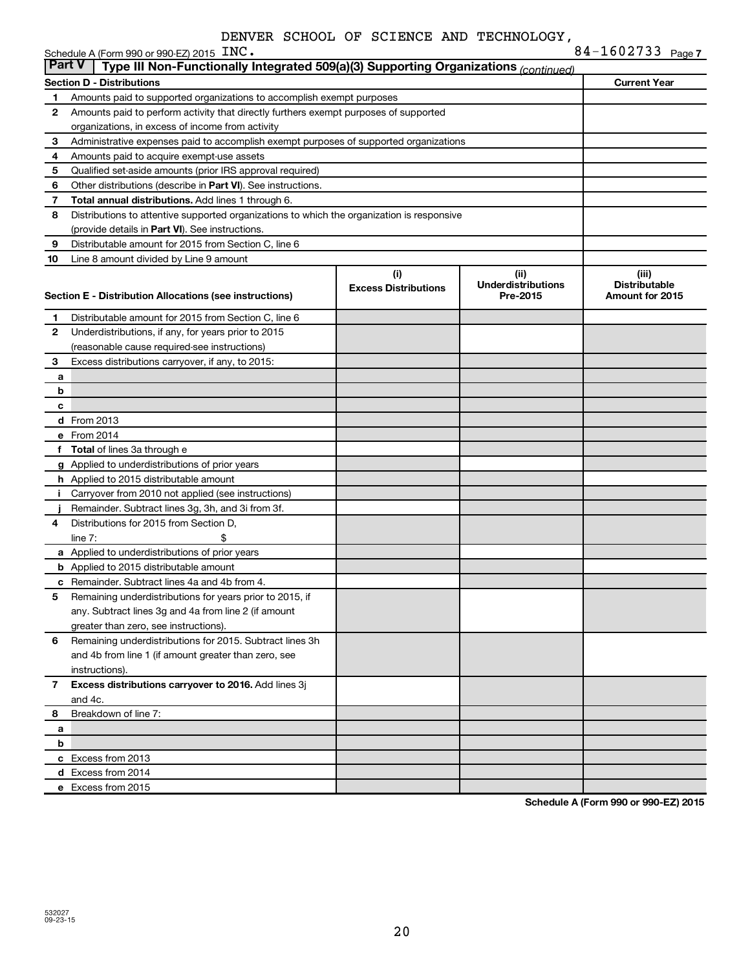|               | Schedule A (Form 990 or 990-EZ) 2015 INC.                                                  |                                    |                                                | 84-1602733 Page 7                                |
|---------------|--------------------------------------------------------------------------------------------|------------------------------------|------------------------------------------------|--------------------------------------------------|
| <b>Part V</b> | Type III Non-Functionally Integrated 509(a)(3) Supporting Organizations (continued)        |                                    |                                                |                                                  |
|               | <b>Section D - Distributions</b>                                                           |                                    |                                                | <b>Current Year</b>                              |
| 1             | Amounts paid to supported organizations to accomplish exempt purposes                      |                                    |                                                |                                                  |
| 2             | Amounts paid to perform activity that directly furthers exempt purposes of supported       |                                    |                                                |                                                  |
|               | organizations, in excess of income from activity                                           |                                    |                                                |                                                  |
| 3             | Administrative expenses paid to accomplish exempt purposes of supported organizations      |                                    |                                                |                                                  |
| 4             | Amounts paid to acquire exempt-use assets                                                  |                                    |                                                |                                                  |
| 5             | Qualified set-aside amounts (prior IRS approval required)                                  |                                    |                                                |                                                  |
| 6             | Other distributions (describe in Part VI). See instructions.                               |                                    |                                                |                                                  |
| 7             | Total annual distributions. Add lines 1 through 6.                                         |                                    |                                                |                                                  |
| 8             | Distributions to attentive supported organizations to which the organization is responsive |                                    |                                                |                                                  |
|               | (provide details in Part VI). See instructions.                                            |                                    |                                                |                                                  |
| 9             | Distributable amount for 2015 from Section C, line 6                                       |                                    |                                                |                                                  |
| 10            | Line 8 amount divided by Line 9 amount                                                     |                                    |                                                |                                                  |
|               | Section E - Distribution Allocations (see instructions)                                    | (i)<br><b>Excess Distributions</b> | (iii)<br><b>Underdistributions</b><br>Pre-2015 | (iii)<br><b>Distributable</b><br>Amount for 2015 |
| 1             | Distributable amount for 2015 from Section C, line 6                                       |                                    |                                                |                                                  |
| $\mathbf{2}$  | Underdistributions, if any, for years prior to 2015                                        |                                    |                                                |                                                  |
|               | (reasonable cause required-see instructions)                                               |                                    |                                                |                                                  |
| 3             | Excess distributions carryover, if any, to 2015:                                           |                                    |                                                |                                                  |
| a             |                                                                                            |                                    |                                                |                                                  |
| b             |                                                                                            |                                    |                                                |                                                  |
| c             |                                                                                            |                                    |                                                |                                                  |
|               | <b>d</b> From 2013                                                                         |                                    |                                                |                                                  |
|               | e From 2014                                                                                |                                    |                                                |                                                  |
|               | f Total of lines 3a through e                                                              |                                    |                                                |                                                  |
|               | g Applied to underdistributions of prior years                                             |                                    |                                                |                                                  |
|               | <b>h</b> Applied to 2015 distributable amount                                              |                                    |                                                |                                                  |
| Ť.            | Carryover from 2010 not applied (see instructions)                                         |                                    |                                                |                                                  |
|               | Remainder. Subtract lines 3g, 3h, and 3i from 3f.                                          |                                    |                                                |                                                  |
| 4             | Distributions for 2015 from Section D,                                                     |                                    |                                                |                                                  |
|               | $line 7$ :                                                                                 |                                    |                                                |                                                  |
|               | a Applied to underdistributions of prior years                                             |                                    |                                                |                                                  |
|               | <b>b</b> Applied to 2015 distributable amount                                              |                                    |                                                |                                                  |
|               | <b>c</b> Remainder. Subtract lines 4a and 4b from 4.                                       |                                    |                                                |                                                  |
| 5             | Remaining underdistributions for years prior to 2015, if                                   |                                    |                                                |                                                  |
|               | any. Subtract lines 3g and 4a from line 2 (if amount                                       |                                    |                                                |                                                  |
|               | greater than zero, see instructions).                                                      |                                    |                                                |                                                  |
| 6             | Remaining underdistributions for 2015. Subtract lines 3h                                   |                                    |                                                |                                                  |
|               | and 4b from line 1 (if amount greater than zero, see                                       |                                    |                                                |                                                  |
|               | instructions).                                                                             |                                    |                                                |                                                  |
| 7             | Excess distributions carryover to 2016. Add lines 3j                                       |                                    |                                                |                                                  |
|               | and 4c.                                                                                    |                                    |                                                |                                                  |
| 8             | Breakdown of line 7:                                                                       |                                    |                                                |                                                  |
| а             |                                                                                            |                                    |                                                |                                                  |
| b             |                                                                                            |                                    |                                                |                                                  |
|               | c Excess from 2013                                                                         |                                    |                                                |                                                  |
|               | d Excess from 2014                                                                         |                                    |                                                |                                                  |
|               | e Excess from 2015                                                                         |                                    |                                                |                                                  |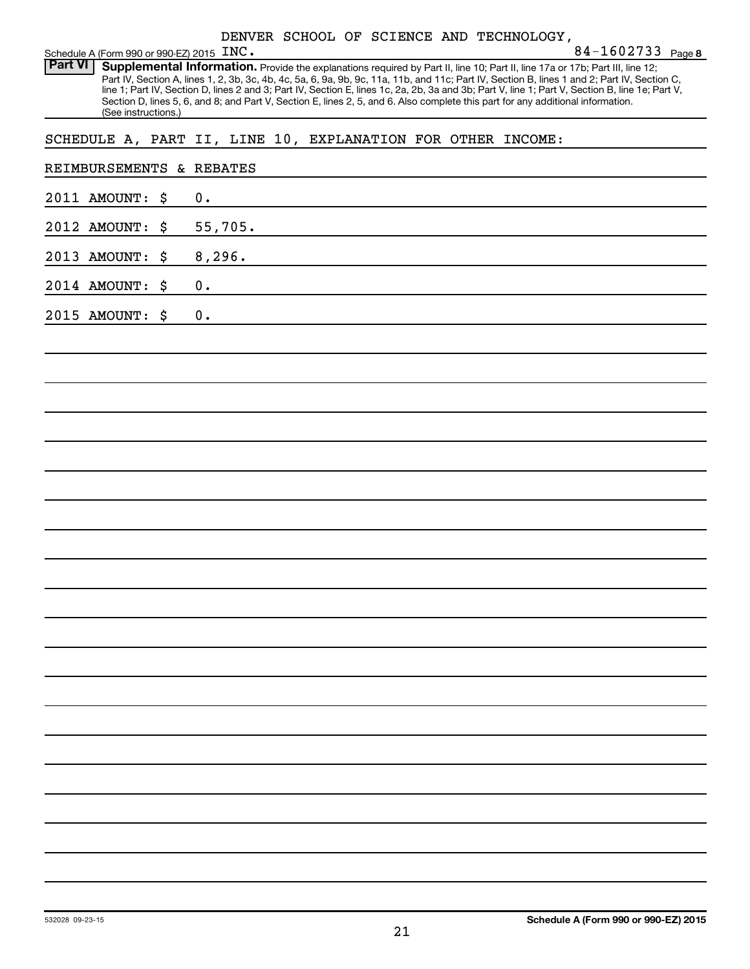|  |  |  |  |  | DENVER SCHOOL OF SCIENCE AND TECHNOLOGY, |
|--|--|--|--|--|------------------------------------------|
|--|--|--|--|--|------------------------------------------|

| INC. | 84-1602733 $_{Page 8}$ |  |
|------|------------------------|--|
|------|------------------------|--|

Schedule A (Form 990 or 990-EZ) 2015  $\text{INC.}$ Part VI | Supplemental Information. Provide the explanations required by Part II, line 10; Part II, line 17a or 17b; Part III, line 12; Part IV, Section A, lines 1, 2, 3b, 3c, 4b, 4c, 5a, 6, 9a, 9b, 9c, 11a, 11b, and 11c; Part IV, Section B, lines 1 and 2; Part IV, Section C, line 1; Part IV, Section D, lines 2 and 3; Part IV, Section E, lines 1c, 2a, 2b, 3a and 3b; Part V, line 1; Part V, Section B, line 1e; Part V, Section D, lines 5, 6, and 8; and Part V, Section E, lines 2, 5, and 6. Also complete this part for any additional information. (See instructions.)

SCHEDULE A, PART II, LINE 10, EXPLANATION FOR OTHER INCOME:

| REIMBURSEMENTS & REBATES |               |
|--------------------------|---------------|
| 2011 AMOUNT: \$          | 0.            |
| 2012 AMOUNT: \$          | 55,705.       |
| 2013 AMOUNT: \$          | 8,296.        |
| 2014 AMOUNT: \$          | 0.            |
| 2015 AMOUNT: \$          | $\mathbf 0$ . |
|                          |               |
|                          |               |
|                          |               |
|                          |               |
|                          |               |
|                          |               |
|                          |               |
|                          |               |
|                          |               |
|                          |               |
|                          |               |
|                          |               |
|                          |               |
|                          |               |
|                          |               |
|                          |               |
|                          |               |
|                          |               |
|                          |               |
|                          |               |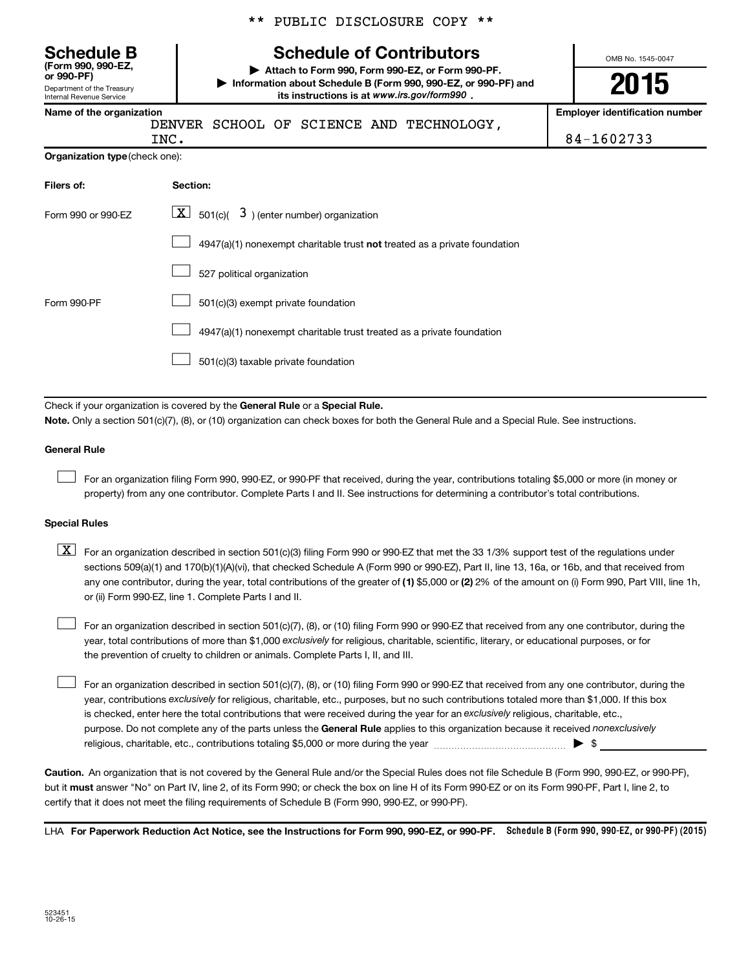|  |  | ** PUBLIC DISCLOSURE COPY ** |  |  |
|--|--|------------------------------|--|--|
|--|--|------------------------------|--|--|

## **Schedule B Schedule of Contributors**

OMB No. 1545-0047

**or 990-PF) | Attach to Form 990, Form 990-EZ, or Form 990-PF. | Information about Schedule B (Form 990, 990-EZ, or 990-PF) and** its instructions is at www.irs.gov/form990.

| or 990-PF)<br>Department of the Treasury<br>Internal Revenue Service | $\blacktriangleright$ Attach to Form 990, Form 990-EZ, or Form 990-PF.<br>Information about Schedule B (Form 990, 990-EZ, or 990-PF) and<br>its instructions is at www.irs.gov/form990, | 2015                                  |
|----------------------------------------------------------------------|-----------------------------------------------------------------------------------------------------------------------------------------------------------------------------------------|---------------------------------------|
| Name of the organization                                             | SCHOOL OF SCIENCE AND TECHNOLOGY,<br>DENVER                                                                                                                                             | <b>Employer identification number</b> |
|                                                                      | INC.                                                                                                                                                                                    | 84-1602733                            |
| <b>Organization type (check one):</b>                                |                                                                                                                                                                                         |                                       |
| Filers of:                                                           | Section:                                                                                                                                                                                |                                       |
| Form 990 or 990-EZ                                                   | $\boxed{\textbf{X}}$ 501(c)( 3) (enter number) organization                                                                                                                             |                                       |
|                                                                      | $4947(a)(1)$ nonexempt charitable trust <b>not</b> treated as a private foundation                                                                                                      |                                       |
|                                                                      | 527 political organization                                                                                                                                                              |                                       |
| Form 990-PF                                                          | 501(c)(3) exempt private foundation                                                                                                                                                     |                                       |
|                                                                      |                                                                                                                                                                                         |                                       |

 $\Box$  4947(a)(1) nonexempt charitable trust treated as a private foundation

501(c)(3) taxable private foundation  $\Box$ 

Check if your organization is covered by the General Rule or a Special Rule.

**Note.**  Only a section 501(c)(7), (8), or (10) organization can check boxes for both the General Rule and a Special Rule. See instructions.

#### **General Rule**

 $\Box$ 

**(Form 990, 990-EZ,**

For an organization filing Form 990, 990-EZ, or 990-PF that received, during the year, contributions totaling \$5,000 or more (in money or property) from any one contributor. Complete Parts I and II. See instructions for determining a contributor's total contributions.

#### **Special Rules**

any one contributor, during the year, total contributions of the greater of **(1)** \$5,000 or **(2)** 2% of the amount on (i) Form 990, Part VIII, line 1h,  $\boxed{\text{X}}$  For an organization described in section 501(c)(3) filing Form 990 or 990-EZ that met the 33 1/3% support test of the regulations under sections 509(a)(1) and 170(b)(1)(A)(vi), that checked Schedule A (Form 990 or 990-EZ), Part II, line 13, 16a, or 16b, and that received from or (ii) Form 990-EZ, line 1. Complete Parts I and II.

year, total contributions of more than \$1,000 *exclusively* for religious, charitable, scientific, literary, or educational purposes, or for For an organization described in section 501(c)(7), (8), or (10) filing Form 990 or 990-EZ that received from any one contributor, during the the prevention of cruelty to children or animals. Complete Parts I, II, and III.  $\Box$ 

purpose. Do not complete any of the parts unless the General Rule applies to this organization because it received nonexclusively year, contributions exclusively for religious, charitable, etc., purposes, but no such contributions totaled more than \$1,000. If this box is checked, enter here the total contributions that were received during the year for an exclusively religious, charitable, etc., For an organization described in section 501(c)(7), (8), or (10) filing Form 990 or 990-EZ that received from any one contributor, during the religious, charitable, etc., contributions totaling \$5,000 or more during the year  $\ldots$  $\ldots$  $\ldots$  $\ldots$  $\ldots$  $\ldots$  $\Box$ 

**Caution.** An organization that is not covered by the General Rule and/or the Special Rules does not file Schedule B (Form 990, 990-EZ, or 990-PF),  **must** but it answer "No" on Part IV, line 2, of its Form 990; or check the box on line H of its Form 990-EZ or on its Form 990-PF, Part I, line 2, to certify that it does not meet the filing requirements of Schedule B (Form 990, 990-EZ, or 990-PF).

LHA For Paperwork Reduction Act Notice, see the Instructions for Form 990, 990-EZ, or 990-PF. Schedule B (Form 990, 990-EZ, or 990-PF) (2015)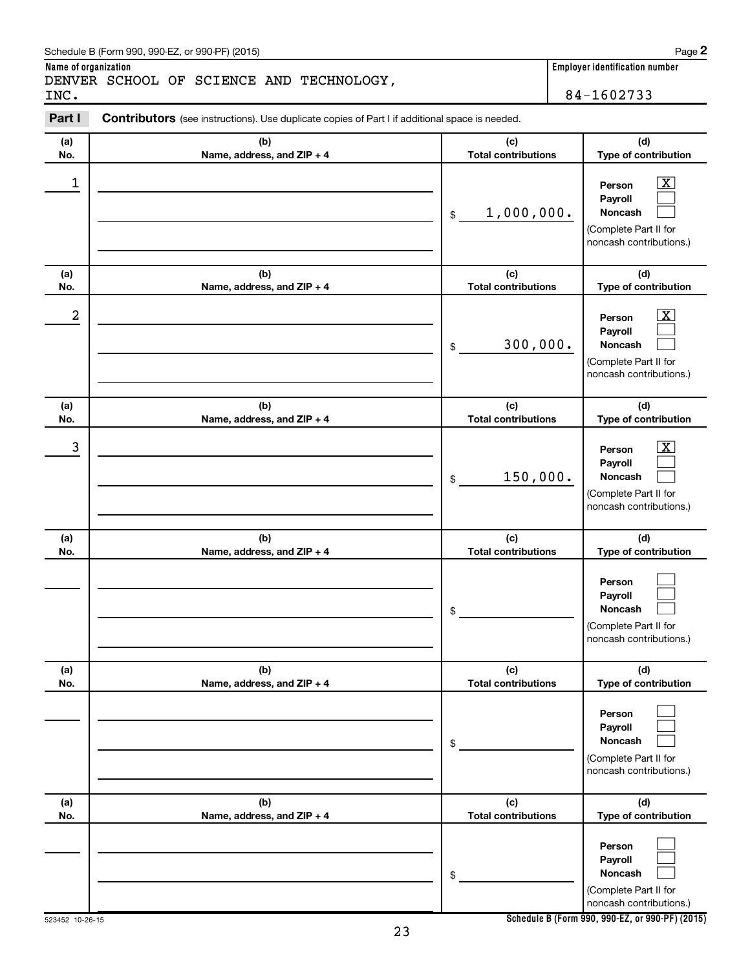| INC.       | DENVER SCHOOL OF SCIENCE AND TECHNOLOGY,                                                       |                                   | 84-1602733                                                                                                |
|------------|------------------------------------------------------------------------------------------------|-----------------------------------|-----------------------------------------------------------------------------------------------------------|
| Part I     | Contributors (see instructions). Use duplicate copies of Part I if additional space is needed. |                                   |                                                                                                           |
| (a)<br>No. | (b)<br>Name, address, and ZIP + 4                                                              | (c)<br><b>Total contributions</b> | (d)<br>Type of contribution                                                                               |
| 1          |                                                                                                | 1,000,000.<br>\$                  | $\overline{\text{X}}$<br>Person<br>Payroll<br>Noncash<br>(Complete Part II for<br>noncash contributions.) |
| (a)<br>No. | (b)<br>Name, address, and ZIP + 4                                                              | (c)<br><b>Total contributions</b> | (d)<br>Type of contribution                                                                               |
| 2          |                                                                                                | 300,000.<br>\$                    | $\overline{\text{X}}$<br>Person<br>Payroll<br>Noncash<br>(Complete Part II for<br>noncash contributions.) |
| (a)<br>No. | (b)<br>Name, address, and ZIP + 4                                                              | (c)<br><b>Total contributions</b> | (d)<br>Type of contribution                                                                               |
| 3          |                                                                                                | 150,000.<br>\$                    | $\overline{\text{X}}$<br>Person<br>Payroll<br>Noncash<br>(Complete Part II for<br>noncash contributions.) |
| (a)<br>No. | (b)<br>Name, address, and ZIP + 4                                                              | (c)<br><b>Total contributions</b> | (d)<br>Type of contribution                                                                               |
|            |                                                                                                | \$                                | Person<br>Payroll<br>Noncash<br>(Complete Part II for<br>noncash contributions.)                          |
| (a)<br>No. | (b)<br>Name, address, and ZIP + 4                                                              | (c)<br><b>Total contributions</b> | (d)<br>Type of contribution                                                                               |
|            |                                                                                                | \$                                | Person<br>Payroll<br>Noncash<br>(Complete Part II for<br>noncash contributions.)                          |
| (a)<br>No. | (b)<br>Name, address, and ZIP + 4                                                              | (c)<br><b>Total contributions</b> | (d)<br>Type of contribution                                                                               |
|            |                                                                                                | \$                                | Person<br>Payroll<br>Noncash<br>(Complete Part II for<br>noncash contributions.)                          |

23

**Name of organization Employer identification number**

**2**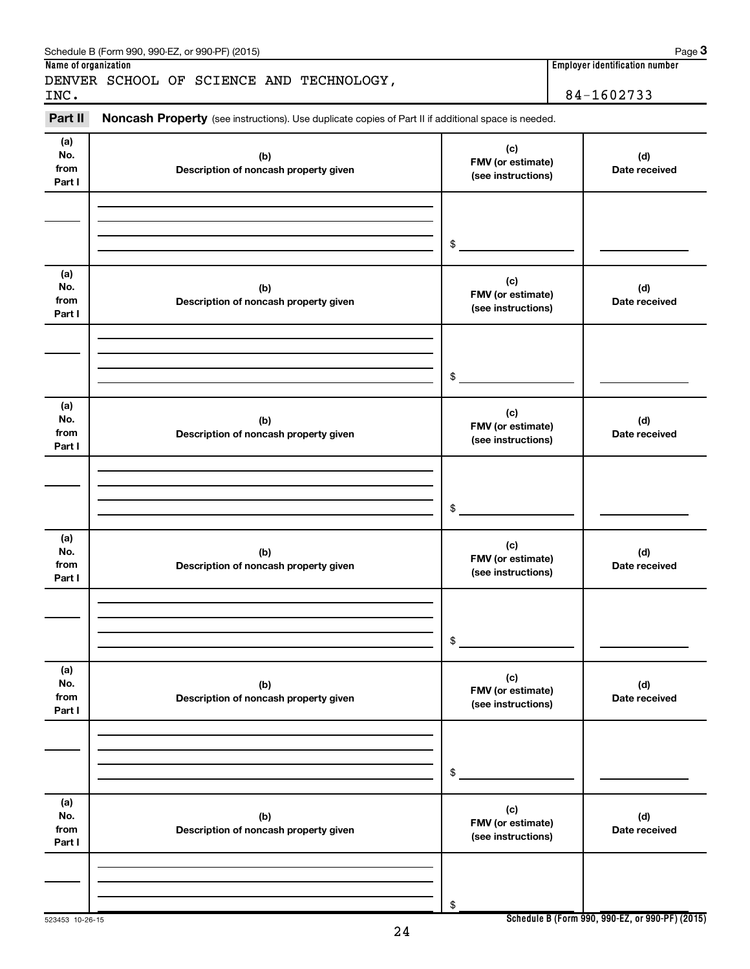| Name of organization         | SCHEDDIE D (LOULD AAD) AAD-ET' OL AAD-LEJ (SO 19)                                                   |                                                | Page o<br><b>Employer identification number</b> |
|------------------------------|-----------------------------------------------------------------------------------------------------|------------------------------------------------|-------------------------------------------------|
|                              | DENVER SCHOOL OF SCIENCE AND TECHNOLOGY,                                                            |                                                |                                                 |
| INC.                         |                                                                                                     |                                                | 84-1602733                                      |
| Part II                      | Noncash Property (see instructions). Use duplicate copies of Part II if additional space is needed. |                                                |                                                 |
| (a)<br>No.<br>from<br>Part I | (b)<br>Description of noncash property given                                                        | (c)<br>FMV (or estimate)<br>(see instructions) | (d)<br>Date received                            |
|                              |                                                                                                     | \$                                             |                                                 |
| (a)<br>No.<br>from<br>Part I | (b)<br>Description of noncash property given                                                        | (c)<br>FMV (or estimate)<br>(see instructions) | (d)<br>Date received                            |
|                              |                                                                                                     | \$                                             |                                                 |
| (a)<br>No.<br>from<br>Part I | (b)<br>Description of noncash property given                                                        | (c)<br>FMV (or estimate)<br>(see instructions) | (d)<br>Date received                            |
|                              |                                                                                                     | \$                                             |                                                 |
| (a)<br>No.<br>from<br>Part I | (b)<br>Description of noncash property given                                                        | (c)<br>FMV (or estimate)<br>(see instructions) | (d)<br>Date received                            |
|                              |                                                                                                     | \$                                             |                                                 |
| (a)<br>No.<br>from<br>Part I | (b)<br>Description of noncash property given                                                        | (c)<br>FMV (or estimate)<br>(see instructions) | (d)<br>Date received                            |
|                              |                                                                                                     | \$                                             |                                                 |
| (a)<br>No.<br>from<br>Part I | (b)<br>Description of noncash property given                                                        | (c)<br>FMV (or estimate)<br>(see instructions) | (d)<br>Date received                            |
|                              |                                                                                                     | \$                                             |                                                 |

 $Schendule B (Form 990, 990E7 or 990E) (2015)$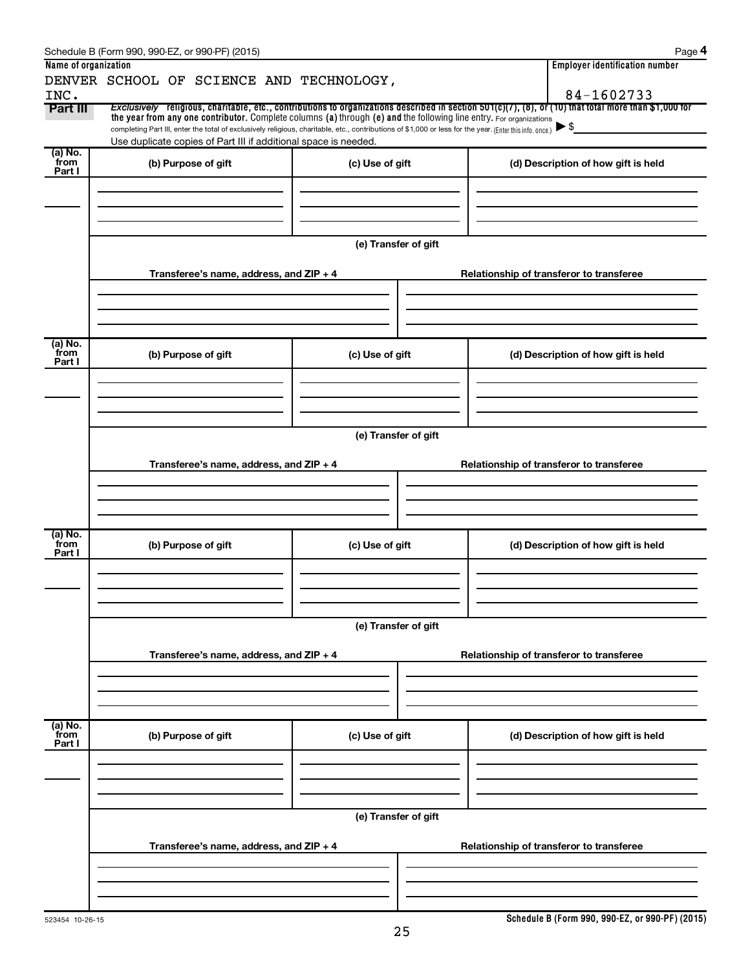|                      | Schedule B (Form 990, 990-EZ, or 990-PF) (2015)                                                                                                          |                      |                                          | Page 4                                                                                                                                                |  |  |  |  |
|----------------------|----------------------------------------------------------------------------------------------------------------------------------------------------------|----------------------|------------------------------------------|-------------------------------------------------------------------------------------------------------------------------------------------------------|--|--|--|--|
| Name of organization |                                                                                                                                                          |                      |                                          | <b>Employer identification number</b>                                                                                                                 |  |  |  |  |
|                      | DENVER SCHOOL OF SCIENCE AND TECHNOLOGY,                                                                                                                 |                      |                                          |                                                                                                                                                       |  |  |  |  |
| INC.                 |                                                                                                                                                          |                      |                                          | 84-1602733                                                                                                                                            |  |  |  |  |
| Part III             | the year from any one contributor. Complete columns (a) through (e) and the following line entry. For organizations                                      |                      |                                          | Exclusively religious, charitable, etc., contributions to organizations described in section 501(c)(7), (8), or (10) that total more than \$1,000 for |  |  |  |  |
|                      | completing Part III, enter the total of exclusively religious, charitable, etc., contributions of \$1,000 or less for the year. (Enter this info. once.) |                      |                                          | $\blacktriangleright$ \$                                                                                                                              |  |  |  |  |
|                      | Use duplicate copies of Part III if additional space is needed.                                                                                          |                      |                                          |                                                                                                                                                       |  |  |  |  |
| (a) No.<br>`from     | (b) Purpose of gift                                                                                                                                      | (c) Use of gift      |                                          | (d) Description of how gift is held                                                                                                                   |  |  |  |  |
| Part I               |                                                                                                                                                          |                      |                                          |                                                                                                                                                       |  |  |  |  |
|                      |                                                                                                                                                          |                      |                                          |                                                                                                                                                       |  |  |  |  |
|                      |                                                                                                                                                          |                      |                                          |                                                                                                                                                       |  |  |  |  |
|                      |                                                                                                                                                          |                      |                                          |                                                                                                                                                       |  |  |  |  |
|                      |                                                                                                                                                          |                      |                                          |                                                                                                                                                       |  |  |  |  |
|                      |                                                                                                                                                          | (e) Transfer of gift |                                          |                                                                                                                                                       |  |  |  |  |
|                      | Transferee's name, address, and ZIP + 4                                                                                                                  |                      | Relationship of transferor to transferee |                                                                                                                                                       |  |  |  |  |
|                      |                                                                                                                                                          |                      |                                          |                                                                                                                                                       |  |  |  |  |
|                      |                                                                                                                                                          |                      |                                          |                                                                                                                                                       |  |  |  |  |
|                      |                                                                                                                                                          |                      |                                          |                                                                                                                                                       |  |  |  |  |
|                      |                                                                                                                                                          |                      |                                          |                                                                                                                                                       |  |  |  |  |
| (a) No.              |                                                                                                                                                          |                      |                                          |                                                                                                                                                       |  |  |  |  |
| from<br>Part I       | (b) Purpose of gift                                                                                                                                      | (c) Use of gift      |                                          | (d) Description of how gift is held                                                                                                                   |  |  |  |  |
|                      |                                                                                                                                                          |                      |                                          |                                                                                                                                                       |  |  |  |  |
|                      |                                                                                                                                                          |                      |                                          |                                                                                                                                                       |  |  |  |  |
|                      |                                                                                                                                                          |                      |                                          |                                                                                                                                                       |  |  |  |  |
|                      |                                                                                                                                                          |                      |                                          |                                                                                                                                                       |  |  |  |  |
|                      | (e) Transfer of gift                                                                                                                                     |                      |                                          |                                                                                                                                                       |  |  |  |  |
|                      |                                                                                                                                                          |                      |                                          |                                                                                                                                                       |  |  |  |  |
|                      | Transferee's name, address, and ZIP + 4                                                                                                                  |                      |                                          | Relationship of transferor to transferee                                                                                                              |  |  |  |  |
|                      |                                                                                                                                                          |                      |                                          |                                                                                                                                                       |  |  |  |  |
|                      |                                                                                                                                                          |                      |                                          |                                                                                                                                                       |  |  |  |  |
|                      |                                                                                                                                                          |                      |                                          |                                                                                                                                                       |  |  |  |  |
| (a) No.              |                                                                                                                                                          |                      |                                          |                                                                                                                                                       |  |  |  |  |
| from<br>Part I       | (b) Purpose of gift                                                                                                                                      | (c) Use of gift      |                                          | (d) Description of how gift is held                                                                                                                   |  |  |  |  |
|                      |                                                                                                                                                          |                      |                                          |                                                                                                                                                       |  |  |  |  |
|                      |                                                                                                                                                          |                      |                                          |                                                                                                                                                       |  |  |  |  |
|                      |                                                                                                                                                          |                      |                                          |                                                                                                                                                       |  |  |  |  |
|                      |                                                                                                                                                          |                      |                                          |                                                                                                                                                       |  |  |  |  |
|                      |                                                                                                                                                          | (e) Transfer of gift |                                          |                                                                                                                                                       |  |  |  |  |
|                      |                                                                                                                                                          |                      |                                          |                                                                                                                                                       |  |  |  |  |
|                      | Transferee's name, address, and ZIP + 4                                                                                                                  |                      |                                          | Relationship of transferor to transferee                                                                                                              |  |  |  |  |
|                      |                                                                                                                                                          |                      |                                          |                                                                                                                                                       |  |  |  |  |
|                      |                                                                                                                                                          |                      |                                          |                                                                                                                                                       |  |  |  |  |
|                      |                                                                                                                                                          |                      |                                          |                                                                                                                                                       |  |  |  |  |
| (a) No.              |                                                                                                                                                          |                      |                                          |                                                                                                                                                       |  |  |  |  |
| from<br>Part I       | (b) Purpose of gift                                                                                                                                      | (c) Use of gift      |                                          | (d) Description of how gift is held                                                                                                                   |  |  |  |  |
|                      |                                                                                                                                                          |                      |                                          |                                                                                                                                                       |  |  |  |  |
|                      |                                                                                                                                                          |                      |                                          |                                                                                                                                                       |  |  |  |  |
|                      |                                                                                                                                                          |                      |                                          |                                                                                                                                                       |  |  |  |  |
|                      |                                                                                                                                                          |                      |                                          |                                                                                                                                                       |  |  |  |  |
|                      | (e) Transfer of gift                                                                                                                                     |                      |                                          |                                                                                                                                                       |  |  |  |  |
|                      |                                                                                                                                                          |                      |                                          |                                                                                                                                                       |  |  |  |  |
|                      | Transferee's name, address, and ZIP + 4                                                                                                                  |                      | Relationship of transferor to transferee |                                                                                                                                                       |  |  |  |  |
|                      |                                                                                                                                                          |                      |                                          |                                                                                                                                                       |  |  |  |  |
|                      |                                                                                                                                                          |                      |                                          |                                                                                                                                                       |  |  |  |  |
|                      |                                                                                                                                                          |                      |                                          |                                                                                                                                                       |  |  |  |  |
|                      |                                                                                                                                                          |                      |                                          |                                                                                                                                                       |  |  |  |  |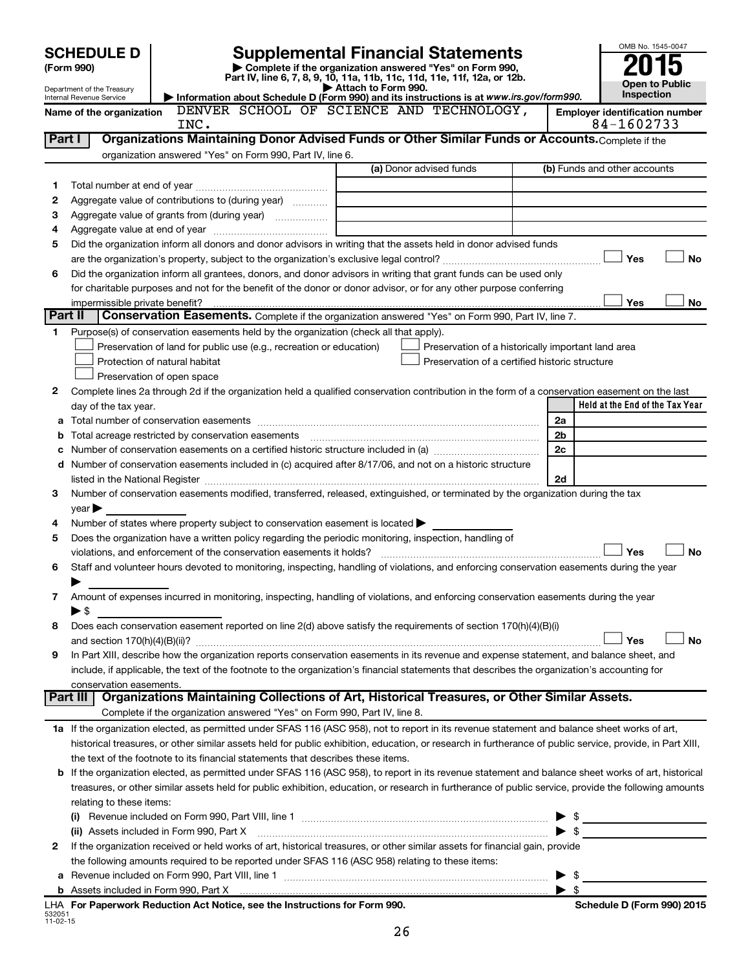| <b>SCHEDULE D</b> |                                                                                                                                                    |                                                                                                                                                                                                                                                                                                            | <b>Supplemental Financial Statements</b> |                                                    |  |                                                     |
|-------------------|----------------------------------------------------------------------------------------------------------------------------------------------------|------------------------------------------------------------------------------------------------------------------------------------------------------------------------------------------------------------------------------------------------------------------------------------------------------------|------------------------------------------|----------------------------------------------------|--|-----------------------------------------------------|
|                   | Complete if the organization answered "Yes" on Form 990,<br>(Form 990)<br>Part IV, line 6, 7, 8, 9, 10, 11a, 11b, 11c, 11d, 11e, 11f, 12a, or 12b. |                                                                                                                                                                                                                                                                                                            |                                          |                                                    |  |                                                     |
|                   | Department of the Treasury                                                                                                                         |                                                                                                                                                                                                                                                                                                            | Attach to Form 990.                      |                                                    |  | <b>Open to Public</b>                               |
|                   | Internal Revenue Service                                                                                                                           | Information about Schedule D (Form 990) and its instructions is at www.irs.gov/form990.<br>DENVER SCHOOL OF SCIENCE AND TECHNOLOGY,                                                                                                                                                                        |                                          |                                                    |  | Inspection                                          |
|                   | Name of the organization                                                                                                                           | INC.                                                                                                                                                                                                                                                                                                       |                                          |                                                    |  | <b>Employer identification number</b><br>84-1602733 |
| Part I            |                                                                                                                                                    | Organizations Maintaining Donor Advised Funds or Other Similar Funds or Accounts. Complete if the                                                                                                                                                                                                          |                                          |                                                    |  |                                                     |
|                   |                                                                                                                                                    | organization answered "Yes" on Form 990, Part IV, line 6.                                                                                                                                                                                                                                                  |                                          |                                                    |  |                                                     |
|                   |                                                                                                                                                    |                                                                                                                                                                                                                                                                                                            |                                          | (a) Donor advised funds                            |  | (b) Funds and other accounts                        |
| 1                 |                                                                                                                                                    |                                                                                                                                                                                                                                                                                                            |                                          |                                                    |  |                                                     |
| 2                 |                                                                                                                                                    | Aggregate value of contributions to (during year)                                                                                                                                                                                                                                                          |                                          |                                                    |  |                                                     |
| З                 |                                                                                                                                                    |                                                                                                                                                                                                                                                                                                            |                                          |                                                    |  |                                                     |
| 4                 |                                                                                                                                                    |                                                                                                                                                                                                                                                                                                            |                                          |                                                    |  |                                                     |
| 5                 |                                                                                                                                                    | Did the organization inform all donors and donor advisors in writing that the assets held in donor advised funds                                                                                                                                                                                           |                                          |                                                    |  |                                                     |
|                   |                                                                                                                                                    |                                                                                                                                                                                                                                                                                                            |                                          |                                                    |  | Yes<br><b>No</b>                                    |
| 6                 |                                                                                                                                                    | Did the organization inform all grantees, donors, and donor advisors in writing that grant funds can be used only<br>for charitable purposes and not for the benefit of the donor or donor advisor, or for any other purpose conferring                                                                    |                                          |                                                    |  |                                                     |
|                   | impermissible private benefit?                                                                                                                     |                                                                                                                                                                                                                                                                                                            |                                          |                                                    |  | Yes<br>No                                           |
| Part II           |                                                                                                                                                    | Conservation Easements. Complete if the organization answered "Yes" on Form 990, Part IV, line 7.                                                                                                                                                                                                          |                                          |                                                    |  |                                                     |
| 1                 |                                                                                                                                                    | Purpose(s) of conservation easements held by the organization (check all that apply).                                                                                                                                                                                                                      |                                          |                                                    |  |                                                     |
|                   |                                                                                                                                                    | Preservation of land for public use (e.g., recreation or education)                                                                                                                                                                                                                                        |                                          | Preservation of a historically important land area |  |                                                     |
|                   |                                                                                                                                                    | Protection of natural habitat                                                                                                                                                                                                                                                                              |                                          | Preservation of a certified historic structure     |  |                                                     |
|                   |                                                                                                                                                    | Preservation of open space                                                                                                                                                                                                                                                                                 |                                          |                                                    |  |                                                     |
| 2                 |                                                                                                                                                    | Complete lines 2a through 2d if the organization held a qualified conservation contribution in the form of a conservation easement on the last                                                                                                                                                             |                                          |                                                    |  |                                                     |
|                   | day of the tax year.                                                                                                                               |                                                                                                                                                                                                                                                                                                            |                                          |                                                    |  | Held at the End of the Tax Year                     |
|                   |                                                                                                                                                    |                                                                                                                                                                                                                                                                                                            |                                          |                                                    |  | 2a                                                  |
| b                 |                                                                                                                                                    |                                                                                                                                                                                                                                                                                                            |                                          |                                                    |  | 2 <sub>b</sub>                                      |
|                   |                                                                                                                                                    |                                                                                                                                                                                                                                                                                                            |                                          |                                                    |  | 2c                                                  |
|                   |                                                                                                                                                    | d Number of conservation easements included in (c) acquired after 8/17/06, and not on a historic structure                                                                                                                                                                                                 |                                          |                                                    |  |                                                     |
|                   |                                                                                                                                                    |                                                                                                                                                                                                                                                                                                            |                                          |                                                    |  | 2d                                                  |
| 3                 |                                                                                                                                                    | Number of conservation easements modified, transferred, released, extinguished, or terminated by the organization during the tax                                                                                                                                                                           |                                          |                                                    |  |                                                     |
|                   | $year \blacktriangleright$                                                                                                                         | Number of states where property subject to conservation easement is located >                                                                                                                                                                                                                              |                                          |                                                    |  |                                                     |
| 4<br>5            |                                                                                                                                                    | Does the organization have a written policy regarding the periodic monitoring, inspection, handling of                                                                                                                                                                                                     |                                          |                                                    |  |                                                     |
|                   |                                                                                                                                                    | violations, and enforcement of the conservation easements it holds?                                                                                                                                                                                                                                        |                                          |                                                    |  | <b>No</b><br>Yes                                    |
| 6                 |                                                                                                                                                    | Staff and volunteer hours devoted to monitoring, inspecting, handling of violations, and enforcing conservation easements during the year                                                                                                                                                                  |                                          |                                                    |  |                                                     |
|                   |                                                                                                                                                    |                                                                                                                                                                                                                                                                                                            |                                          |                                                    |  |                                                     |
| 7                 |                                                                                                                                                    | Amount of expenses incurred in monitoring, inspecting, handling of violations, and enforcing conservation easements during the year                                                                                                                                                                        |                                          |                                                    |  |                                                     |
|                   | ▶ \$                                                                                                                                               |                                                                                                                                                                                                                                                                                                            |                                          |                                                    |  |                                                     |
| 8                 |                                                                                                                                                    | Does each conservation easement reported on line 2(d) above satisfy the requirements of section 170(h)(4)(B)(i)                                                                                                                                                                                            |                                          |                                                    |  |                                                     |
|                   |                                                                                                                                                    |                                                                                                                                                                                                                                                                                                            |                                          |                                                    |  | <b>No</b><br>Yes                                    |
| 9                 |                                                                                                                                                    | In Part XIII, describe how the organization reports conservation easements in its revenue and expense statement, and balance sheet, and                                                                                                                                                                    |                                          |                                                    |  |                                                     |
|                   |                                                                                                                                                    | include, if applicable, the text of the footnote to the organization's financial statements that describes the organization's accounting for                                                                                                                                                               |                                          |                                                    |  |                                                     |
|                   | conservation easements.                                                                                                                            |                                                                                                                                                                                                                                                                                                            |                                          |                                                    |  |                                                     |
|                   | Part III                                                                                                                                           | Organizations Maintaining Collections of Art, Historical Treasures, or Other Similar Assets.                                                                                                                                                                                                               |                                          |                                                    |  |                                                     |
|                   |                                                                                                                                                    | Complete if the organization answered "Yes" on Form 990, Part IV, line 8.                                                                                                                                                                                                                                  |                                          |                                                    |  |                                                     |
|                   |                                                                                                                                                    | 1a If the organization elected, as permitted under SFAS 116 (ASC 958), not to report in its revenue statement and balance sheet works of art,<br>historical treasures, or other similar assets held for public exhibition, education, or research in furtherance of public service, provide, in Part XIII, |                                          |                                                    |  |                                                     |
|                   |                                                                                                                                                    | the text of the footnote to its financial statements that describes these items.                                                                                                                                                                                                                           |                                          |                                                    |  |                                                     |
| b                 |                                                                                                                                                    | If the organization elected, as permitted under SFAS 116 (ASC 958), to report in its revenue statement and balance sheet works of art, historical                                                                                                                                                          |                                          |                                                    |  |                                                     |
|                   |                                                                                                                                                    | treasures, or other similar assets held for public exhibition, education, or research in furtherance of public service, provide the following amounts                                                                                                                                                      |                                          |                                                    |  |                                                     |
|                   | relating to these items:                                                                                                                           |                                                                                                                                                                                                                                                                                                            |                                          |                                                    |  |                                                     |
|                   |                                                                                                                                                    |                                                                                                                                                                                                                                                                                                            |                                          |                                                    |  |                                                     |
|                   |                                                                                                                                                    | (ii) Assets included in Form 990, Part X                                                                                                                                                                                                                                                                   |                                          |                                                    |  | $\mathbb{S}$                                        |
| 2                 |                                                                                                                                                    | If the organization received or held works of art, historical treasures, or other similar assets for financial gain, provide                                                                                                                                                                               |                                          |                                                    |  |                                                     |
|                   |                                                                                                                                                    | the following amounts required to be reported under SFAS 116 (ASC 958) relating to these items:                                                                                                                                                                                                            |                                          |                                                    |  |                                                     |
| а                 |                                                                                                                                                    |                                                                                                                                                                                                                                                                                                            |                                          |                                                    |  | \$<br>▶                                             |
|                   |                                                                                                                                                    |                                                                                                                                                                                                                                                                                                            |                                          |                                                    |  | $\blacktriangleright$ s                             |
|                   |                                                                                                                                                    | LHA For Paperwork Reduction Act Notice, see the Instructions for Form 990.                                                                                                                                                                                                                                 |                                          |                                                    |  | Schedule D (Form 990) 2015                          |

532051 11-02-15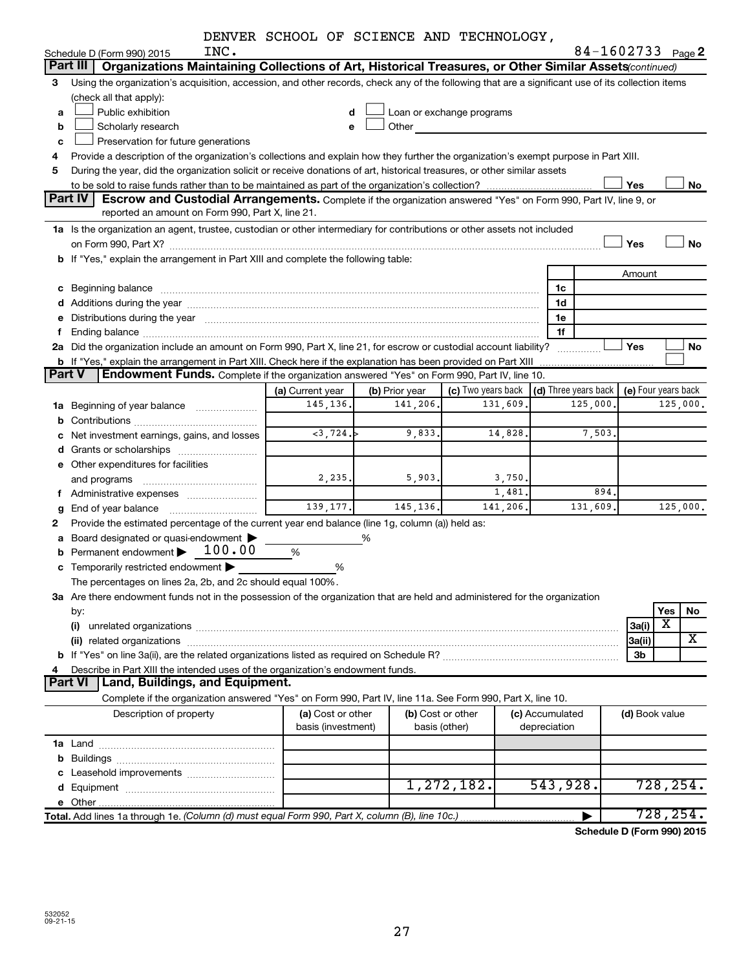|  |  |  |  |  | DENVER SCHOOL OF SCIENCE AND TECHNOLOGY, |
|--|--|--|--|--|------------------------------------------|
|--|--|--|--|--|------------------------------------------|

|                |                                                                                                                                                                                       | DENVER SCHOOL OF SCIENCE AND TECHNOLOGY, |                |                           |  |                      |          |                     |     |           |  |  |
|----------------|---------------------------------------------------------------------------------------------------------------------------------------------------------------------------------------|------------------------------------------|----------------|---------------------------|--|----------------------|----------|---------------------|-----|-----------|--|--|
|                | INC.<br>Schedule D (Form 990) 2015                                                                                                                                                    |                                          |                |                           |  |                      |          | 84-1602733 Page 2   |     |           |  |  |
|                | Organizations Maintaining Collections of Art, Historical Treasures, or Other Similar Assets (continued)<br>Part III                                                                   |                                          |                |                           |  |                      |          |                     |     |           |  |  |
| 3              | Using the organization's acquisition, accession, and other records, check any of the following that are a significant use of its collection items                                     |                                          |                |                           |  |                      |          |                     |     |           |  |  |
|                | (check all that apply):                                                                                                                                                               |                                          |                |                           |  |                      |          |                     |     |           |  |  |
| a              | Public exhibition                                                                                                                                                                     | d                                        |                | Loan or exchange programs |  |                      |          |                     |     |           |  |  |
| b              | Scholarly research                                                                                                                                                                    | e                                        | Other          |                           |  |                      |          |                     |     |           |  |  |
| c              | Preservation for future generations                                                                                                                                                   |                                          |                |                           |  |                      |          |                     |     |           |  |  |
| 4              | Provide a description of the organization's collections and explain how they further the organization's exempt purpose in Part XIII.                                                  |                                          |                |                           |  |                      |          |                     |     |           |  |  |
| 5              | During the year, did the organization solicit or receive donations of art, historical treasures, or other similar assets                                                              |                                          |                |                           |  |                      |          |                     |     |           |  |  |
|                |                                                                                                                                                                                       |                                          |                |                           |  |                      |          | Yes                 |     | No        |  |  |
|                | Part IV<br>Escrow and Custodial Arrangements. Complete if the organization answered "Yes" on Form 990, Part IV, line 9, or                                                            |                                          |                |                           |  |                      |          |                     |     |           |  |  |
|                | reported an amount on Form 990, Part X, line 21.                                                                                                                                      |                                          |                |                           |  |                      |          |                     |     |           |  |  |
|                | 1a Is the organization an agent, trustee, custodian or other intermediary for contributions or other assets not included                                                              |                                          |                |                           |  |                      |          |                     |     |           |  |  |
|                |                                                                                                                                                                                       |                                          |                |                           |  |                      |          | Yes                 |     | <b>No</b> |  |  |
|                | b If "Yes," explain the arrangement in Part XIII and complete the following table:                                                                                                    |                                          |                |                           |  |                      |          |                     |     |           |  |  |
|                |                                                                                                                                                                                       |                                          |                |                           |  |                      |          | Amount              |     |           |  |  |
|                | c Beginning balance                                                                                                                                                                   |                                          |                |                           |  | 1c                   |          |                     |     |           |  |  |
|                |                                                                                                                                                                                       |                                          |                |                           |  | 1d                   |          |                     |     |           |  |  |
|                | e Distributions during the year manufactured and an account of the year manufactured and account of the year manufactured and account of the USA of the Distributions during the year |                                          |                |                           |  | 1e                   |          |                     |     |           |  |  |
| f              |                                                                                                                                                                                       |                                          |                |                           |  | 1f                   |          |                     |     |           |  |  |
|                | 2a Did the organization include an amount on Form 990, Part X, line 21, for escrow or custodial account liability?                                                                    |                                          |                |                           |  |                      |          | Yes                 |     | No        |  |  |
|                | b If "Yes," explain the arrangement in Part XIII. Check here if the explanation has been provided on Part XIII                                                                        |                                          |                |                           |  |                      |          |                     |     |           |  |  |
| <b>Part V</b>  | Endowment Funds. Complete if the organization answered "Yes" on Form 990, Part IV, line 10.                                                                                           |                                          |                |                           |  |                      |          |                     |     |           |  |  |
|                |                                                                                                                                                                                       | (a) Current year                         | (b) Prior year | (c) Two years back        |  | (d) Three years back |          | (e) Four years back |     |           |  |  |
|                | 1a Beginning of year balance                                                                                                                                                          | 145, 136.                                | 141,206.       | 131,609.                  |  |                      | 125,000. |                     |     | 125,000.  |  |  |
|                |                                                                                                                                                                                       |                                          |                |                           |  |                      |          |                     |     |           |  |  |
|                | c Net investment earnings, gains, and losses                                                                                                                                          | $<$ 3,724.                               | 9,833.         | 14,828.                   |  |                      | 7,503.   |                     |     |           |  |  |
|                |                                                                                                                                                                                       |                                          |                |                           |  |                      |          |                     |     |           |  |  |
|                | e Other expenditures for facilities                                                                                                                                                   |                                          |                |                           |  |                      |          |                     |     |           |  |  |
|                | and programs                                                                                                                                                                          | 2, 235.                                  | 5,903.         | 3,750.                    |  |                      |          |                     |     |           |  |  |
|                | f Administrative expenses                                                                                                                                                             |                                          |                | 1,481.                    |  |                      | 894.     |                     |     |           |  |  |
| g              | End of year balance                                                                                                                                                                   | 139, 177.                                | 145, 136.      | 141,206.                  |  |                      | 131,609. |                     |     | 125,000.  |  |  |
| 2              | Provide the estimated percentage of the current year end balance (line 1g, column (a)) held as:                                                                                       |                                          |                |                           |  |                      |          |                     |     |           |  |  |
|                | a Board designated or quasi-endowment >                                                                                                                                               |                                          | %              |                           |  |                      |          |                     |     |           |  |  |
|                | 100.00<br><b>b</b> Permanent endowment $\blacktriangleright$                                                                                                                          | %                                        |                |                           |  |                      |          |                     |     |           |  |  |
|                | c Temporarily restricted endowment $\blacktriangleright$                                                                                                                              | %                                        |                |                           |  |                      |          |                     |     |           |  |  |
|                | The percentages on lines 2a, 2b, and 2c should equal 100%.                                                                                                                            |                                          |                |                           |  |                      |          |                     |     |           |  |  |
|                | 3a Are there endowment funds not in the possession of the organization that are held and administered for the organization                                                            |                                          |                |                           |  |                      |          |                     |     |           |  |  |
|                | by:                                                                                                                                                                                   |                                          |                |                           |  |                      |          |                     | Yes | No        |  |  |
|                | (i)                                                                                                                                                                                   |                                          |                |                           |  |                      |          | 3a(i)               | х   |           |  |  |
|                |                                                                                                                                                                                       |                                          |                |                           |  |                      |          | 3a(ii)              |     | X         |  |  |
|                |                                                                                                                                                                                       |                                          |                |                           |  |                      |          | 3b                  |     |           |  |  |
| 4              | Describe in Part XIII the intended uses of the organization's endowment funds.                                                                                                        |                                          |                |                           |  |                      |          |                     |     |           |  |  |
| <b>Part VI</b> | Land, Buildings, and Equipment.                                                                                                                                                       |                                          |                |                           |  |                      |          |                     |     |           |  |  |
|                | Complete if the organization answered "Yes" on Form 990, Part IV, line 11a. See Form 990, Part X, line 10.                                                                            |                                          |                |                           |  |                      |          |                     |     |           |  |  |
|                | Description of property                                                                                                                                                               | (a) Cost or other                        |                | (b) Cost or other         |  | (c) Accumulated      |          | (d) Book value      |     |           |  |  |
|                |                                                                                                                                                                                       | basis (investment)                       |                | basis (other)             |  | depreciation         |          |                     |     |           |  |  |
|                |                                                                                                                                                                                       |                                          |                |                           |  |                      |          |                     |     |           |  |  |
|                |                                                                                                                                                                                       |                                          |                |                           |  |                      |          |                     |     |           |  |  |
|                |                                                                                                                                                                                       |                                          |                |                           |  |                      |          |                     |     |           |  |  |
|                |                                                                                                                                                                                       |                                          |                | 1,272,182.                |  | 543,928.             |          |                     |     | 728, 254. |  |  |
|                |                                                                                                                                                                                       |                                          |                |                           |  |                      |          |                     |     |           |  |  |
|                | Total. Add lines 1a through 1e. (Column (d) must equal Form 990, Part X, column (B), line 10c.)                                                                                       |                                          |                |                           |  |                      |          |                     |     | 728, 254. |  |  |

**Schedule D (Form 990) 2015**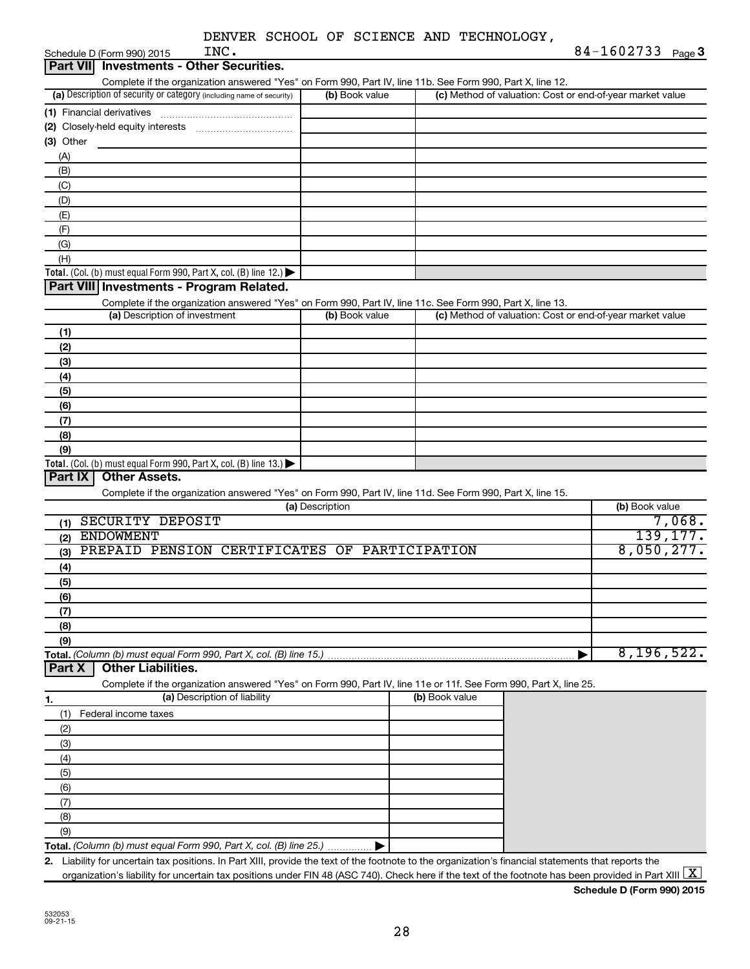| DENVER SCHOOL OF SCIENCE AND TECHNOLOGY, |  |
|------------------------------------------|--|
|------------------------------------------|--|

| INC.<br>Schedule D (Form 990) 2015                                                                                                                   |                 |                                                           | 84-1602733 Page 3 |
|------------------------------------------------------------------------------------------------------------------------------------------------------|-----------------|-----------------------------------------------------------|-------------------|
| Part VII Investments - Other Securities.                                                                                                             |                 |                                                           |                   |
| Complete if the organization answered "Yes" on Form 990, Part IV, line 11b. See Form 990, Part X, line 12.                                           |                 |                                                           |                   |
| (a) Description of security or category (including name of security)                                                                                 | (b) Book value  | (c) Method of valuation: Cost or end-of-year market value |                   |
|                                                                                                                                                      |                 |                                                           |                   |
|                                                                                                                                                      |                 |                                                           |                   |
| (3) Other                                                                                                                                            |                 |                                                           |                   |
| (A)                                                                                                                                                  |                 |                                                           |                   |
| (B)                                                                                                                                                  |                 |                                                           |                   |
| (C)                                                                                                                                                  |                 |                                                           |                   |
| (D)                                                                                                                                                  |                 |                                                           |                   |
| (E)                                                                                                                                                  |                 |                                                           |                   |
| (F)                                                                                                                                                  |                 |                                                           |                   |
| (G)                                                                                                                                                  |                 |                                                           |                   |
| (H)                                                                                                                                                  |                 |                                                           |                   |
| Total. (Col. (b) must equal Form 990, Part X, col. (B) line 12.)                                                                                     |                 |                                                           |                   |
| Part VIII Investments - Program Related.                                                                                                             |                 |                                                           |                   |
| Complete if the organization answered "Yes" on Form 990, Part IV, line 11c. See Form 990, Part X, line 13.                                           |                 |                                                           |                   |
| (a) Description of investment                                                                                                                        | (b) Book value  | (c) Method of valuation: Cost or end-of-year market value |                   |
| (1)                                                                                                                                                  |                 |                                                           |                   |
| (2)                                                                                                                                                  |                 |                                                           |                   |
| (3)                                                                                                                                                  |                 |                                                           |                   |
| (4)                                                                                                                                                  |                 |                                                           |                   |
| (5)                                                                                                                                                  |                 |                                                           |                   |
| (6)                                                                                                                                                  |                 |                                                           |                   |
| (7)                                                                                                                                                  |                 |                                                           |                   |
| (8)                                                                                                                                                  |                 |                                                           |                   |
| (9)                                                                                                                                                  |                 |                                                           |                   |
| Total. (Col. (b) must equal Form 990, Part X, col. (B) line $13.$ )                                                                                  |                 |                                                           |                   |
| <b>Other Assets.</b><br>Part IX                                                                                                                      |                 |                                                           |                   |
| Complete if the organization answered "Yes" on Form 990, Part IV, line 11d. See Form 990, Part X, line 15.                                           |                 |                                                           |                   |
|                                                                                                                                                      | (a) Description |                                                           | (b) Book value    |
| SECURITY DEPOSIT<br>(1)                                                                                                                              |                 |                                                           | 7,068.            |
| <b>ENDOWMENT</b><br>(2)                                                                                                                              |                 |                                                           | 139, 177.         |
| PREPAID PENSION CERTIFICATES OF PARTICIPATION<br>(3)                                                                                                 |                 |                                                           | 8,050,277.        |
| (4)                                                                                                                                                  |                 |                                                           |                   |
| (5)                                                                                                                                                  |                 |                                                           |                   |
| (6)                                                                                                                                                  |                 |                                                           |                   |
| (7)                                                                                                                                                  |                 |                                                           |                   |
| (8)                                                                                                                                                  |                 |                                                           |                   |
| (9)                                                                                                                                                  |                 |                                                           |                   |
| Total. (Column (b) must equal Form 990, Part X, col. (B) line 15.)                                                                                   |                 |                                                           | 8, 196, 522.      |
| <b>Other Liabilities.</b><br>Part X                                                                                                                  |                 |                                                           |                   |
| Complete if the organization answered "Yes" on Form 990, Part IV, line 11e or 11f. See Form 990, Part X, line 25.                                    |                 |                                                           |                   |
| (a) Description of liability<br>1.                                                                                                                   |                 | (b) Book value                                            |                   |
| Federal income taxes<br>(1)                                                                                                                          |                 |                                                           |                   |
| (2)                                                                                                                                                  |                 |                                                           |                   |
| (3)                                                                                                                                                  |                 |                                                           |                   |
| (4)                                                                                                                                                  |                 |                                                           |                   |
| (5)                                                                                                                                                  |                 |                                                           |                   |
|                                                                                                                                                      |                 |                                                           |                   |
| (6)                                                                                                                                                  |                 |                                                           |                   |
| (7)                                                                                                                                                  |                 |                                                           |                   |
| (8)                                                                                                                                                  |                 |                                                           |                   |
| (9)                                                                                                                                                  |                 |                                                           |                   |
| Total. (Column (b) must equal Form 990, Part X, col. (B) line 25.)                                                                                   |                 |                                                           |                   |
| 2. Liability for uncertain tax positions. In Part XIII, provide the text of the footnote to the organization's financial statements that reports the |                 |                                                           |                   |

organization's liability for uncertain tax positions under FIN 48 (ASC 740). Check here if the text of the footnote has been provided in Part XIII  $\boxed{\text{X}}$ 

**Schedule D (Form 990) 2015**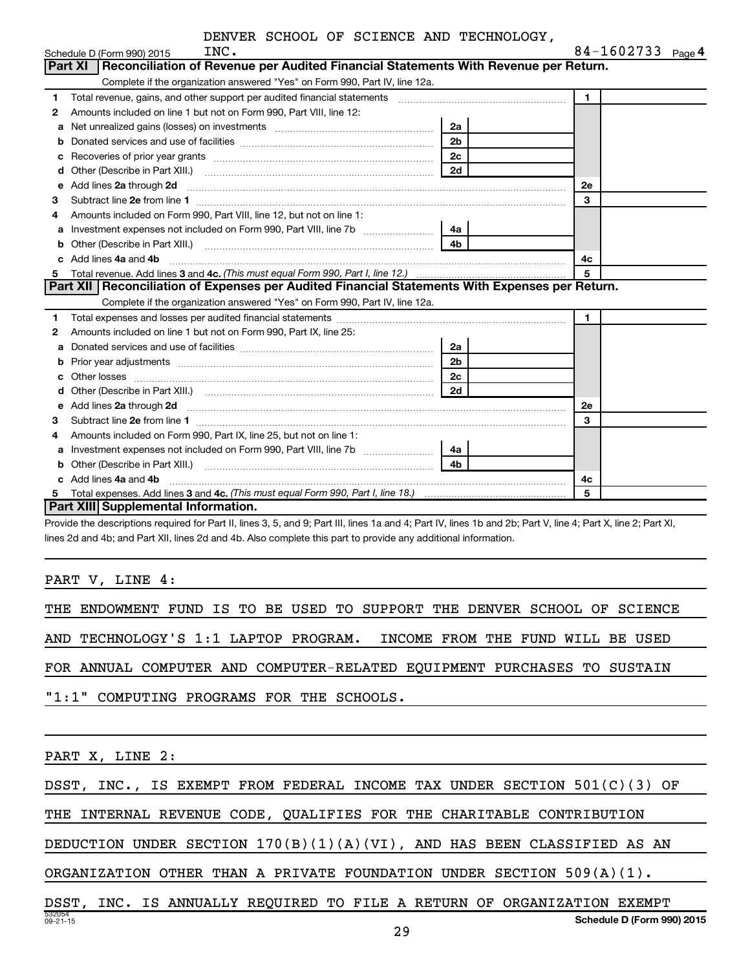|    | INC.<br>Schedule D (Form 990) 2015                                                                                                                                                                                                  |                | 84-1602733 $_{Page 4}$ |  |
|----|-------------------------------------------------------------------------------------------------------------------------------------------------------------------------------------------------------------------------------------|----------------|------------------------|--|
|    | Reconciliation of Revenue per Audited Financial Statements With Revenue per Return.<br><b>Part XI</b>                                                                                                                               |                |                        |  |
|    | Complete if the organization answered "Yes" on Form 990, Part IV, line 12a.                                                                                                                                                         |                |                        |  |
| 1. | Total revenue, gains, and other support per audited financial statements [111] [11] Total revenue, gains, and other support per audited financial statements                                                                        |                | $\mathbf{1}$           |  |
| 2  | Amounts included on line 1 but not on Form 990, Part VIII, line 12:                                                                                                                                                                 |                |                        |  |
| a  |                                                                                                                                                                                                                                     | 2a             |                        |  |
| b  |                                                                                                                                                                                                                                     | 2 <sub>b</sub> |                        |  |
| с  |                                                                                                                                                                                                                                     | 2 <sub>c</sub> |                        |  |
| d  |                                                                                                                                                                                                                                     | 2d             |                        |  |
| e  | Add lines 2a through 2d <b>[10]</b> University of the state of the state of the state of the state of the state of the state of the state of the state of the state of the state of the state of the state of the state of the stat |                | 2е                     |  |
| З  |                                                                                                                                                                                                                                     |                | 3                      |  |
| 4  | Amounts included on Form 990, Part VIII, line 12, but not on line 1:                                                                                                                                                                |                |                        |  |
|    |                                                                                                                                                                                                                                     | 4a             |                        |  |
| b  | Other (Describe in Part XIII.) <b>Construction Contract Construction</b> Chern Construction Construction Construction                                                                                                               | 4 <sub>b</sub> |                        |  |
| c. | Add lines 4a and 4b                                                                                                                                                                                                                 |                | 4c                     |  |
| 5  | Total revenue. Add lines 3 and 4c. (This must equal Form 990, Part I, line 12.)                                                                                                                                                     |                | 5                      |  |
|    | Part XII Reconciliation of Expenses per Audited Financial Statements With Expenses per Return.                                                                                                                                      |                |                        |  |
|    | Complete if the organization answered "Yes" on Form 990, Part IV, line 12a.                                                                                                                                                         |                |                        |  |
| 1  |                                                                                                                                                                                                                                     |                | $\blacksquare$         |  |
| 2  | Amounts included on line 1 but not on Form 990, Part IX, line 25:                                                                                                                                                                   |                |                        |  |
| a  |                                                                                                                                                                                                                                     | 2a             |                        |  |
| b  |                                                                                                                                                                                                                                     | 2 <sub>b</sub> |                        |  |
| C  |                                                                                                                                                                                                                                     | 2 <sub>c</sub> |                        |  |
|    |                                                                                                                                                                                                                                     | 2d             |                        |  |
| e  | Add lines 2a through 2d <b>must be a constructed as the constant of the constant of the constant of the construction</b>                                                                                                            |                | 2e                     |  |
| З  |                                                                                                                                                                                                                                     |                | 3                      |  |
| 4  | Amounts included on Form 990, Part IX, line 25, but not on line 1:                                                                                                                                                                  |                |                        |  |
| а  |                                                                                                                                                                                                                                     | 4a             |                        |  |
| b  |                                                                                                                                                                                                                                     | 4 <sub>b</sub> |                        |  |
|    | Add lines 4a and 4b                                                                                                                                                                                                                 |                | 4с                     |  |
| 5  |                                                                                                                                                                                                                                     |                | 5                      |  |
|    | <b>Part XIII</b> Supplemental Information.                                                                                                                                                                                          |                |                        |  |

Provide the descriptions required for Part II, lines 3, 5, and 9; Part III, lines 1a and 4; Part IV, lines 1b and 2b; Part V, line 4; Part X, line 2; Part XI, lines 2d and 4b; and Part XII, lines 2d and 4b. Also complete this part to provide any additional information.

PART V, LINE 4:

THE ENDOWMENT FUND IS TO BE USED TO SUPPORT THE DENVER SCHOOL OF SCIENCE

AND TECHNOLOGY'S 1:1 LAPTOP PROGRAM. INCOME FROM THE FUND WILL BE USED

FOR ANNUAL COMPUTER AND COMPUTER-RELATED EQUIPMENT PURCHASES TO SUSTAIN

"1:1" COMPUTING PROGRAMS FOR THE SCHOOLS.

PART X, LINE 2:

DSST, INC., IS EXEMPT FROM FEDERAL INCOME TAX UNDER SECTION 501(C)(3) OF

THE INTERNAL REVENUE CODE, QUALIFIES FOR THE CHARITABLE CONTRIBUTION

DEDUCTION UNDER SECTION 170(B)(1)(A)(VI), AND HAS BEEN CLASSIFIED AS AN

ORGANIZATION OTHER THAN A PRIVATE FOUNDATION UNDER SECTION 509(A)(1).

532054 09-21-15 **Schedule D (Form 990) 2015** DSST, INC. IS ANNUALLY REQUIRED TO FILE A RETURN OF ORGANIZATION EXEMPT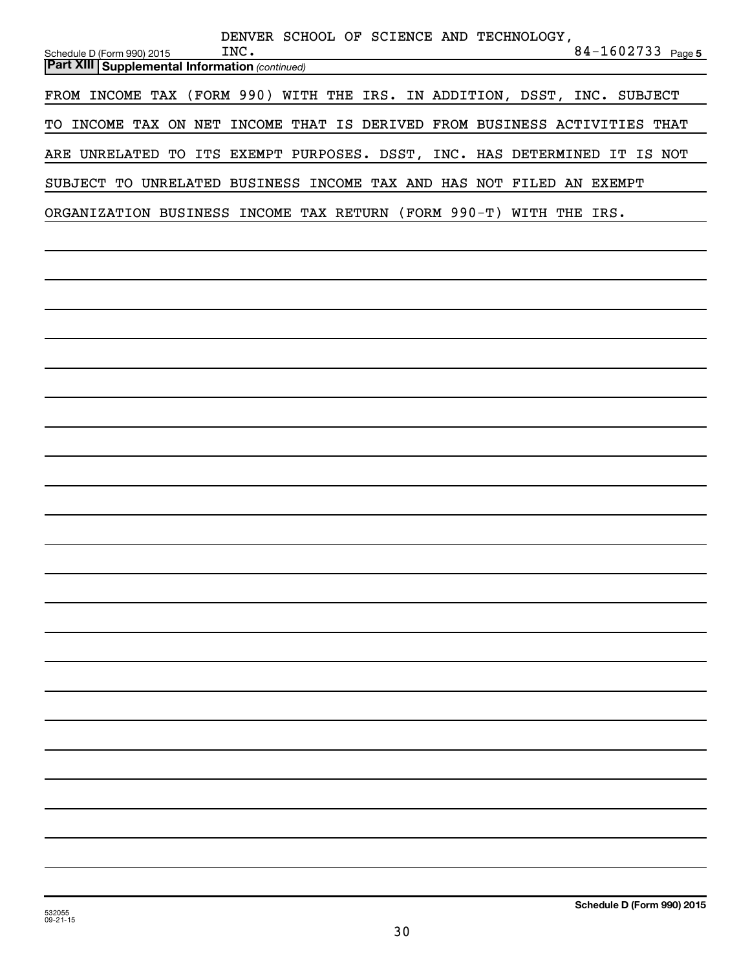| DENVER SCHOOL OF SCIENCE AND TECHNOLOGY,<br>$84 - 1602733$ Page 5<br>INC.<br>Schedule D (Form 990) 2015 |
|---------------------------------------------------------------------------------------------------------|
| <b>Part XIII Supplemental Information (continued)</b>                                                   |
| FROM INCOME TAX (FORM 990) WITH THE IRS. IN ADDITION, DSST, INC. SUBJECT                                |
| TO INCOME TAX ON NET INCOME THAT IS DERIVED FROM BUSINESS ACTIVITIES THAT                               |
| ARE UNRELATED TO ITS EXEMPT PURPOSES. DSST, INC. HAS DETERMINED IT IS NOT                               |
| SUBJECT TO UNRELATED BUSINESS INCOME TAX AND HAS NOT FILED AN EXEMPT                                    |
| ORGANIZATION BUSINESS INCOME TAX RETURN (FORM 990-T) WITH THE IRS.                                      |
|                                                                                                         |
|                                                                                                         |
|                                                                                                         |
|                                                                                                         |
|                                                                                                         |
|                                                                                                         |
|                                                                                                         |
|                                                                                                         |
|                                                                                                         |
|                                                                                                         |
|                                                                                                         |
|                                                                                                         |
|                                                                                                         |
|                                                                                                         |
|                                                                                                         |
|                                                                                                         |
|                                                                                                         |
|                                                                                                         |
|                                                                                                         |
|                                                                                                         |
|                                                                                                         |
|                                                                                                         |
|                                                                                                         |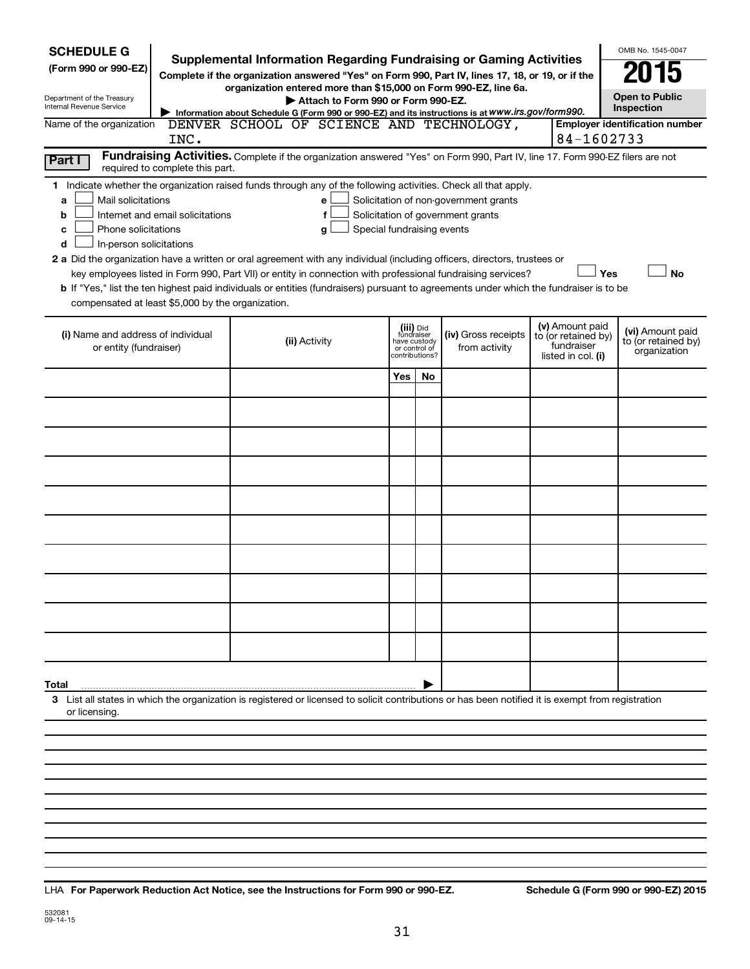| <b>SCHEDULE G</b><br>(Form 990 or 990-EZ)<br>Department of the Treasury<br>Internal Revenue Service<br>Name of the organization<br>Part I                                                                                                                                                                                                                                                                                                                                                                                                                                                                                                                                                                                                                                                                                                                                    | INC. |  |               | Attach to Form 990 or Form 990-EZ. |     |                                                                            | <b>Supplemental Information Regarding Fundraising or Gaming Activities</b><br>Complete if the organization answered "Yes" on Form 990, Part IV, lines 17, 18, or 19, or if the<br>organization entered more than \$15,000 on Form 990-EZ, line 6a.<br>Information about Schedule G (Form 990 or 990-EZ) and its instructions is at WWW.irs.gov/form990.<br>DENVER SCHOOL OF SCIENCE AND TECHNOLOGY,<br>Fundraising Activities. Complete if the organization answered "Yes" on Form 990, Part IV, line 17. Form 990-EZ filers are not | 84-1602733                                                                 | OMB No. 1545-0047<br><b>Open to Public</b><br>Inspection<br><b>Employer identification number</b> |
|------------------------------------------------------------------------------------------------------------------------------------------------------------------------------------------------------------------------------------------------------------------------------------------------------------------------------------------------------------------------------------------------------------------------------------------------------------------------------------------------------------------------------------------------------------------------------------------------------------------------------------------------------------------------------------------------------------------------------------------------------------------------------------------------------------------------------------------------------------------------------|------|--|---------------|------------------------------------|-----|----------------------------------------------------------------------------|--------------------------------------------------------------------------------------------------------------------------------------------------------------------------------------------------------------------------------------------------------------------------------------------------------------------------------------------------------------------------------------------------------------------------------------------------------------------------------------------------------------------------------------|----------------------------------------------------------------------------|---------------------------------------------------------------------------------------------------|
| required to complete this part.<br>1 Indicate whether the organization raised funds through any of the following activities. Check all that apply.<br>Mail solicitations<br>Solicitation of non-government grants<br>a<br>е<br>Solicitation of government grants<br>Internet and email solicitations<br>f<br>b<br>Phone solicitations<br>Special fundraising events<br>с<br>g<br>In-person solicitations<br>d<br>2 a Did the organization have a written or oral agreement with any individual (including officers, directors, trustees or<br>key employees listed in Form 990, Part VII) or entity in connection with professional fundraising services?<br>Yes<br><b>No</b><br>b If "Yes," list the ten highest paid individuals or entities (fundraisers) pursuant to agreements under which the fundraiser is to be<br>compensated at least \$5,000 by the organization. |      |  |               |                                    |     |                                                                            |                                                                                                                                                                                                                                                                                                                                                                                                                                                                                                                                      |                                                                            |                                                                                                   |
| (i) Name and address of individual<br>or entity (fundraiser)                                                                                                                                                                                                                                                                                                                                                                                                                                                                                                                                                                                                                                                                                                                                                                                                                 |      |  | (ii) Activity |                                    |     | (iii) Did<br>fundraiser<br>have custody<br>or control of<br>contributions? | (iv) Gross receipts<br>from activity                                                                                                                                                                                                                                                                                                                                                                                                                                                                                                 | (v) Amount paid<br>to (or retained by)<br>fundraiser<br>listed in col. (i) | (vi) Amount paid<br>to (or retained by)<br>organization                                           |
|                                                                                                                                                                                                                                                                                                                                                                                                                                                                                                                                                                                                                                                                                                                                                                                                                                                                              |      |  |               |                                    | Yes | No                                                                         |                                                                                                                                                                                                                                                                                                                                                                                                                                                                                                                                      |                                                                            |                                                                                                   |
|                                                                                                                                                                                                                                                                                                                                                                                                                                                                                                                                                                                                                                                                                                                                                                                                                                                                              |      |  |               |                                    |     |                                                                            |                                                                                                                                                                                                                                                                                                                                                                                                                                                                                                                                      |                                                                            |                                                                                                   |
|                                                                                                                                                                                                                                                                                                                                                                                                                                                                                                                                                                                                                                                                                                                                                                                                                                                                              |      |  |               |                                    |     |                                                                            |                                                                                                                                                                                                                                                                                                                                                                                                                                                                                                                                      |                                                                            |                                                                                                   |
|                                                                                                                                                                                                                                                                                                                                                                                                                                                                                                                                                                                                                                                                                                                                                                                                                                                                              |      |  |               |                                    |     |                                                                            |                                                                                                                                                                                                                                                                                                                                                                                                                                                                                                                                      |                                                                            |                                                                                                   |
|                                                                                                                                                                                                                                                                                                                                                                                                                                                                                                                                                                                                                                                                                                                                                                                                                                                                              |      |  |               |                                    |     |                                                                            |                                                                                                                                                                                                                                                                                                                                                                                                                                                                                                                                      |                                                                            |                                                                                                   |
|                                                                                                                                                                                                                                                                                                                                                                                                                                                                                                                                                                                                                                                                                                                                                                                                                                                                              |      |  |               |                                    |     |                                                                            |                                                                                                                                                                                                                                                                                                                                                                                                                                                                                                                                      |                                                                            |                                                                                                   |
|                                                                                                                                                                                                                                                                                                                                                                                                                                                                                                                                                                                                                                                                                                                                                                                                                                                                              |      |  |               |                                    |     |                                                                            |                                                                                                                                                                                                                                                                                                                                                                                                                                                                                                                                      |                                                                            |                                                                                                   |
|                                                                                                                                                                                                                                                                                                                                                                                                                                                                                                                                                                                                                                                                                                                                                                                                                                                                              |      |  |               |                                    |     |                                                                            |                                                                                                                                                                                                                                                                                                                                                                                                                                                                                                                                      |                                                                            |                                                                                                   |
|                                                                                                                                                                                                                                                                                                                                                                                                                                                                                                                                                                                                                                                                                                                                                                                                                                                                              |      |  |               |                                    |     |                                                                            |                                                                                                                                                                                                                                                                                                                                                                                                                                                                                                                                      |                                                                            |                                                                                                   |
|                                                                                                                                                                                                                                                                                                                                                                                                                                                                                                                                                                                                                                                                                                                                                                                                                                                                              |      |  |               |                                    |     |                                                                            |                                                                                                                                                                                                                                                                                                                                                                                                                                                                                                                                      |                                                                            |                                                                                                   |
| Total                                                                                                                                                                                                                                                                                                                                                                                                                                                                                                                                                                                                                                                                                                                                                                                                                                                                        |      |  |               |                                    |     |                                                                            |                                                                                                                                                                                                                                                                                                                                                                                                                                                                                                                                      |                                                                            |                                                                                                   |
| 3 List all states in which the organization is registered or licensed to solicit contributions or has been notified it is exempt from registration<br>or licensing.                                                                                                                                                                                                                                                                                                                                                                                                                                                                                                                                                                                                                                                                                                          |      |  |               |                                    |     |                                                                            |                                                                                                                                                                                                                                                                                                                                                                                                                                                                                                                                      |                                                                            |                                                                                                   |
|                                                                                                                                                                                                                                                                                                                                                                                                                                                                                                                                                                                                                                                                                                                                                                                                                                                                              |      |  |               |                                    |     |                                                                            |                                                                                                                                                                                                                                                                                                                                                                                                                                                                                                                                      |                                                                            |                                                                                                   |
|                                                                                                                                                                                                                                                                                                                                                                                                                                                                                                                                                                                                                                                                                                                                                                                                                                                                              |      |  |               |                                    |     |                                                                            |                                                                                                                                                                                                                                                                                                                                                                                                                                                                                                                                      |                                                                            |                                                                                                   |

**For Paperwork Reduction Act Notice, see the Instructions for Form 990 or 990-EZ. Schedule G (Form 990 or 990-EZ) 2015** LHA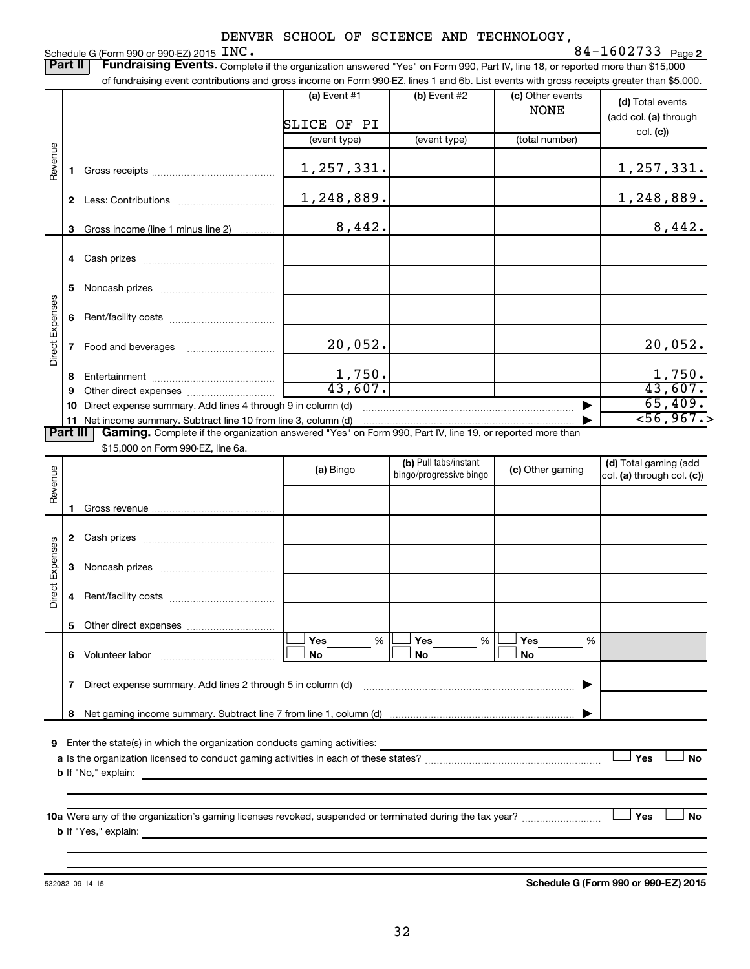|                                                                                                                                                 | DENVER SCHOOL OF SCIENCE AND IECHNOLOGI,                                                                                                  |                                    |                |                |                                 |                                   |  |  |  |
|-------------------------------------------------------------------------------------------------------------------------------------------------|-------------------------------------------------------------------------------------------------------------------------------------------|------------------------------------|----------------|----------------|---------------------------------|-----------------------------------|--|--|--|
|                                                                                                                                                 | 84-1602733 $Page 2$<br>Schedule G (Form 990 or 990-EZ) 2015 INC.                                                                          |                                    |                |                |                                 |                                   |  |  |  |
| Fundraising Events. Complete if the organization answered "Yes" on Form 990, Part IV, line 18, or reported more than \$15,000<br><b>Part II</b> |                                                                                                                                           |                                    |                |                |                                 |                                   |  |  |  |
|                                                                                                                                                 | of fundraising event contributions and gross income on Form 990-EZ, lines 1 and 6b. List events with gross receipts greater than \$5,000. |                                    |                |                |                                 |                                   |  |  |  |
|                                                                                                                                                 |                                                                                                                                           |                                    | $(a)$ Event #1 | $(b)$ Event #2 | (c) Other events<br><b>NONE</b> | (d) Total events                  |  |  |  |
|                                                                                                                                                 |                                                                                                                                           |                                    | SLICE OF PI    |                |                                 | (add col. (a) through<br>col. (c) |  |  |  |
|                                                                                                                                                 |                                                                                                                                           |                                    | (event type)   | (event type)   | (total number)                  |                                   |  |  |  |
| Revenue                                                                                                                                         |                                                                                                                                           | Gross receipts                     | 1, 257, 331.   |                |                                 | 1, 257, 331.                      |  |  |  |
|                                                                                                                                                 | 2                                                                                                                                         | Less: Contributions                | 1,248,889.     |                |                                 | 1,248,889.                        |  |  |  |
|                                                                                                                                                 |                                                                                                                                           | Gross income (line 1 minus line 2) | 8,442.         |                |                                 | 8,442.                            |  |  |  |
|                                                                                                                                                 |                                                                                                                                           |                                    |                |                |                                 |                                   |  |  |  |

~~~~~~~~~~~~~~~~~~~~~~~~~~~~~~~~~~~ ▶

20,052. 20,052.

1,750. 1,750. 43,607. 43,607.

**11** Net income summary. Subtract line 10 from line 3, column (d) |

Part III | Gaming. Complete if the organization answered "Yes" on Form 990, Part IV, line 19, or reported more than

\$15,000 on Form 990-EZ, line 6a.

**10** Direct expense summary. Add lines 4 through 9 in column (d)

……………………………

**4** Cash prizes ~~~~~~~~~~~~~~~

**5** Noncash prizes ~~~~~~~~~~~~~

**6** Rent/facility costs ~~~~~~~~~~~~

**8** Entertainment ~~~~~~~~~~~~~~ **9** Other direct expenses  $\ldots$  **............................** 

**7** Food and beverages

Direct Expenses

Direct Expenses

| Revenue         |                                                                                                                 | (a) Bingo             | (b) Pull tabs/instant<br>bingo/progressive bingo | (c) Other gaming      | (d) Total gaming (add<br>$ col. (a)$ through col. $(c)$ |
|-----------------|-----------------------------------------------------------------------------------------------------------------|-----------------------|--------------------------------------------------|-----------------------|---------------------------------------------------------|
|                 |                                                                                                                 |                       |                                                  |                       |                                                         |
|                 | 2                                                                                                               |                       |                                                  |                       |                                                         |
| Direct Expenses | 3                                                                                                               |                       |                                                  |                       |                                                         |
|                 | 4                                                                                                               |                       |                                                  |                       |                                                         |
|                 | 5                                                                                                               |                       |                                                  |                       |                                                         |
|                 | 6                                                                                                               | Yes<br>%<br><b>No</b> | Yes<br>%<br><b>No</b>                            | Yes<br>%<br><b>No</b> |                                                         |
|                 | 7                                                                                                               |                       |                                                  | ▶                     |                                                         |
|                 | 8                                                                                                               |                       |                                                  |                       |                                                         |
| 9               | Enter the state(s) in which the organization conducts gaming activities: ________                               |                       |                                                  |                       | Yes<br><b>No</b>                                        |
|                 |                                                                                                                 |                       |                                                  |                       |                                                         |
|                 | <b>10a</b> Were any of the organization's gaming licenses revoked, suspended or terminated during the tax year? |                       |                                                  |                       | Yes<br><b>No</b>                                        |
|                 |                                                                                                                 |                       |                                                  |                       |                                                         |

532082 09-14-15

**Schedule G (Form 990 or 990-EZ) 2015**

65,409.  $<$ 56,967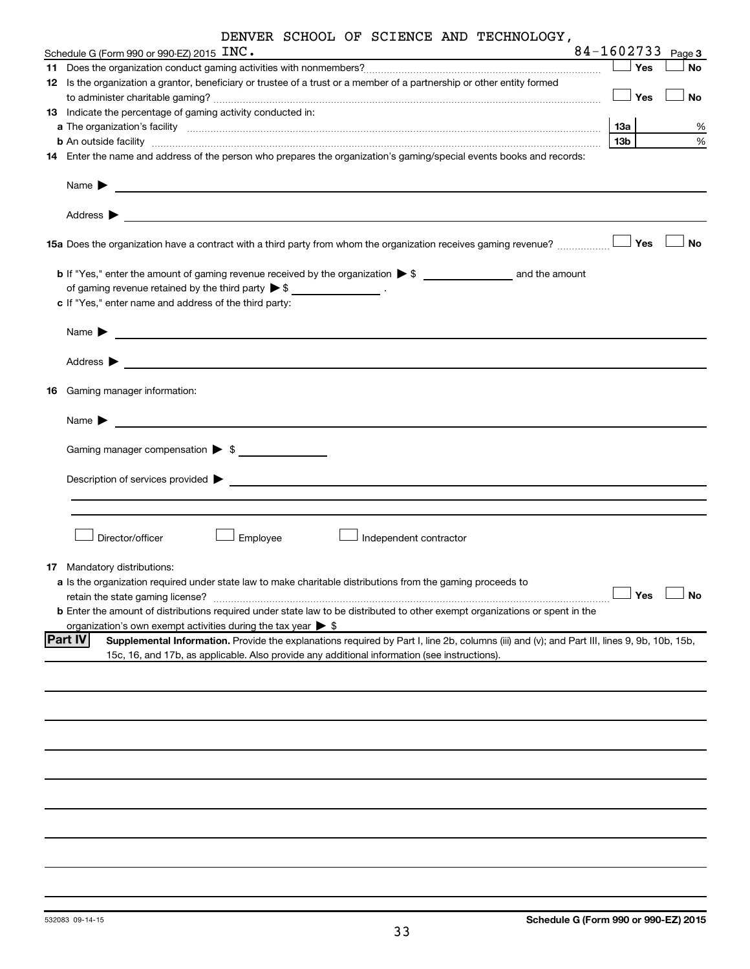|  |  |  |  |  | DENVER SCHOOL OF SCIENCE AND TECHNOLOGY, |
|--|--|--|--|--|------------------------------------------|
|--|--|--|--|--|------------------------------------------|

| Schedule G (Form 990 or 990-EZ) 2015 $\text{INC.}$                                                                                                                                                                                                                                                                                                                |     |     | 84-1602733 Page 3 |
|-------------------------------------------------------------------------------------------------------------------------------------------------------------------------------------------------------------------------------------------------------------------------------------------------------------------------------------------------------------------|-----|-----|-------------------|
|                                                                                                                                                                                                                                                                                                                                                                   |     | Yes | No                |
| 12 Is the organization a grantor, beneficiary or trustee of a trust or a member of a partnership or other entity formed                                                                                                                                                                                                                                           |     |     |                   |
|                                                                                                                                                                                                                                                                                                                                                                   |     | Yes | No                |
| 13 Indicate the percentage of gaming activity conducted in:                                                                                                                                                                                                                                                                                                       |     |     |                   |
| a The organization's facility [11, 2010] The organization's facility [11, 2010] The organization's facility [11, 2010] The organization's facility [11, 2010] The organization of the state of the state of the state of the s                                                                                                                                    | 13a |     | %                 |
| <b>b</b> An outside facility <b>with the contract of the contract of the contract of the contract of the contract of the contract of the contract of the contract of the contract of the contract of the contract of the contract of </b><br>14 Enter the name and address of the person who prepares the organization's gaming/special events books and records: | 13b |     | %                 |
|                                                                                                                                                                                                                                                                                                                                                                   |     |     |                   |
| Name $\blacktriangleright$<br><u> 1989 - Johann Harry Harry Harry Harry Harry Harry Harry Harry Harry Harry Harry Harry Harry Harry Harry Harry</u>                                                                                                                                                                                                               |     |     |                   |
| Address ><br><u> 1999 - Johann Harry Harry Harry Harry Harry Harry Harry Harry Harry Harry Harry Harry Harry Harry Harry Harry H</u>                                                                                                                                                                                                                              |     |     |                   |
| 15a Does the organization have a contract with a third party from whom the organization receives gaming revenue?                                                                                                                                                                                                                                                  |     | Yes | No                |
|                                                                                                                                                                                                                                                                                                                                                                   |     |     |                   |
| of gaming revenue retained by the third party $\triangleright$ \$ ___________________.<br>c If "Yes," enter name and address of the third party:                                                                                                                                                                                                                  |     |     |                   |
|                                                                                                                                                                                                                                                                                                                                                                   |     |     |                   |
| Name $\blacktriangleright$<br><u> Alexandria (m. 1888)</u>                                                                                                                                                                                                                                                                                                        |     |     |                   |
| Address $\blacktriangleright$<br><u> Alexandria de la contrada de la contrada de la contrada de la contrada de la contrada de la contrada de la c</u>                                                                                                                                                                                                             |     |     |                   |
| 16 Gaming manager information:                                                                                                                                                                                                                                                                                                                                    |     |     |                   |
| Name $\blacktriangleright$<br><u> 1989 - Johann John Stein, markin film yn y breninnas y breninnas y breninn y breninn y breninn y breninn y br</u>                                                                                                                                                                                                               |     |     |                   |
|                                                                                                                                                                                                                                                                                                                                                                   |     |     |                   |
| Gaming manager compensation > \$                                                                                                                                                                                                                                                                                                                                  |     |     |                   |
|                                                                                                                                                                                                                                                                                                                                                                   |     |     |                   |
|                                                                                                                                                                                                                                                                                                                                                                   |     |     |                   |
|                                                                                                                                                                                                                                                                                                                                                                   |     |     |                   |
| Director/officer<br>Employee<br>Independent contractor                                                                                                                                                                                                                                                                                                            |     |     |                   |
| 17 Mandatory distributions:                                                                                                                                                                                                                                                                                                                                       |     |     |                   |
| a Is the organization required under state law to make charitable distributions from the gaming proceeds to                                                                                                                                                                                                                                                       |     |     |                   |
| retain the state gaming license?                                                                                                                                                                                                                                                                                                                                  |     | Yes | No                |
| <b>b</b> Enter the amount of distributions required under state law to be distributed to other exempt organizations or spent in the                                                                                                                                                                                                                               |     |     |                   |
| organization's own exempt activities during the tax year $\triangleright$ \$                                                                                                                                                                                                                                                                                      |     |     |                   |
| <b>Part IV</b><br>Supplemental Information. Provide the explanations required by Part I, line 2b, columns (iii) and (v); and Part III, lines 9, 9b, 10b, 15b,<br>15c, 16, and 17b, as applicable. Also provide any additional information (see instructions).                                                                                                     |     |     |                   |
|                                                                                                                                                                                                                                                                                                                                                                   |     |     |                   |
|                                                                                                                                                                                                                                                                                                                                                                   |     |     |                   |
|                                                                                                                                                                                                                                                                                                                                                                   |     |     |                   |
|                                                                                                                                                                                                                                                                                                                                                                   |     |     |                   |
|                                                                                                                                                                                                                                                                                                                                                                   |     |     |                   |
|                                                                                                                                                                                                                                                                                                                                                                   |     |     |                   |
|                                                                                                                                                                                                                                                                                                                                                                   |     |     |                   |
|                                                                                                                                                                                                                                                                                                                                                                   |     |     |                   |
|                                                                                                                                                                                                                                                                                                                                                                   |     |     |                   |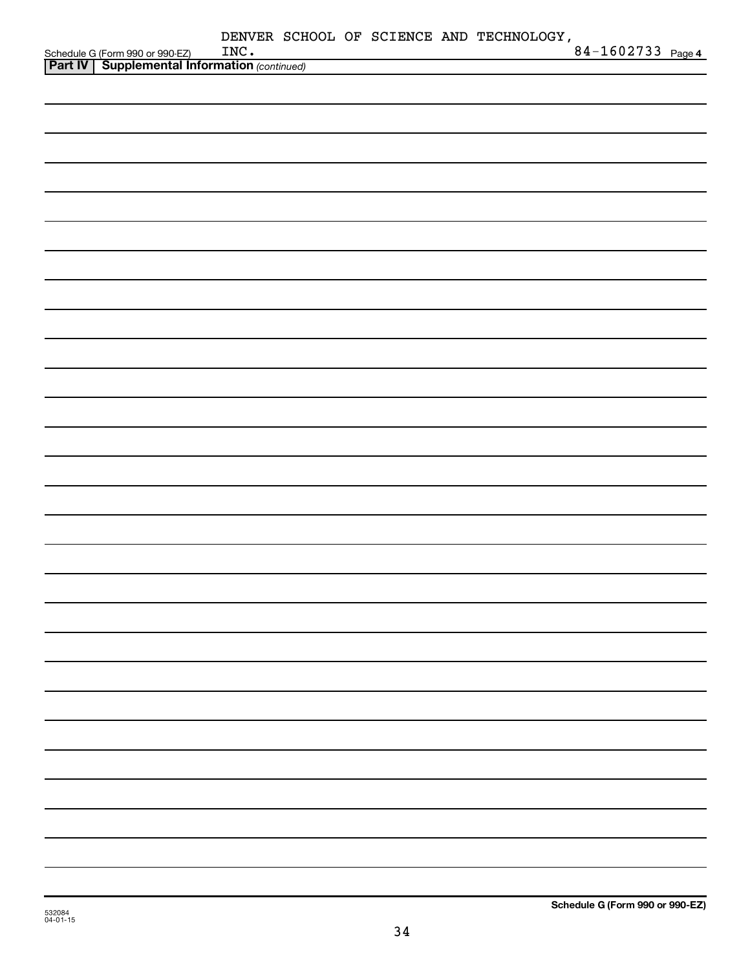| Schedule G (Form 990 or 990-EZ) INC.<br><b>Part IV   Supplemental Information</b> (continued) | INC. |  |  | DENVER SCHOOL OF SCIENCE AND TECHNOLOGY, | 84-1602733 Page 4 |  |
|-----------------------------------------------------------------------------------------------|------|--|--|------------------------------------------|-------------------|--|
|                                                                                               |      |  |  |                                          |                   |  |
|                                                                                               |      |  |  |                                          |                   |  |
|                                                                                               |      |  |  |                                          |                   |  |
|                                                                                               |      |  |  |                                          |                   |  |
|                                                                                               |      |  |  |                                          |                   |  |
|                                                                                               |      |  |  |                                          |                   |  |
|                                                                                               |      |  |  |                                          |                   |  |
|                                                                                               |      |  |  |                                          |                   |  |
|                                                                                               |      |  |  |                                          |                   |  |
|                                                                                               |      |  |  |                                          |                   |  |
|                                                                                               |      |  |  |                                          |                   |  |
|                                                                                               |      |  |  |                                          |                   |  |
|                                                                                               |      |  |  |                                          |                   |  |
|                                                                                               |      |  |  |                                          |                   |  |
|                                                                                               |      |  |  |                                          |                   |  |
|                                                                                               |      |  |  |                                          |                   |  |
|                                                                                               |      |  |  |                                          |                   |  |
|                                                                                               |      |  |  |                                          |                   |  |
|                                                                                               |      |  |  |                                          |                   |  |
|                                                                                               |      |  |  |                                          |                   |  |
|                                                                                               |      |  |  |                                          |                   |  |
|                                                                                               |      |  |  |                                          |                   |  |
|                                                                                               |      |  |  |                                          |                   |  |
|                                                                                               |      |  |  |                                          |                   |  |
|                                                                                               |      |  |  |                                          |                   |  |
|                                                                                               |      |  |  |                                          |                   |  |
|                                                                                               |      |  |  |                                          |                   |  |
|                                                                                               |      |  |  |                                          |                   |  |
|                                                                                               |      |  |  |                                          |                   |  |
|                                                                                               |      |  |  |                                          |                   |  |
|                                                                                               |      |  |  |                                          |                   |  |
|                                                                                               |      |  |  |                                          |                   |  |
|                                                                                               |      |  |  |                                          |                   |  |
|                                                                                               |      |  |  |                                          |                   |  |
|                                                                                               |      |  |  |                                          |                   |  |
|                                                                                               |      |  |  |                                          |                   |  |
|                                                                                               |      |  |  |                                          |                   |  |
|                                                                                               |      |  |  |                                          |                   |  |
|                                                                                               |      |  |  |                                          |                   |  |
|                                                                                               |      |  |  |                                          |                   |  |
|                                                                                               |      |  |  |                                          |                   |  |
|                                                                                               |      |  |  |                                          |                   |  |
|                                                                                               |      |  |  |                                          |                   |  |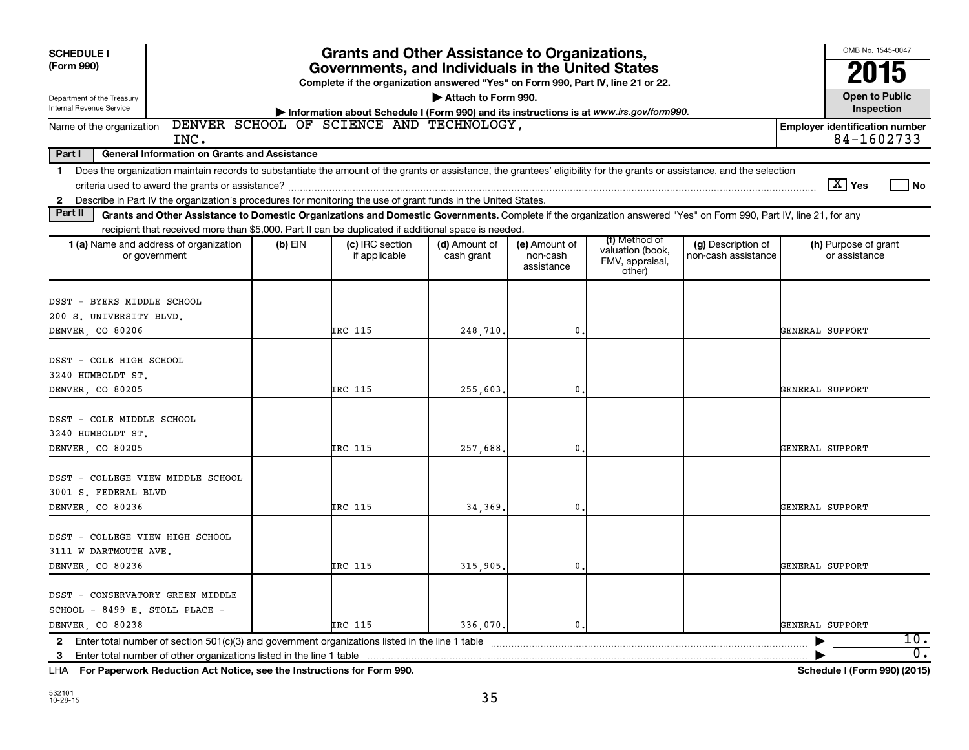| <b>SCHEDULE I</b><br>(Form 990)<br>Department of the Treasury                                                                                                                                                                                                             | <b>Grants and Other Assistance to Organizations,</b><br>Governments, and Individuals in the United States<br>Complete if the organization answered "Yes" on Form 990, Part IV, line 21 or 22.<br>Attach to Form 990. |                                  |                             |                                         |                                                                |                                           |                                       |                  |  |  |
|---------------------------------------------------------------------------------------------------------------------------------------------------------------------------------------------------------------------------------------------------------------------------|----------------------------------------------------------------------------------------------------------------------------------------------------------------------------------------------------------------------|----------------------------------|-----------------------------|-----------------------------------------|----------------------------------------------------------------|-------------------------------------------|---------------------------------------|------------------|--|--|
| Internal Revenue Service                                                                                                                                                                                                                                                  | Information about Schedule I (Form 990) and its instructions is at www.irs.gov/form990.                                                                                                                              |                                  |                             |                                         |                                                                |                                           |                                       |                  |  |  |
| DENVER SCHOOL OF SCIENCE AND TECHNOLOGY,<br>Name of the organization<br><b>Employer identification number</b><br>84-1602733<br>INC.                                                                                                                                       |                                                                                                                                                                                                                      |                                  |                             |                                         |                                                                |                                           |                                       |                  |  |  |
| Part I<br><b>General Information on Grants and Assistance</b>                                                                                                                                                                                                             |                                                                                                                                                                                                                      |                                  |                             |                                         |                                                                |                                           |                                       |                  |  |  |
| Does the organization maintain records to substantiate the amount of the grants or assistance, the grantees' eligibility for the grants or assistance, and the selection<br>$\mathbf 1$                                                                                   |                                                                                                                                                                                                                      |                                  |                             |                                         |                                                                |                                           |                                       |                  |  |  |
|                                                                                                                                                                                                                                                                           |                                                                                                                                                                                                                      |                                  |                             |                                         |                                                                |                                           | $\boxed{\text{X}}$ Yes                | l No             |  |  |
| Describe in Part IV the organization's procedures for monitoring the use of grant funds in the United States.<br>2<br>Part II                                                                                                                                             |                                                                                                                                                                                                                      |                                  |                             |                                         |                                                                |                                           |                                       |                  |  |  |
| Grants and Other Assistance to Domestic Organizations and Domestic Governments. Complete if the organization answered "Yes" on Form 990, Part IV, line 21, for any<br>recipient that received more than \$5,000. Part II can be duplicated if additional space is needed. |                                                                                                                                                                                                                      |                                  |                             |                                         |                                                                |                                           |                                       |                  |  |  |
| 1 (a) Name and address of organization<br>or government                                                                                                                                                                                                                   | $(b)$ EIN                                                                                                                                                                                                            | (c) IRC section<br>if applicable | (d) Amount of<br>cash grant | (e) Amount of<br>non-cash<br>assistance | (f) Method of<br>valuation (book,<br>FMV, appraisal,<br>other) | (g) Description of<br>non-cash assistance | (h) Purpose of grant<br>or assistance |                  |  |  |
| - BYERS MIDDLE SCHOOL<br>DSST<br>200 S. UNIVERSITY BLVD.<br>DENVER CO 80206                                                                                                                                                                                               |                                                                                                                                                                                                                      | IRC 115                          | 248,710.                    | $\mathbf{0}$                            |                                                                |                                           | GENERAL SUPPORT                       |                  |  |  |
| DSST - COLE HIGH SCHOOL<br>3240 HUMBOLDT ST.<br>DENVER, CO 80205                                                                                                                                                                                                          |                                                                                                                                                                                                                      | IRC 115                          | 255,603.                    | $\mathbf{0}$                            |                                                                |                                           | GENERAL SUPPORT                       |                  |  |  |
| DSST - COLE MIDDLE SCHOOL<br>3240 HUMBOLDT ST.<br>DENVER CO 80205                                                                                                                                                                                                         |                                                                                                                                                                                                                      | IRC 115                          | 257,688.                    | $\mathbf{0}$                            |                                                                |                                           | GENERAL SUPPORT                       |                  |  |  |
| DSST - COLLEGE VIEW MIDDLE SCHOOL<br>3001 S. FEDERAL BLVD<br>DENVER CO 80236                                                                                                                                                                                              |                                                                                                                                                                                                                      | IRC 115                          | 34, 369.                    | $\mathbf{0}$                            |                                                                |                                           | GENERAL SUPPORT                       |                  |  |  |
| - COLLEGE VIEW HIGH SCHOOL<br>DSST<br>3111 W DARTMOUTH AVE.<br>DENVER CO 80236                                                                                                                                                                                            |                                                                                                                                                                                                                      | IRC 115                          | 315,905.                    | $\mathbf{0}$                            |                                                                |                                           | GENERAL SUPPORT                       |                  |  |  |
| DSST - CONSERVATORY GREEN MIDDLE<br>SCHOOL - 8499 E. STOLL PLACE -<br>DENVER CO 80238                                                                                                                                                                                     |                                                                                                                                                                                                                      | IRC 115                          | 336.070.                    | $\mathbf{0}$ .                          |                                                                |                                           | GENERAL SUPPORT                       | 10.              |  |  |
| Enter total number of other organizations listed in the line 1 table<br>3                                                                                                                                                                                                 |                                                                                                                                                                                                                      |                                  |                             |                                         |                                                                |                                           |                                       | $\overline{0}$ . |  |  |

**For Paperwork Reduction Act Notice, see the Instructions for Form 990. Schedule I (Form 990) (2015)** LHA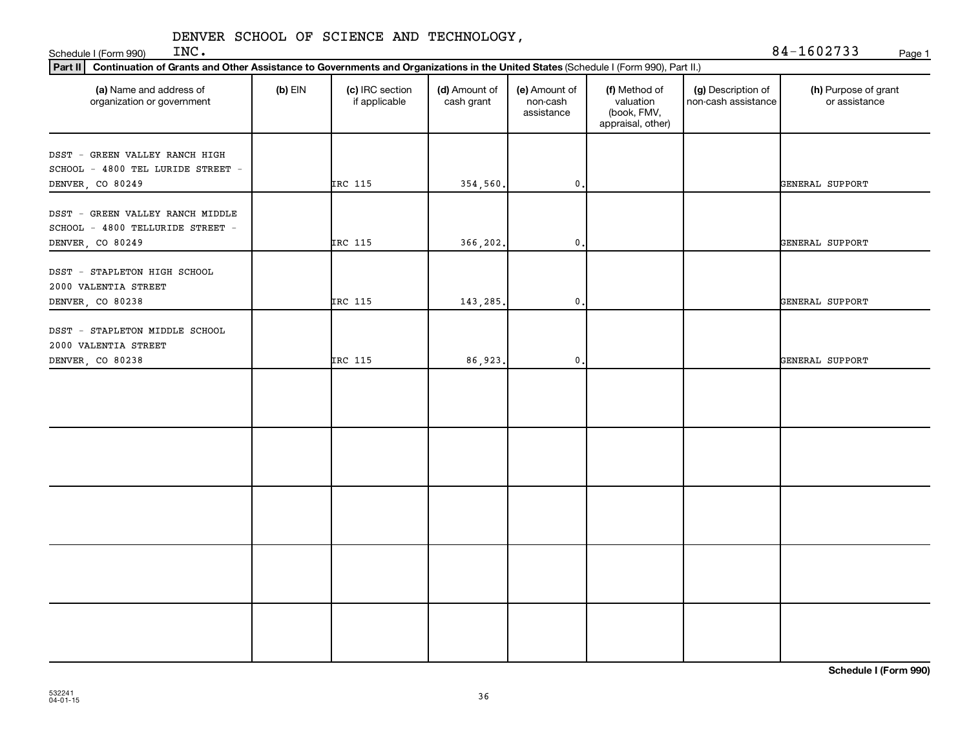Schedule I (Form 990) INC.

| INC. | 84-1602733 | Page 1 |
|------|------------|--------|
|      |            |        |

| Part II   Continuation of Grants and Other Assistance to Governments and Organizations in the United States (Schedule I (Form 990), Part II.) |           |                                  |                             |                                         |                                                                |                                           |                                       |
|-----------------------------------------------------------------------------------------------------------------------------------------------|-----------|----------------------------------|-----------------------------|-----------------------------------------|----------------------------------------------------------------|-------------------------------------------|---------------------------------------|
| (a) Name and address of<br>organization or government                                                                                         | $(b)$ EIN | (c) IRC section<br>if applicable | (d) Amount of<br>cash grant | (e) Amount of<br>non-cash<br>assistance | (f) Method of<br>valuation<br>(book, FMV,<br>appraisal, other) | (g) Description of<br>non-cash assistance | (h) Purpose of grant<br>or assistance |
| DSST - GREEN VALLEY RANCH HIGH<br>SCHOOL - 4800 TEL LURIDE STREET -                                                                           |           |                                  |                             |                                         |                                                                |                                           |                                       |
| DENVER, CO 80249                                                                                                                              |           | IRC 115                          | 354,560.                    | $\mathfrak o$ .                         |                                                                |                                           | GENERAL SUPPORT                       |
| DSST - GREEN VALLEY RANCH MIDDLE<br>SCHOOL - 4800 TELLURIDE STREET -                                                                          |           |                                  |                             |                                         |                                                                |                                           |                                       |
| DENVER, CO 80249                                                                                                                              |           | IRC 115                          | 366,202.                    | 0.                                      |                                                                |                                           | GENERAL SUPPORT                       |
| DSST - STAPLETON HIGH SCHOOL<br>2000 VALENTIA STREET                                                                                          |           |                                  |                             |                                         |                                                                |                                           |                                       |
| DENVER, CO 80238                                                                                                                              |           | IRC 115                          | 143,285                     | 0.                                      |                                                                |                                           | GENERAL SUPPORT                       |
| DSST - STAPLETON MIDDLE SCHOOL<br>2000 VALENTIA STREET                                                                                        |           |                                  |                             |                                         |                                                                |                                           |                                       |
| DENVER, CO 80238                                                                                                                              |           | IRC 115                          | 86,923                      | $\mathsf{0}$ .                          |                                                                |                                           | GENERAL SUPPORT                       |
|                                                                                                                                               |           |                                  |                             |                                         |                                                                |                                           |                                       |
|                                                                                                                                               |           |                                  |                             |                                         |                                                                |                                           |                                       |
|                                                                                                                                               |           |                                  |                             |                                         |                                                                |                                           |                                       |
|                                                                                                                                               |           |                                  |                             |                                         |                                                                |                                           |                                       |
|                                                                                                                                               |           |                                  |                             |                                         |                                                                |                                           |                                       |

**Schedule I (Form 990)**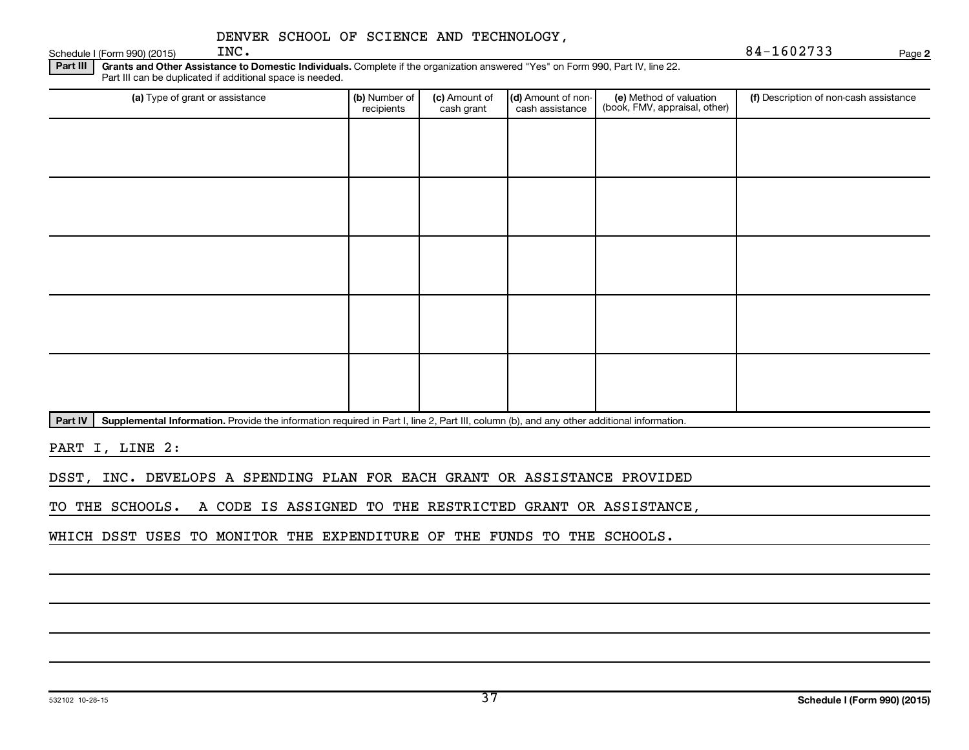Schedule I (Form 990) (2015)  $\text{INC.}$ 

**2**

Part III | Grants and Other Assistance to Domestic Individuals. Complete if the organization answered "Yes" on Form 990, Part IV, line 22. Part III can be duplicated if additional space is needed.

| (a) Type of grant or assistance | (b) Number of<br>recipients | (c) Amount of<br>cash grant | (d) Amount of non-<br>cash assistance | (e) Method of valuation<br>(book, FMV, appraisal, other) | (f) Description of non-cash assistance |
|---------------------------------|-----------------------------|-----------------------------|---------------------------------------|----------------------------------------------------------|----------------------------------------|
|                                 |                             |                             |                                       |                                                          |                                        |
|                                 |                             |                             |                                       |                                                          |                                        |
|                                 |                             |                             |                                       |                                                          |                                        |
|                                 |                             |                             |                                       |                                                          |                                        |
|                                 |                             |                             |                                       |                                                          |                                        |
|                                 |                             |                             |                                       |                                                          |                                        |
|                                 |                             |                             |                                       |                                                          |                                        |
|                                 |                             |                             |                                       |                                                          |                                        |
|                                 |                             |                             |                                       |                                                          |                                        |
|                                 |                             |                             |                                       |                                                          |                                        |

Part IV | Supplemental Information. Provide the information required in Part I, line 2, Part III, column (b), and any other additional information.

PART I, LINE 2:

DSST, INC. DEVELOPS A SPENDING PLAN FOR EACH GRANT OR ASSISTANCE PROVIDED

TO THE SCHOOLS. A CODE IS ASSIGNED TO THE RESTRICTED GRANT OR ASSISTANCE,

WHICH DSST USES TO MONITOR THE EXPENDITURE OF THE FUNDS TO THE SCHOOLS.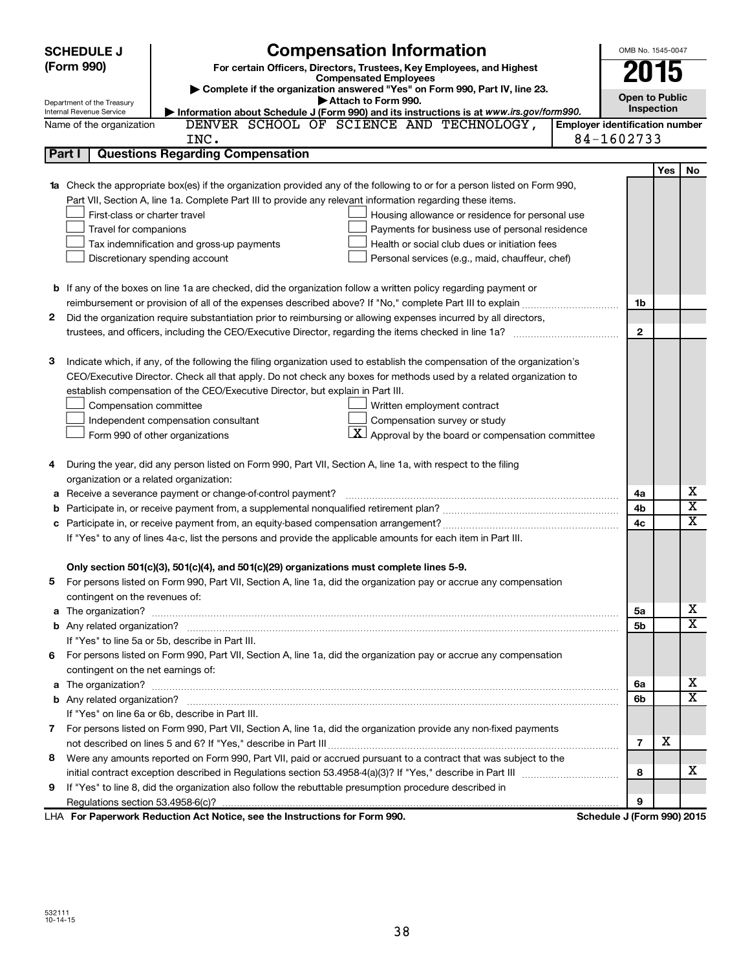|   | <b>SCHEDULE J</b>                       | OMB No. 1545-0047                                                                                                         |                                       |     |                         |  |  |
|---|-----------------------------------------|---------------------------------------------------------------------------------------------------------------------------|---------------------------------------|-----|-------------------------|--|--|
|   | (Form 990)                              | <b>Compensation Information</b><br>For certain Officers, Directors, Trustees, Key Employees, and Highest                  | 2015                                  |     |                         |  |  |
|   |                                         | <b>Compensated Employees</b>                                                                                              |                                       |     |                         |  |  |
|   | Department of the Treasury              | Complete if the organization answered "Yes" on Form 990, Part IV, line 23.<br>Attach to Form 990.                         | <b>Open to Public</b>                 |     |                         |  |  |
|   | Internal Revenue Service                | Information about Schedule J (Form 990) and its instructions is at www.irs.gov/form990.                                   | Inspection                            |     |                         |  |  |
|   | Name of the organization                | DENVER SCHOOL OF SCIENCE AND TECHNOLOGY,                                                                                  | <b>Employer identification number</b> |     |                         |  |  |
|   |                                         | INC.                                                                                                                      | 84-1602733                            |     |                         |  |  |
|   | Part I                                  | <b>Questions Regarding Compensation</b>                                                                                   |                                       |     |                         |  |  |
|   |                                         |                                                                                                                           |                                       | Yes | No                      |  |  |
|   |                                         | 1a Check the appropriate box(es) if the organization provided any of the following to or for a person listed on Form 990, |                                       |     |                         |  |  |
|   |                                         | Part VII, Section A, line 1a. Complete Part III to provide any relevant information regarding these items.                |                                       |     |                         |  |  |
|   | First-class or charter travel           | Housing allowance or residence for personal use                                                                           |                                       |     |                         |  |  |
|   | Travel for companions                   | Payments for business use of personal residence                                                                           |                                       |     |                         |  |  |
|   |                                         | Health or social club dues or initiation fees<br>Tax indemnification and gross-up payments                                |                                       |     |                         |  |  |
|   |                                         | Personal services (e.g., maid, chauffeur, chef)<br>Discretionary spending account                                         |                                       |     |                         |  |  |
|   |                                         |                                                                                                                           |                                       |     |                         |  |  |
|   |                                         | <b>b</b> If any of the boxes on line 1a are checked, did the organization follow a written policy regarding payment or    |                                       |     |                         |  |  |
|   |                                         |                                                                                                                           | 1b                                    |     |                         |  |  |
| 2 |                                         | Did the organization require substantiation prior to reimbursing or allowing expenses incurred by all directors,          |                                       |     |                         |  |  |
|   |                                         | trustees, and officers, including the CEO/Executive Director, regarding the items checked in line 1a?                     | $\mathbf{2}$                          |     |                         |  |  |
|   |                                         |                                                                                                                           |                                       |     |                         |  |  |
| 3 |                                         | Indicate which, if any, of the following the filing organization used to establish the compensation of the organization's |                                       |     |                         |  |  |
|   |                                         | CEO/Executive Director. Check all that apply. Do not check any boxes for methods used by a related organization to        |                                       |     |                         |  |  |
|   |                                         | establish compensation of the CEO/Executive Director, but explain in Part III.                                            |                                       |     |                         |  |  |
|   | Compensation committee                  | Written employment contract                                                                                               |                                       |     |                         |  |  |
|   |                                         | Compensation survey or study<br>Independent compensation consultant                                                       |                                       |     |                         |  |  |
|   |                                         | $ \mathbf{X} $ Approval by the board or compensation committee<br>Form 990 of other organizations                         |                                       |     |                         |  |  |
|   |                                         |                                                                                                                           |                                       |     |                         |  |  |
| 4 |                                         | During the year, did any person listed on Form 990, Part VII, Section A, line 1a, with respect to the filing              |                                       |     |                         |  |  |
|   | organization or a related organization: |                                                                                                                           |                                       |     |                         |  |  |
| а |                                         | Receive a severance payment or change-of-control payment?                                                                 | 4a                                    |     | x                       |  |  |
| b |                                         |                                                                                                                           | 4b                                    |     | $\overline{\textbf{x}}$ |  |  |
| c |                                         |                                                                                                                           | 4c                                    |     | X                       |  |  |
|   |                                         | If "Yes" to any of lines 4a-c, list the persons and provide the applicable amounts for each item in Part III.             |                                       |     |                         |  |  |
|   |                                         |                                                                                                                           |                                       |     |                         |  |  |
|   |                                         | Only section 501(c)(3), 501(c)(4), and 501(c)(29) organizations must complete lines 5-9.                                  |                                       |     |                         |  |  |
|   |                                         | For persons listed on Form 990, Part VII, Section A, line 1a, did the organization pay or accrue any compensation         |                                       |     |                         |  |  |
|   | contingent on the revenues of:          |                                                                                                                           |                                       |     |                         |  |  |
|   |                                         |                                                                                                                           | 5a                                    |     | x                       |  |  |
|   |                                         |                                                                                                                           | 5b                                    |     | х                       |  |  |
|   |                                         | If "Yes" to line 5a or 5b, describe in Part III.                                                                          |                                       |     |                         |  |  |
|   |                                         | 6 For persons listed on Form 990, Part VII, Section A, line 1a, did the organization pay or accrue any compensation       |                                       |     |                         |  |  |
|   | contingent on the net earnings of:      |                                                                                                                           |                                       |     |                         |  |  |
|   |                                         |                                                                                                                           | 6a                                    |     | x                       |  |  |
|   |                                         |                                                                                                                           | 6b                                    |     | х                       |  |  |
|   |                                         | If "Yes" on line 6a or 6b, describe in Part III.                                                                          |                                       |     |                         |  |  |
|   |                                         | 7 For persons listed on Form 990, Part VII, Section A, line 1a, did the organization provide any non-fixed payments       |                                       |     |                         |  |  |
|   |                                         |                                                                                                                           | $\overline{7}$                        | х   |                         |  |  |
| 8 |                                         | Were any amounts reported on Form 990, Part VII, paid or accrued pursuant to a contract that was subject to the           |                                       |     |                         |  |  |
|   |                                         |                                                                                                                           | 8                                     |     | x                       |  |  |
| 9 |                                         | If "Yes" to line 8, did the organization also follow the rebuttable presumption procedure described in                    |                                       |     |                         |  |  |
|   |                                         |                                                                                                                           | 9                                     |     |                         |  |  |
|   |                                         | LHA For Paperwork Reduction Act Notice, see the Instructions for Form 990.                                                | Schedule J (Form 990) 2015            |     |                         |  |  |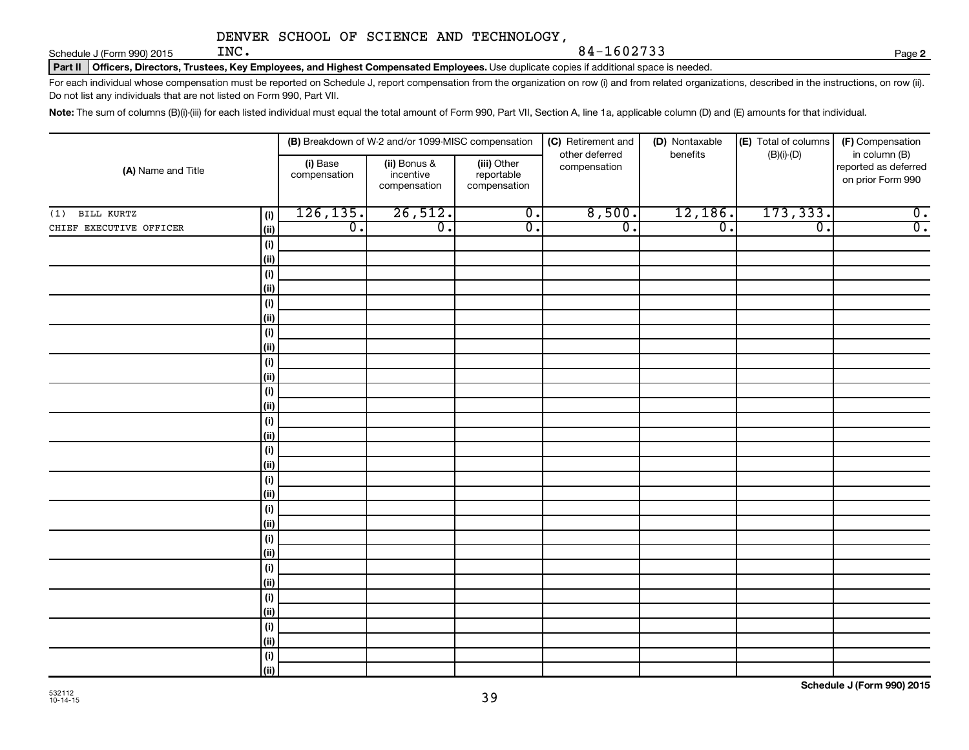Schedule J (Form 990) 2015  $\text{INC.}$ 

Part II | Officers, Directors, Trustees, Key Employees, and Highest Compensated Employees. Use duplicate copies if additional space is needed.

For each individual whose compensation must be reported on Schedule J, report compensation from the organization on row (i) and from related organizations, described in the instructions, on row (ii). Do not list any individuals that are not listed on Form 990, Part VII.

INC. 84-1602733

Note: The sum of columns (B)(i)-(iii) for each listed individual must equal the total amount of Form 990, Part VII, Section A, line 1a, applicable column (D) and (E) amounts for that individual.

| (A) Name and Title      |                     |                          | (B) Breakdown of W-2 and/or 1099-MISC compensation |                                           | (C) Retirement and             | (D) Nontaxable   | (E) Total of columns | (F) Compensation                                           |  |
|-------------------------|---------------------|--------------------------|----------------------------------------------------|-------------------------------------------|--------------------------------|------------------|----------------------|------------------------------------------------------------|--|
|                         |                     | (i) Base<br>compensation | (ii) Bonus &<br>incentive<br>compensation          | (iii) Other<br>reportable<br>compensation | other deferred<br>compensation | benefits         | $(B)(i)-(D)$         | in column (B)<br>reported as deferred<br>on prior Form 990 |  |
| BILL KURTZ<br>(1)       | (i)                 | 126, 135.                | 26,512.                                            | $\overline{\mathbf{0}}$ .                 | 8,500.                         | 12,186.          | 173, 333.            | $\overline{0}$ .                                           |  |
| CHIEF EXECUTIVE OFFICER | $\vert$ (ii)        | $\overline{0}$ .         | $\overline{0}$ .                                   | $\overline{0}$ .                          | $\overline{0}$ .               | $\overline{0}$ . | $\overline{0}$ .     | $\overline{0}$ .                                           |  |
|                         | (i)                 |                          |                                                    |                                           |                                |                  |                      |                                                            |  |
|                         | $\vert$ (ii)        |                          |                                                    |                                           |                                |                  |                      |                                                            |  |
|                         | (i)                 |                          |                                                    |                                           |                                |                  |                      |                                                            |  |
|                         | $\vert$ (ii)        |                          |                                                    |                                           |                                |                  |                      |                                                            |  |
|                         | (i)                 |                          |                                                    |                                           |                                |                  |                      |                                                            |  |
|                         | (ii)                |                          |                                                    |                                           |                                |                  |                      |                                                            |  |
|                         | (i)                 |                          |                                                    |                                           |                                |                  |                      |                                                            |  |
|                         | $\vert$ (ii)        |                          |                                                    |                                           |                                |                  |                      |                                                            |  |
|                         | (i)                 |                          |                                                    |                                           |                                |                  |                      |                                                            |  |
|                         | (ii)                |                          |                                                    |                                           |                                |                  |                      |                                                            |  |
|                         | (i)<br>$\vert$ (ii) |                          |                                                    |                                           |                                |                  |                      |                                                            |  |
|                         | (i)                 |                          |                                                    |                                           |                                |                  |                      |                                                            |  |
|                         | (ii)                |                          |                                                    |                                           |                                |                  |                      |                                                            |  |
|                         | (i)                 |                          |                                                    |                                           |                                |                  |                      |                                                            |  |
|                         | (ii)                |                          |                                                    |                                           |                                |                  |                      |                                                            |  |
|                         | (i)                 |                          |                                                    |                                           |                                |                  |                      |                                                            |  |
|                         | $\vert$ (ii)        |                          |                                                    |                                           |                                |                  |                      |                                                            |  |
|                         | (i)                 |                          |                                                    |                                           |                                |                  |                      |                                                            |  |
|                         | $\vert$ (ii)        |                          |                                                    |                                           |                                |                  |                      |                                                            |  |
|                         | (i)                 |                          |                                                    |                                           |                                |                  |                      |                                                            |  |
|                         | $\vert$ (ii)        |                          |                                                    |                                           |                                |                  |                      |                                                            |  |
|                         | (i)                 |                          |                                                    |                                           |                                |                  |                      |                                                            |  |
|                         | $\vert$ (ii)        |                          |                                                    |                                           |                                |                  |                      |                                                            |  |
|                         | (i)                 |                          |                                                    |                                           |                                |                  |                      |                                                            |  |
|                         | $\vert$ (ii)        |                          |                                                    |                                           |                                |                  |                      |                                                            |  |
|                         | (i)                 |                          |                                                    |                                           |                                |                  |                      |                                                            |  |
|                         | $\vert$ (ii)        |                          |                                                    |                                           |                                |                  |                      |                                                            |  |
|                         | (i)<br>(iii)        |                          |                                                    |                                           |                                |                  |                      |                                                            |  |
|                         |                     |                          |                                                    |                                           |                                |                  |                      |                                                            |  |

**2**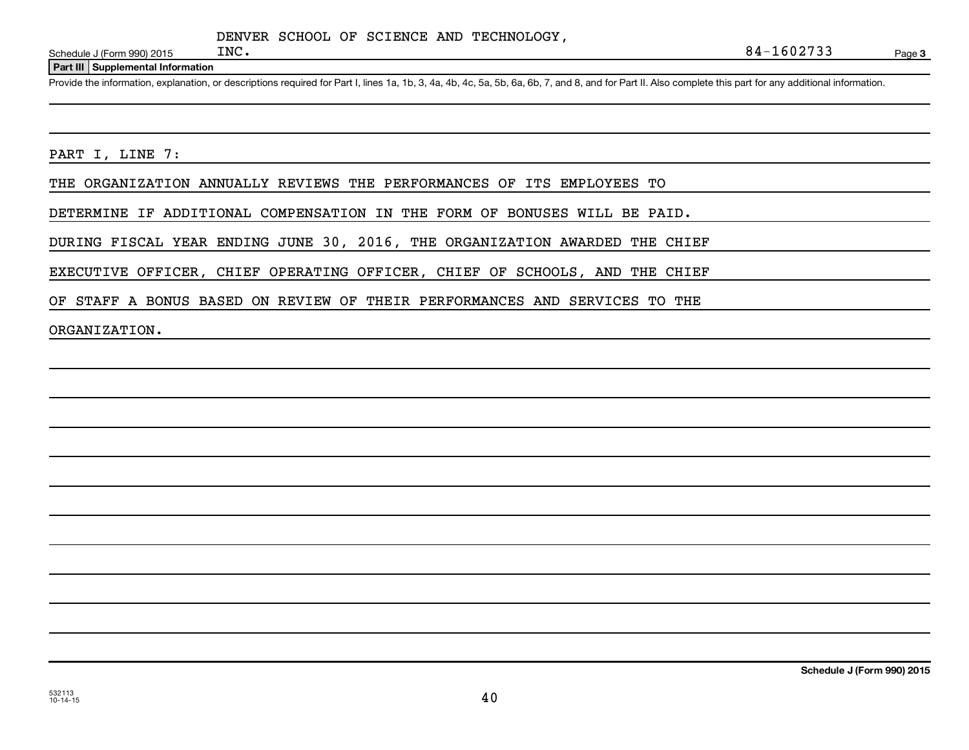Schedule J (Form 990) 2015  $INC$ .

**Part III Supplemental Information**

Provide the information, explanation, or descriptions required for Part I, lines 1a, 1b, 3, 4a, 4b, 4c, 5a, 5b, 6a, 6b, 7, and 8, and for Part II. Also complete this part for any additional information.

PART I, LINE 7:

THE ORGANIZATION ANNUALLY REVIEWS THE PERFORMANCES OF ITS EMPLOYEES TO

DETERMINE IF ADDITIONAL COMPENSATION IN THE FORM OF BONUSES WILL BE PAID.

DURING FISCAL YEAR ENDING JUNE 30, 2016, THE ORGANIZATION AWARDED THE CHIEF

EXECUTIVE OFFICER, CHIEF OPERATING OFFICER, CHIEF OF SCHOOLS, AND THE CHIEF

OF STAFF A BONUS BASED ON REVIEW OF THEIR PERFORMANCES AND SERVICES TO THE

ORGANIZATION.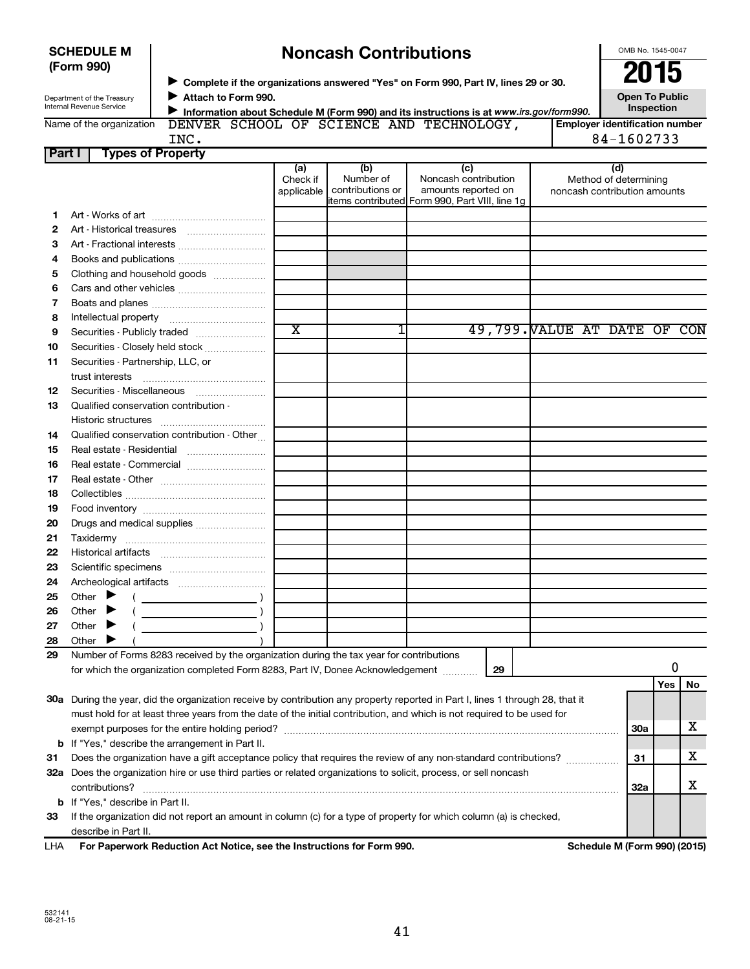|        | (Form 990)                                             |                                                                                         |                               |                                      | Complete if the organizations answered "Yes" on Form 990, Part IV, lines 29 or 30.                                             |                              | 2015                                                         |            |    |
|--------|--------------------------------------------------------|-----------------------------------------------------------------------------------------|-------------------------------|--------------------------------------|--------------------------------------------------------------------------------------------------------------------------------|------------------------------|--------------------------------------------------------------|------------|----|
|        | Department of the Treasury<br>Internal Revenue Service | Attach to Form 990.                                                                     |                               |                                      | Information about Schedule M (Form 990) and its instructions is at www.irs.gov/form990.                                        |                              | <b>Open To Public</b>                                        | Inspection |    |
|        | Name of the organization                               | INC.                                                                                    |                               |                                      | DENVER SCHOOL OF SCIENCE AND TECHNOLOGY,                                                                                       |                              | <b>Employer identification number</b><br>84-1602733          |            |    |
| Part I |                                                        | <b>Types of Property</b>                                                                |                               |                                      |                                                                                                                                |                              |                                                              |            |    |
|        |                                                        |                                                                                         | (a)<br>Check if<br>applicable | (b)<br>Number of<br>contributions or | (c)<br>Noncash contribution<br>amounts reported on<br>litems contributed Form 990, Part VIII, line 1g                          |                              | (d)<br>Method of determining<br>noncash contribution amounts |            |    |
| 1.     |                                                        |                                                                                         |                               |                                      |                                                                                                                                |                              |                                                              |            |    |
| 2      |                                                        |                                                                                         |                               |                                      |                                                                                                                                |                              |                                                              |            |    |
| З      |                                                        |                                                                                         |                               |                                      |                                                                                                                                |                              |                                                              |            |    |
| 4      |                                                        |                                                                                         |                               |                                      |                                                                                                                                |                              |                                                              |            |    |
| 5      |                                                        | Clothing and household goods                                                            |                               |                                      |                                                                                                                                |                              |                                                              |            |    |
| 6      |                                                        |                                                                                         |                               |                                      |                                                                                                                                |                              |                                                              |            |    |
| 7      |                                                        |                                                                                         |                               |                                      |                                                                                                                                |                              |                                                              |            |    |
| 8      |                                                        |                                                                                         |                               |                                      |                                                                                                                                |                              |                                                              |            |    |
| 9      |                                                        |                                                                                         | $\overline{\texttt{x}}$       |                                      |                                                                                                                                | 49,799. VALUE AT DATE OF CON |                                                              |            |    |
| 10     |                                                        | Securities - Closely held stock                                                         |                               |                                      |                                                                                                                                |                              |                                                              |            |    |
| 11     | Securities - Partnership, LLC, or                      |                                                                                         |                               |                                      |                                                                                                                                |                              |                                                              |            |    |
| 12     |                                                        | Securities - Miscellaneous                                                              |                               |                                      |                                                                                                                                |                              |                                                              |            |    |
| 13     | Qualified conservation contribution -                  |                                                                                         |                               |                                      |                                                                                                                                |                              |                                                              |            |    |
|        |                                                        |                                                                                         |                               |                                      |                                                                                                                                |                              |                                                              |            |    |
| 14     |                                                        | Qualified conservation contribution - Other                                             |                               |                                      |                                                                                                                                |                              |                                                              |            |    |
| 15     |                                                        |                                                                                         |                               |                                      |                                                                                                                                |                              |                                                              |            |    |
| 16     |                                                        |                                                                                         |                               |                                      |                                                                                                                                |                              |                                                              |            |    |
| 17     |                                                        |                                                                                         |                               |                                      |                                                                                                                                |                              |                                                              |            |    |
| 18     |                                                        |                                                                                         |                               |                                      |                                                                                                                                |                              |                                                              |            |    |
| 19     |                                                        |                                                                                         |                               |                                      |                                                                                                                                |                              |                                                              |            |    |
| 20     |                                                        | Drugs and medical supplies                                                              |                               |                                      |                                                                                                                                |                              |                                                              |            |    |
| 21     |                                                        |                                                                                         |                               |                                      |                                                                                                                                |                              |                                                              |            |    |
| 22     |                                                        |                                                                                         |                               |                                      |                                                                                                                                |                              |                                                              |            |    |
| 23     |                                                        |                                                                                         |                               |                                      |                                                                                                                                |                              |                                                              |            |    |
| 24     |                                                        |                                                                                         |                               |                                      |                                                                                                                                |                              |                                                              |            |    |
| 25     | Other $\blacktriangleright$ (                          | $\overline{\phantom{a}}$                                                                |                               |                                      |                                                                                                                                |                              |                                                              |            |    |
| 26     | Other                                                  |                                                                                         |                               |                                      |                                                                                                                                |                              |                                                              |            |    |
| 27     | Other                                                  |                                                                                         |                               |                                      |                                                                                                                                |                              |                                                              |            |    |
| 28     | Other                                                  |                                                                                         |                               |                                      |                                                                                                                                |                              |                                                              |            |    |
| 29     |                                                        | Number of Forms 8283 received by the organization during the tax year for contributions |                               |                                      |                                                                                                                                |                              |                                                              |            |    |
|        |                                                        | for which the organization completed Form 8283, Part IV, Donee Acknowledgement          |                               |                                      | 29                                                                                                                             |                              |                                                              | 0          |    |
|        |                                                        |                                                                                         |                               |                                      |                                                                                                                                |                              |                                                              | Yes        | No |
|        |                                                        |                                                                                         |                               |                                      | 30a During the year, did the organization receive by contribution any property reported in Part I, lines 1 through 28, that it |                              |                                                              |            |    |
|        |                                                        |                                                                                         |                               |                                      | must hold for at least three years from the date of the initial contribution, and which is not required to be used for         |                              |                                                              |            |    |
|        |                                                        |                                                                                         |                               |                                      |                                                                                                                                |                              | 30a                                                          |            | x  |
|        |                                                        | <b>b</b> If "Yes," describe the arrangement in Part II.                                 |                               |                                      |                                                                                                                                |                              |                                                              |            |    |
| 31     |                                                        |                                                                                         |                               |                                      | Does the organization have a gift acceptance policy that requires the review of any non-standard contributions?                |                              | 31                                                           |            | x  |
|        |                                                        |                                                                                         |                               |                                      | 32a Does the organization hire or use third parties or related organizations to solicit, process, or sell noncash              |                              |                                                              |            |    |
|        | contributions?                                         |                                                                                         |                               |                                      |                                                                                                                                |                              | 32a                                                          |            | х  |
|        | <b>b</b> If "Yes," describe in Part II.                |                                                                                         |                               |                                      |                                                                                                                                |                              |                                                              |            |    |
| 33     |                                                        |                                                                                         |                               |                                      | If the organization did not report an amount in column (c) for a type of property for which column (a) is checked,             |                              |                                                              |            |    |

| <b>SCHEDULE M</b> |  |
|-------------------|--|
| (Form 990)        |  |

## **Noncash Contributions**

For Paperwork Reduction Act Notice, see the Instructions for Form 990. **Schedule M (Form 990) (2015**)

LHA

describe in Part II.

OMB No. 1545-0047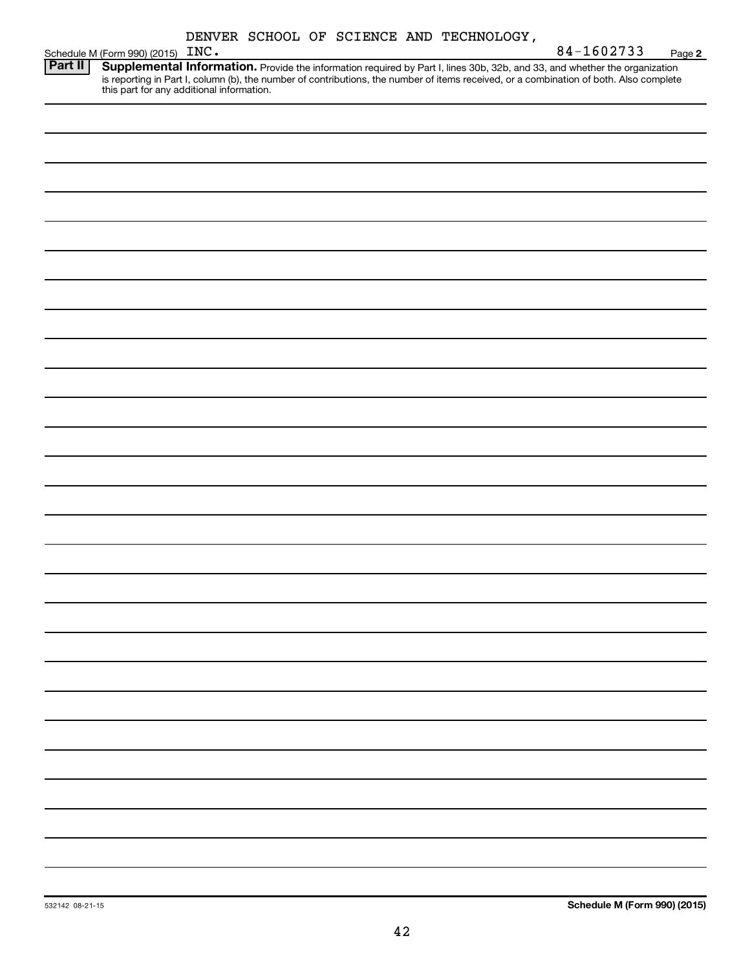| DENVER SCHOOL OF SCIENCE AND TECHNOLOGY, |  |
|------------------------------------------|--|
|------------------------------------------|--|

|                | <br>Schedule M (Form 990) (2015) INC.                                                                                                                                                                                               | 84-1602733<br>Page 2 |
|----------------|-------------------------------------------------------------------------------------------------------------------------------------------------------------------------------------------------------------------------------------|----------------------|
| <b>Part II</b> | <b>Supplemental Information.</b> Provide the information required by Part I, lines 30b, 32b, and 33, and whether the organization is reporting in Part I, column (b), the number of contributions, the number of items received, or |                      |
|                |                                                                                                                                                                                                                                     |                      |
|                |                                                                                                                                                                                                                                     |                      |
|                |                                                                                                                                                                                                                                     |                      |
|                |                                                                                                                                                                                                                                     |                      |
|                |                                                                                                                                                                                                                                     |                      |
|                |                                                                                                                                                                                                                                     |                      |
|                |                                                                                                                                                                                                                                     |                      |
|                |                                                                                                                                                                                                                                     |                      |
|                |                                                                                                                                                                                                                                     |                      |
|                |                                                                                                                                                                                                                                     |                      |
|                |                                                                                                                                                                                                                                     |                      |
|                |                                                                                                                                                                                                                                     |                      |
|                |                                                                                                                                                                                                                                     |                      |
|                |                                                                                                                                                                                                                                     |                      |
|                |                                                                                                                                                                                                                                     |                      |
|                |                                                                                                                                                                                                                                     |                      |
|                |                                                                                                                                                                                                                                     |                      |
|                |                                                                                                                                                                                                                                     |                      |
|                |                                                                                                                                                                                                                                     |                      |
|                |                                                                                                                                                                                                                                     |                      |
|                |                                                                                                                                                                                                                                     |                      |
|                |                                                                                                                                                                                                                                     |                      |
|                |                                                                                                                                                                                                                                     |                      |
|                |                                                                                                                                                                                                                                     |                      |
|                |                                                                                                                                                                                                                                     |                      |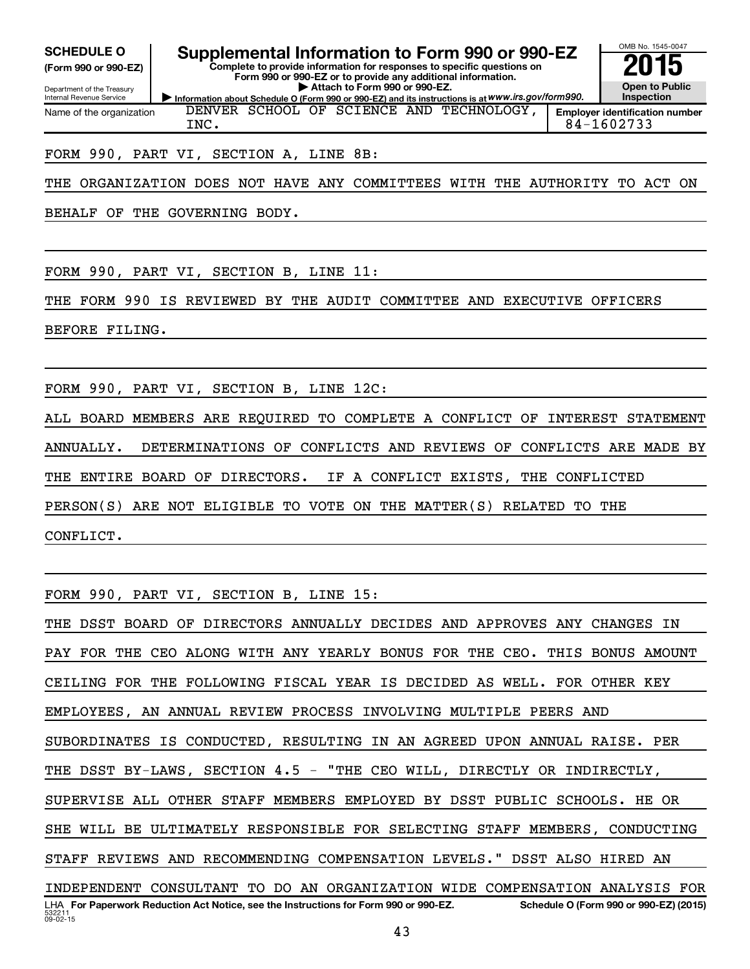**(Form 990 or 990-EZ)**

Department of the Treasury

Internal Revenue Service Name of the organization

# SCHEDULE O **Supplemental Information to Form 990 or 990-EZ 2015**<br>(Form 990 or 990-EZ) Complete to provide information for responses to specific questions on

DENVER SCHOOL OF SCIENCE AND TECHNOLOGY,

**Information about Schedule O (Form 990 or 990-EZ) and its instructions is at WWW.irs.gov/form990. Complete to provide information for responses to specific questions on Form 990 or 990-EZ or to provide any additional information. | Attach to Form 990 or 990-EZ.**



**Employer identification number** INC. 84-1602733

#### FORM 990, PART VI, SECTION A, LINE 8B:

THE ORGANIZATION DOES NOT HAVE ANY COMMITTEES WITH THE AUTHORITY TO ACT ON

BEHALF OF THE GOVERNING BODY.

FORM 990, PART VI, SECTION B, LINE 11:

THE FORM 990 IS REVIEWED BY THE AUDIT COMMITTEE AND EXECUTIVE OFFICERS

BEFORE FILING.

FORM 990, PART VI, SECTION B, LINE 12C:

ALL BOARD MEMBERS ARE REQUIRED TO COMPLETE A CONFLICT OF INTEREST STATEMENT ANNUALLY. DETERMINATIONS OF CONFLICTS AND REVIEWS OF CONFLICTS ARE MADE BY THE ENTIRE BOARD OF DIRECTORS. IF A CONFLICT EXISTS, THE CONFLICTED PERSON(S) ARE NOT ELIGIBLE TO VOTE ON THE MATTER(S) RELATED TO THE

CONFLICT.

FORM 990, PART VI, SECTION B, LINE 15:

53221  $09 - 02 - 15$ LHA For Paperwork Reduction Act Notice, see the Instructions for Form 990 or 990-EZ. Schedule O (Form 990 or 990-EZ) (2015) THE DSST BOARD OF DIRECTORS ANNUALLY DECIDES AND APPROVES ANY CHANGES IN PAY FOR THE CEO ALONG WITH ANY YEARLY BONUS FOR THE CEO. THIS BONUS AMOUNT CEILING FOR THE FOLLOWING FISCAL YEAR IS DECIDED AS WELL. FOR OTHER KEY EMPLOYEES, AN ANNUAL REVIEW PROCESS INVOLVING MULTIPLE PEERS AND SUBORDINATES IS CONDUCTED, RESULTING IN AN AGREED UPON ANNUAL RAISE. PER THE DSST BY-LAWS, SECTION 4.5 - "THE CEO WILL, DIRECTLY OR INDIRECTLY, SUPERVISE ALL OTHER STAFF MEMBERS EMPLOYED BY DSST PUBLIC SCHOOLS. HE OR SHE WILL BE ULTIMATELY RESPONSIBLE FOR SELECTING STAFF MEMBERS, CONDUCTING STAFF REVIEWS AND RECOMMENDING COMPENSATION LEVELS." DSST ALSO HIRED AN INDEPENDENT CONSULTANT TO DO AN ORGANIZATION WIDE COMPENSATION ANALYSIS FOR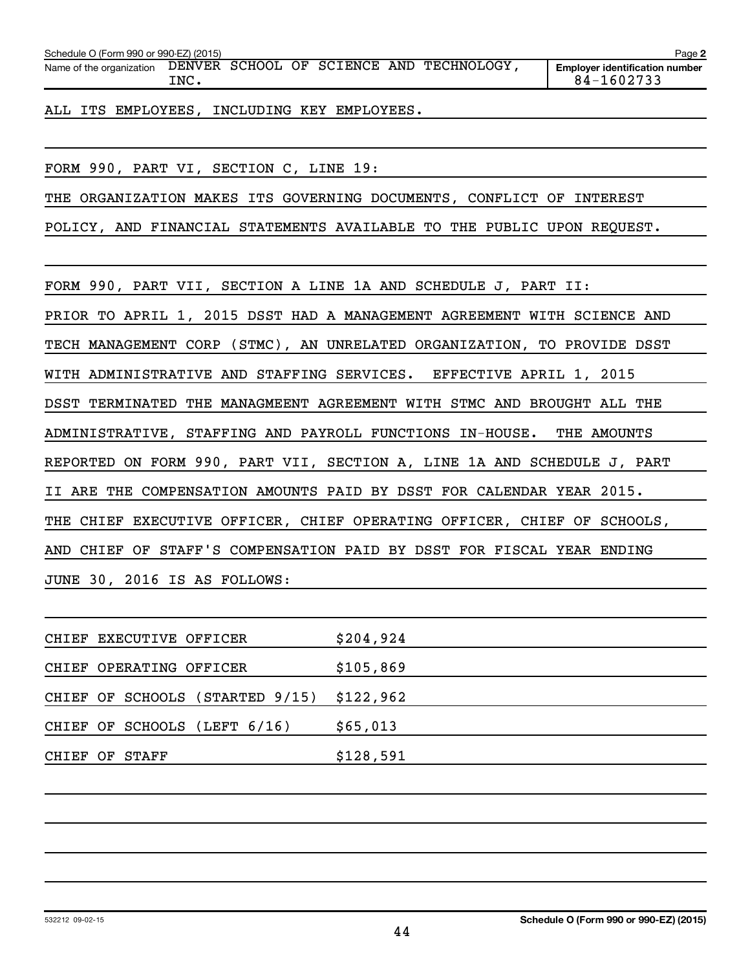| Schedule O (Form 990 or 990-EZ) (2015) |      |  |  |                                          | Page 2                                              |
|----------------------------------------|------|--|--|------------------------------------------|-----------------------------------------------------|
| Name of the organization               | TNC. |  |  | DENVER SCHOOL OF SCIENCE AND TECHNOLOGY, | <b>Employer identification number</b><br>84-1602733 |

ALL ITS EMPLOYEES, INCLUDING KEY EMPLOYEES.

FORM 990, PART VI, SECTION C, LINE 19:

THE ORGANIZATION MAKES ITS GOVERNING DOCUMENTS, CONFLICT OF INTEREST

POLICY, AND FINANCIAL STATEMENTS AVAILABLE TO THE PUBLIC UPON REQUEST.

FORM 990, PART VII, SECTION A LINE 1A AND SCHEDULE J, PART II:

PRIOR TO APRIL 1, 2015 DSST HAD A MANAGEMENT AGREEMENT WITH SCIENCE AND

TECH MANAGEMENT CORP (STMC), AN UNRELATED ORGANIZATION, TO PROVIDE DSST

WITH ADMINISTRATIVE AND STAFFING SERVICES. EFFECTIVE APRIL 1, 2015

DSST TERMINATED THE MANAGMEENT AGREEMENT WITH STMC AND BROUGHT ALL THE

ADMINISTRATIVE, STAFFING AND PAYROLL FUNCTIONS IN-HOUSE. THE AMOUNTS

REPORTED ON FORM 990, PART VII, SECTION A, LINE 1A AND SCHEDULE J, PART

II ARE THE COMPENSATION AMOUNTS PAID BY DSST FOR CALENDAR YEAR 2015.

THE CHIEF EXECUTIVE OFFICER, CHIEF OPERATING OFFICER, CHIEF OF SCHOOLS,

AND CHIEF OF STAFF'S COMPENSATION PAID BY DSST FOR FISCAL YEAR ENDING

JUNE 30, 2016 IS AS FOLLOWS:

|                |  | CHIEF EXECUTIVE OFFICER         | \$204,924 |
|----------------|--|---------------------------------|-----------|
|                |  | CHIEF OPERATING OFFICER         | \$105,869 |
|                |  | CHIEF OF SCHOOLS (STARTED 9/15) | \$122,962 |
|                |  | CHIEF OF SCHOOLS (LEFT 6/16)    | \$65,013  |
| CHIEF OF STAFF |  |                                 | \$128,591 |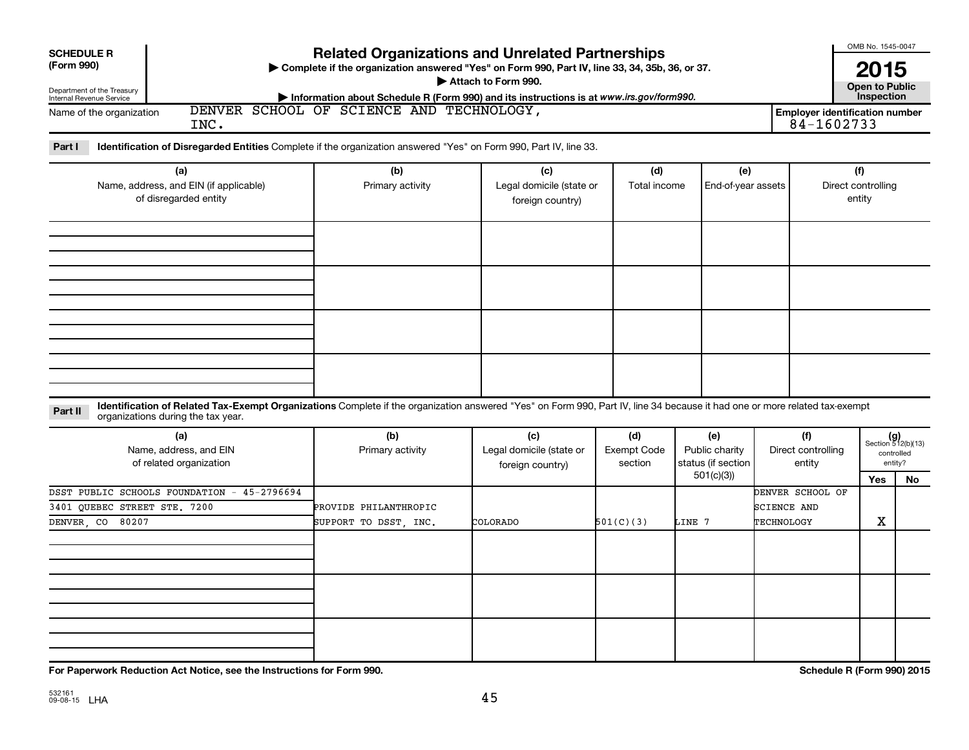| <b>Related Organizations and Unrelated Partnerships</b><br><b>SCHEDULE R</b><br>(Form 990)<br>Complete if the organization answered "Yes" on Form 990, Part IV, line 33, 34, 35b, 36, or 37.<br>Attach to Form 990.<br>Department of the Treasury<br>Information about Schedule R (Form 990) and its instructions is at www.irs.gov/form990.<br>Internal Revenue Service<br>DENVER SCHOOL OF SCIENCE AND TECHNOLOGY,<br><b>Employer identification number</b><br>Name of the organization<br>84-1602733<br>INC. |                                                |                                                     |                                      |                                                          |                                               |                                     |                                                                   |  |  |  |  |
|-----------------------------------------------------------------------------------------------------------------------------------------------------------------------------------------------------------------------------------------------------------------------------------------------------------------------------------------------------------------------------------------------------------------------------------------------------------------------------------------------------------------|------------------------------------------------|-----------------------------------------------------|--------------------------------------|----------------------------------------------------------|-----------------------------------------------|-------------------------------------|-------------------------------------------------------------------|--|--|--|--|
| Identification of Disregarded Entities Complete if the organization answered "Yes" on Form 990, Part IV, line 33.<br>Part I<br>(a)<br>Name, address, and EIN (if applicable)<br>of disregarded entity                                                                                                                                                                                                                                                                                                           | (b)<br>Primary activity                        | (c)<br>Legal domicile (state or<br>foreign country) | (d)<br>Total income                  | (e)<br>End-of-year assets                                |                                               | (f)<br>Direct controlling<br>entity |                                                                   |  |  |  |  |
|                                                                                                                                                                                                                                                                                                                                                                                                                                                                                                                 |                                                |                                                     |                                      |                                                          |                                               |                                     |                                                                   |  |  |  |  |
|                                                                                                                                                                                                                                                                                                                                                                                                                                                                                                                 |                                                |                                                     |                                      |                                                          |                                               |                                     |                                                                   |  |  |  |  |
| Identification of Related Tax-Exempt Organizations Complete if the organization answered "Yes" on Form 990, Part IV, line 34 because it had one or more related tax-exempt<br>Part II<br>organizations during the tax year.                                                                                                                                                                                                                                                                                     |                                                |                                                     |                                      |                                                          |                                               |                                     |                                                                   |  |  |  |  |
| (a)<br>Name, address, and EIN<br>of related organization                                                                                                                                                                                                                                                                                                                                                                                                                                                        | (b)<br>Primary activity                        | (c)<br>Legal domicile (state or<br>foreign country) | (d)<br><b>Exempt Code</b><br>section | (e)<br>Public charity<br>status (if section<br>501(c)(3) | (f)<br>Direct controlling<br>entity           | Yes                                 | $(g)$<br>Section 512(b)(13)<br>controlled<br>entity?<br><b>No</b> |  |  |  |  |
| DSST PUBLIC SCHOOLS FOUNDATION - 45-2796694<br>3401 OUEBEC STREET STE. 7200<br>DENVER, CO 80207                                                                                                                                                                                                                                                                                                                                                                                                                 | PROVIDE PHILANTHROPIC<br>SUPPORT TO DSST. INC. | COLORADO                                            | 501(C)(3)                            | LINE 7                                                   | DENVER SCHOOL OF<br>SCIENCE AND<br>TECHNOLOGY | X                                   |                                                                   |  |  |  |  |

**For Paperwork Reduction Act Notice, see the Instructions for Form 990. Schedule R (Form 990) 2015**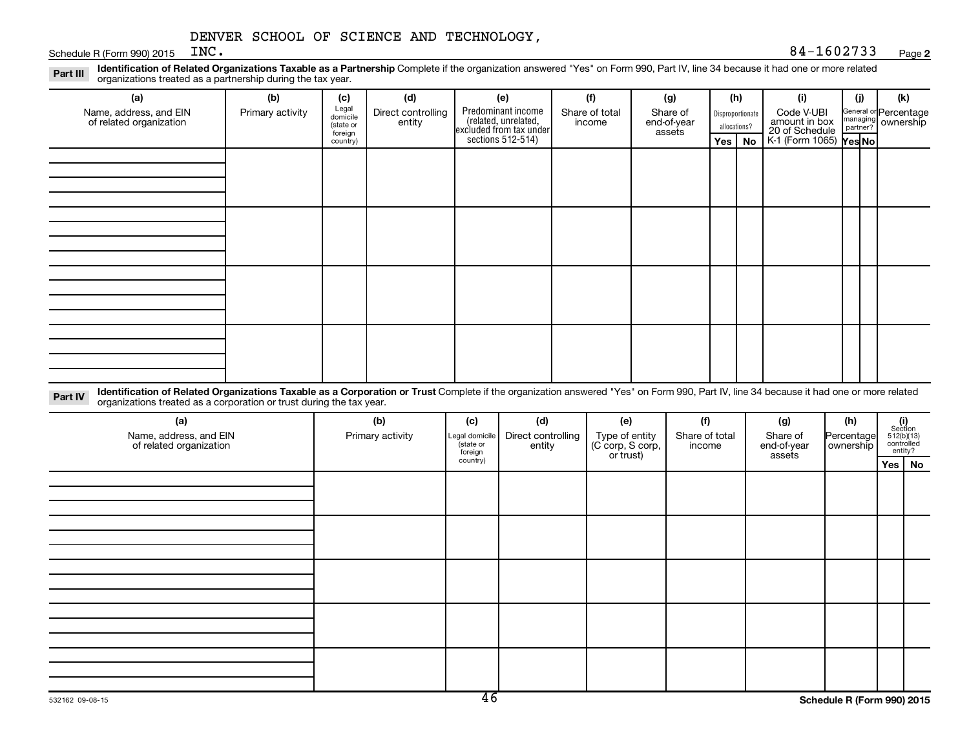Schedule R (Form 990) 2015  $INC.$ 

Part III Identification of Related Organizations Taxable as a Partnership Complete if the organization answered "Yes" on Form 990, Part IV, line 34 because it had one or more related<br>Read to the organizations tracted as a organizations treated as a partnership during the tax year.

| (a)                                               | (b)              | (c)                  | (d)                          | (e)                                                                                        | (f)                      | (g)                     | (h)              | (i)                                                       | (j) | (k)                                                     |
|---------------------------------------------------|------------------|----------------------|------------------------------|--------------------------------------------------------------------------------------------|--------------------------|-------------------------|------------------|-----------------------------------------------------------|-----|---------------------------------------------------------|
| Name, address, and EIN<br>of related organization | Primary activity | Legal<br>domicile    | Direct controlling<br>entity | Predominant income<br>(related, unrelated,<br>excluded from tax under<br>sections 512-514) | Share of total<br>income | Share of<br>end-of-year | Disproportionate | Code V-UBI                                                |     | General or Percentage<br>managing ownership<br>partner? |
|                                                   |                  | (state or<br>foreign |                              |                                                                                            |                          | assets                  | allocations?     | amount in box<br>20 of Schedule<br>K-1 (Form 1065) Yes No |     |                                                         |
|                                                   |                  | country)             |                              |                                                                                            |                          |                         | Yes   No         |                                                           |     |                                                         |
|                                                   |                  |                      |                              |                                                                                            |                          |                         |                  |                                                           |     |                                                         |
|                                                   |                  |                      |                              |                                                                                            |                          |                         |                  |                                                           |     |                                                         |
|                                                   |                  |                      |                              |                                                                                            |                          |                         |                  |                                                           |     |                                                         |
|                                                   |                  |                      |                              |                                                                                            |                          |                         |                  |                                                           |     |                                                         |
|                                                   |                  |                      |                              |                                                                                            |                          |                         |                  |                                                           |     |                                                         |
|                                                   |                  |                      |                              |                                                                                            |                          |                         |                  |                                                           |     |                                                         |
|                                                   |                  |                      |                              |                                                                                            |                          |                         |                  |                                                           |     |                                                         |
|                                                   |                  |                      |                              |                                                                                            |                          |                         |                  |                                                           |     |                                                         |
|                                                   |                  |                      |                              |                                                                                            |                          |                         |                  |                                                           |     |                                                         |
|                                                   |                  |                      |                              |                                                                                            |                          |                         |                  |                                                           |     |                                                         |
|                                                   |                  |                      |                              |                                                                                            |                          |                         |                  |                                                           |     |                                                         |
|                                                   |                  |                      |                              |                                                                                            |                          |                         |                  |                                                           |     |                                                         |
|                                                   |                  |                      |                              |                                                                                            |                          |                         |                  |                                                           |     |                                                         |
|                                                   |                  |                      |                              |                                                                                            |                          |                         |                  |                                                           |     |                                                         |
|                                                   |                  |                      |                              |                                                                                            |                          |                         |                  |                                                           |     |                                                         |
|                                                   |                  |                      |                              |                                                                                            |                          |                         |                  |                                                           |     |                                                         |
|                                                   |                  |                      |                              |                                                                                            |                          |                         |                  |                                                           |     |                                                         |

Part IV Identification of Related Organizations Taxable as a Corporation or Trust Complete if the organization answered "Yes" on Form 990, Part IV, line 34 because it had one or more related<br>Comparison tracted as a comprat organizations treated as a corporation or trust during the tax year.

| (a)<br>Name, address, and EIN<br>of related organization | (b)<br>Primary activity | (c)<br>Legal domicile<br>state or<br>foreign | (d)<br>Direct controlling<br>entity | (e)<br>Type of entity<br>(C corp, S corp,<br>or trust) | (f)<br>Share of total<br>income | (g)<br>Share of<br>end-of-year<br>assets | (h)<br>Percentage<br>ownership | $\begin{array}{c} \textbf{(i)}\\ \text{Section}\\ 512 \text{(b)} \text{(13)}\\ \text{controlled} \\ \text{entity?} \end{array}$ |
|----------------------------------------------------------|-------------------------|----------------------------------------------|-------------------------------------|--------------------------------------------------------|---------------------------------|------------------------------------------|--------------------------------|---------------------------------------------------------------------------------------------------------------------------------|
|                                                          |                         | country)                                     |                                     |                                                        |                                 |                                          |                                | Yes   No                                                                                                                        |
|                                                          |                         |                                              |                                     |                                                        |                                 |                                          |                                |                                                                                                                                 |
|                                                          |                         |                                              |                                     |                                                        |                                 |                                          |                                |                                                                                                                                 |
|                                                          |                         |                                              |                                     |                                                        |                                 |                                          |                                |                                                                                                                                 |
|                                                          |                         |                                              |                                     |                                                        |                                 |                                          |                                |                                                                                                                                 |
|                                                          |                         |                                              |                                     |                                                        |                                 |                                          |                                |                                                                                                                                 |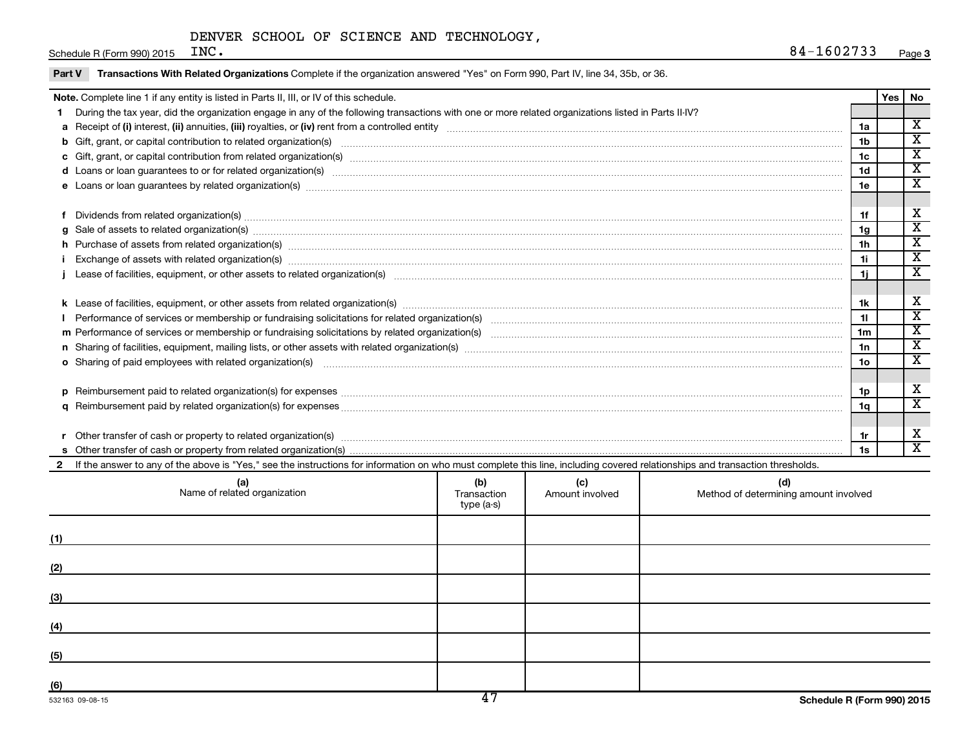Schedule R (Form 990) 2015  $INC$ .

Part V Transactions With Related Organizations Complete if the organization answered "Yes" on Form 990, Part IV, line 34, 35b, or 36.

| Note. Complete line 1 if any entity is listed in Parts II, III, or IV of this schedule.                                                                                                                                        |                                                                                                                                                                                                                                                                                                                                                                                                                                                                 |     |     |     |                      |     | No                          |
|--------------------------------------------------------------------------------------------------------------------------------------------------------------------------------------------------------------------------------|-----------------------------------------------------------------------------------------------------------------------------------------------------------------------------------------------------------------------------------------------------------------------------------------------------------------------------------------------------------------------------------------------------------------------------------------------------------------|-----|-----|-----|----------------------|-----|-----------------------------|
|                                                                                                                                                                                                                                | During the tax year, did the organization engage in any of the following transactions with one or more related organizations listed in Parts II-IV?                                                                                                                                                                                                                                                                                                             |     |     |     |                      | Yes |                             |
|                                                                                                                                                                                                                                |                                                                                                                                                                                                                                                                                                                                                                                                                                                                 |     |     |     | 1a                   |     | $\overline{\mathbf{X}}$     |
|                                                                                                                                                                                                                                | b Gift, grant, or capital contribution to related organization(s) manufactured content and content of the contribution to related organization(s) manufactured content and content of the content of the content of the conten                                                                                                                                                                                                                                  |     |     |     | 1 <sub>b</sub>       |     | $\overline{\texttt{x}}$     |
|                                                                                                                                                                                                                                |                                                                                                                                                                                                                                                                                                                                                                                                                                                                 |     |     |     | 1c                   |     | X                           |
|                                                                                                                                                                                                                                | d Loans or loan guarantees to or for related organization(s) www.communically.com/www.communically.com/www.communically.com/www.communically.com/www.communically.com/www.communically.com/www.communically.com/www.communical                                                                                                                                                                                                                                  |     |     |     | 1 <sub>d</sub>       |     | $\overline{\texttt{x}}$     |
|                                                                                                                                                                                                                                | e Loans or loan guarantees by related organization(s) manufaction contains and contains and contains and contains and contains and contains and contains and contains and contains and contains and contains and contains and                                                                                                                                                                                                                                   |     |     |     | 1e                   |     | $\overline{\mathbf{x}}$     |
|                                                                                                                                                                                                                                |                                                                                                                                                                                                                                                                                                                                                                                                                                                                 |     |     |     |                      |     |                             |
|                                                                                                                                                                                                                                | f Dividends from related organization(s) manufactured and contract contract or manufactured and contract contract or manufactured and contract or manufactured and contract or manufactured and contract or manufactured and c                                                                                                                                                                                                                                  |     |     |     | 1f                   |     | X                           |
|                                                                                                                                                                                                                                | g Sale of assets to related organization(s) www.assettion.com/www.assettion.com/www.assettion.com/www.assettion.com/www.assettion.com/www.assettion.com/www.assettion.com/www.assettion.com/www.assettion.com/www.assettion.co                                                                                                                                                                                                                                  |     |     |     | 1g                   |     | $\overline{\textnormal{x}}$ |
|                                                                                                                                                                                                                                |                                                                                                                                                                                                                                                                                                                                                                                                                                                                 |     |     |     | 1 <sub>h</sub>       |     | $\overline{\texttt{x}}$     |
|                                                                                                                                                                                                                                | h Purchase of assets from related organization(s) manufactured content to content the content of assets from related organization(s) manufactured content to content the content of a set of assets from related organization(<br>Exchange of assets with related organization(s) manufaction contracts and account of the contract of the contract or contract or contract or contract or contract or contract or contract or contract or contract or contract |     |     |     |                      |     | $\overline{\texttt{x}}$     |
|                                                                                                                                                                                                                                |                                                                                                                                                                                                                                                                                                                                                                                                                                                                 |     |     |     |                      |     | $\overline{\mathbf{x}}$     |
|                                                                                                                                                                                                                                |                                                                                                                                                                                                                                                                                                                                                                                                                                                                 |     |     |     |                      |     |                             |
|                                                                                                                                                                                                                                |                                                                                                                                                                                                                                                                                                                                                                                                                                                                 |     |     |     |                      |     | X                           |
|                                                                                                                                                                                                                                |                                                                                                                                                                                                                                                                                                                                                                                                                                                                 |     |     |     |                      |     | $\overline{\mathbf{x}}$     |
|                                                                                                                                                                                                                                |                                                                                                                                                                                                                                                                                                                                                                                                                                                                 |     |     |     | 11<br>1 <sub>m</sub> |     | $\overline{\textnormal{x}}$ |
|                                                                                                                                                                                                                                |                                                                                                                                                                                                                                                                                                                                                                                                                                                                 |     |     |     |                      |     | $\overline{\textbf{X}}$     |
|                                                                                                                                                                                                                                | o Sharing of paid employees with related organization(s) manufactured and content to the content of the content of the content of the content of the content of the content of the content of the content of the content of th                                                                                                                                                                                                                                  |     |     |     |                      |     | $\overline{\texttt{x}}$     |
|                                                                                                                                                                                                                                |                                                                                                                                                                                                                                                                                                                                                                                                                                                                 |     |     |     |                      |     |                             |
|                                                                                                                                                                                                                                |                                                                                                                                                                                                                                                                                                                                                                                                                                                                 |     |     |     |                      |     | X                           |
|                                                                                                                                                                                                                                |                                                                                                                                                                                                                                                                                                                                                                                                                                                                 |     |     |     |                      |     | $\overline{\mathbf{x}}$     |
|                                                                                                                                                                                                                                |                                                                                                                                                                                                                                                                                                                                                                                                                                                                 |     |     |     |                      |     |                             |
| Other transfer of cash or property to related organization(s) CONSERVIERS (2008) CONSERVIERS (2008) CONSERVIERS (2009) CONSERVIERS (2009) CONSERVIERS (2009) CONSERVIERS (2009) CONSERVIERS (2009) CONSERVIERS (2009) CONSERVI |                                                                                                                                                                                                                                                                                                                                                                                                                                                                 |     |     |     | 1r                   |     | X                           |
|                                                                                                                                                                                                                                |                                                                                                                                                                                                                                                                                                                                                                                                                                                                 |     |     |     | 1s                   |     | $\overline{\texttt{x}}$     |
|                                                                                                                                                                                                                                | 2 If the answer to any of the above is "Yes," see the instructions for information on who must complete this line, including covered relationships and transaction thresholds.                                                                                                                                                                                                                                                                                  |     |     |     |                      |     |                             |
|                                                                                                                                                                                                                                | (a)                                                                                                                                                                                                                                                                                                                                                                                                                                                             | (b) | (c) | (d) |                      |     |                             |

| (a)<br>Name of related organization | (b)<br>Transaction<br>type (a-s) | (c)<br>Amount involved | (d)<br>Method of determining amount involved |
|-------------------------------------|----------------------------------|------------------------|----------------------------------------------|
| (1)                                 |                                  |                        |                                              |
| (2)                                 |                                  |                        |                                              |
| (3)                                 |                                  |                        |                                              |
| (4)                                 |                                  |                        |                                              |
| (5)                                 |                                  |                        |                                              |
| (6)                                 | $\overline{4\pi}$                |                        |                                              |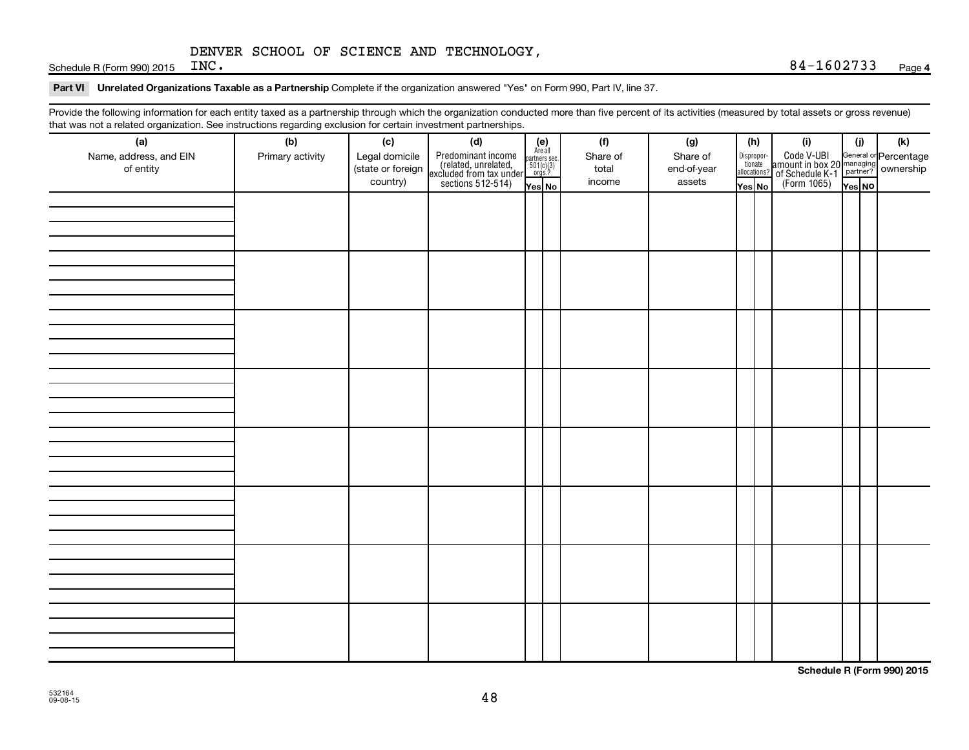Schedule R (Form 990) 2015  $INC$ .

#### Part VI Unrelated Organizations Taxable as a Partnership Complete if the organization answered "Yes" on Form 990, Part IV, line 37.

Provide the following information for each entity taxed as a partnership through which the organization conducted more than five percent of its activities (measured by total assets or gross revenue) that was not a related organization. See instructions regarding exclusion for certain investment partnerships.

| (a)                                 | (b)              | (c)                                             | (d)                                                                                        |                                                                    |  | (f)                         | (g)                               |        | (h)                              | (i)                                                                                                                   | (i)    | (k) |  |  |  |  |  |
|-------------------------------------|------------------|-------------------------------------------------|--------------------------------------------------------------------------------------------|--------------------------------------------------------------------|--|-----------------------------|-----------------------------------|--------|----------------------------------|-----------------------------------------------------------------------------------------------------------------------|--------|-----|--|--|--|--|--|
| Name, address, and EIN<br>of entity | Primary activity | Legal domicile<br>(state or foreign<br>country) | Predominant income<br>(related, unrelated,<br>excluded from tax under<br>sections 512-514) | (e)<br>Are all<br>partners sec.<br>$501(c)(3)$<br>orgs.?<br>Yes No |  | Share of<br>total<br>income | Share of<br>end-of-year<br>assets | Yes No | Disproportionate<br>allocations? | Code V-UBI<br>amount in box 20 managing<br><sup>22</sup> of Schedule K-1<br>(Form 1065)<br><b>Property Resolution</b> | Yes NO |     |  |  |  |  |  |
|                                     |                  |                                                 |                                                                                            |                                                                    |  |                             |                                   |        |                                  |                                                                                                                       |        |     |  |  |  |  |  |
|                                     |                  |                                                 |                                                                                            |                                                                    |  |                             |                                   |        |                                  |                                                                                                                       |        |     |  |  |  |  |  |
|                                     |                  |                                                 |                                                                                            |                                                                    |  |                             |                                   |        |                                  |                                                                                                                       |        |     |  |  |  |  |  |
|                                     |                  |                                                 |                                                                                            |                                                                    |  |                             |                                   |        |                                  |                                                                                                                       |        |     |  |  |  |  |  |
|                                     |                  |                                                 |                                                                                            |                                                                    |  |                             |                                   |        |                                  |                                                                                                                       |        |     |  |  |  |  |  |
|                                     |                  |                                                 |                                                                                            |                                                                    |  |                             |                                   |        |                                  |                                                                                                                       |        |     |  |  |  |  |  |
|                                     |                  |                                                 |                                                                                            |                                                                    |  |                             |                                   |        |                                  |                                                                                                                       |        |     |  |  |  |  |  |
|                                     |                  |                                                 |                                                                                            |                                                                    |  |                             |                                   |        |                                  |                                                                                                                       |        |     |  |  |  |  |  |
|                                     |                  |                                                 |                                                                                            |                                                                    |  |                             |                                   |        |                                  |                                                                                                                       |        |     |  |  |  |  |  |
|                                     |                  |                                                 |                                                                                            |                                                                    |  |                             |                                   |        |                                  |                                                                                                                       |        |     |  |  |  |  |  |
|                                     |                  |                                                 |                                                                                            |                                                                    |  |                             |                                   |        |                                  |                                                                                                                       |        |     |  |  |  |  |  |
|                                     |                  |                                                 |                                                                                            |                                                                    |  |                             |                                   |        |                                  |                                                                                                                       |        |     |  |  |  |  |  |
|                                     |                  |                                                 |                                                                                            |                                                                    |  |                             |                                   |        |                                  |                                                                                                                       |        |     |  |  |  |  |  |
|                                     |                  |                                                 |                                                                                            |                                                                    |  |                             |                                   |        |                                  |                                                                                                                       |        |     |  |  |  |  |  |
|                                     |                  |                                                 |                                                                                            |                                                                    |  |                             |                                   |        |                                  |                                                                                                                       |        |     |  |  |  |  |  |
|                                     |                  |                                                 |                                                                                            |                                                                    |  |                             |                                   |        |                                  |                                                                                                                       |        |     |  |  |  |  |  |
|                                     |                  |                                                 |                                                                                            |                                                                    |  |                             |                                   |        |                                  |                                                                                                                       |        |     |  |  |  |  |  |
|                                     |                  |                                                 |                                                                                            |                                                                    |  |                             |                                   |        |                                  |                                                                                                                       |        |     |  |  |  |  |  |
|                                     |                  |                                                 |                                                                                            |                                                                    |  |                             |                                   |        |                                  |                                                                                                                       |        |     |  |  |  |  |  |
|                                     |                  |                                                 |                                                                                            |                                                                    |  |                             |                                   |        |                                  |                                                                                                                       |        |     |  |  |  |  |  |
|                                     |                  |                                                 |                                                                                            |                                                                    |  |                             |                                   |        |                                  |                                                                                                                       |        |     |  |  |  |  |  |
|                                     |                  |                                                 |                                                                                            |                                                                    |  |                             |                                   |        |                                  |                                                                                                                       |        |     |  |  |  |  |  |
|                                     |                  |                                                 |                                                                                            |                                                                    |  |                             |                                   |        |                                  |                                                                                                                       |        |     |  |  |  |  |  |
|                                     |                  |                                                 |                                                                                            |                                                                    |  |                             |                                   |        |                                  |                                                                                                                       |        |     |  |  |  |  |  |
|                                     |                  |                                                 |                                                                                            |                                                                    |  |                             |                                   |        |                                  |                                                                                                                       |        |     |  |  |  |  |  |
|                                     |                  |                                                 |                                                                                            |                                                                    |  |                             |                                   |        |                                  |                                                                                                                       |        |     |  |  |  |  |  |
|                                     |                  |                                                 |                                                                                            |                                                                    |  |                             |                                   |        |                                  |                                                                                                                       |        |     |  |  |  |  |  |
|                                     |                  |                                                 |                                                                                            |                                                                    |  |                             |                                   |        |                                  |                                                                                                                       |        |     |  |  |  |  |  |
|                                     |                  |                                                 |                                                                                            |                                                                    |  |                             |                                   |        |                                  |                                                                                                                       |        |     |  |  |  |  |  |

**Schedule R (Form 990) 2015**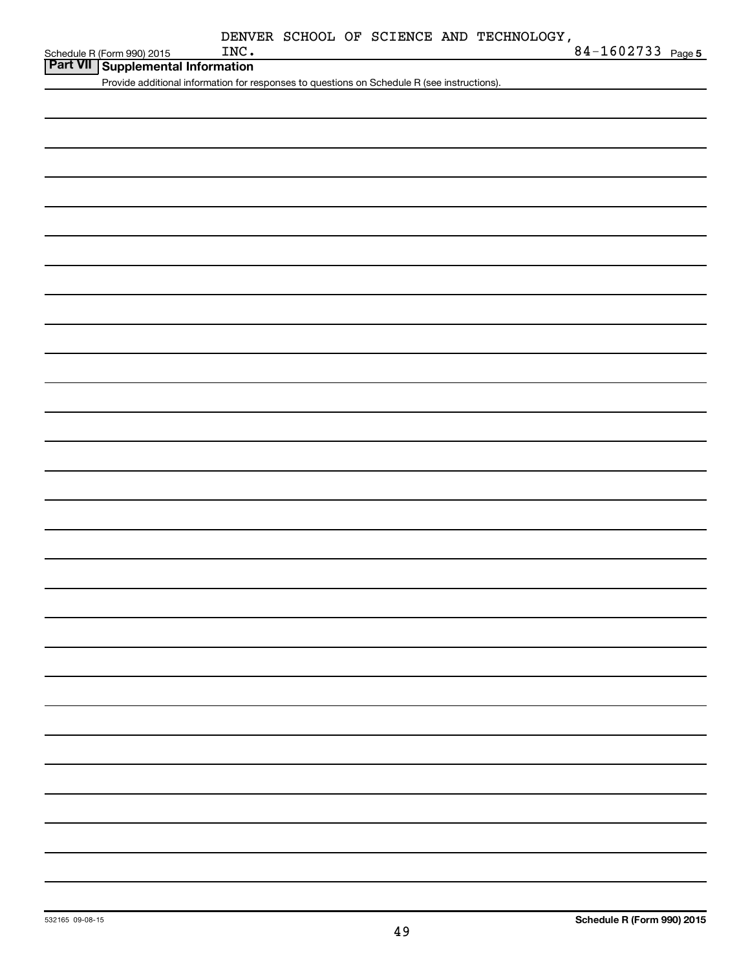| Schedule R (Form 990) 2015 |  |
|----------------------------|--|

| <b>Part VII   Supplemental Information</b>                                                  |
|---------------------------------------------------------------------------------------------|
| Provide additional information for responses to questions on Schedule R (see instructions). |
|                                                                                             |
|                                                                                             |
|                                                                                             |
|                                                                                             |